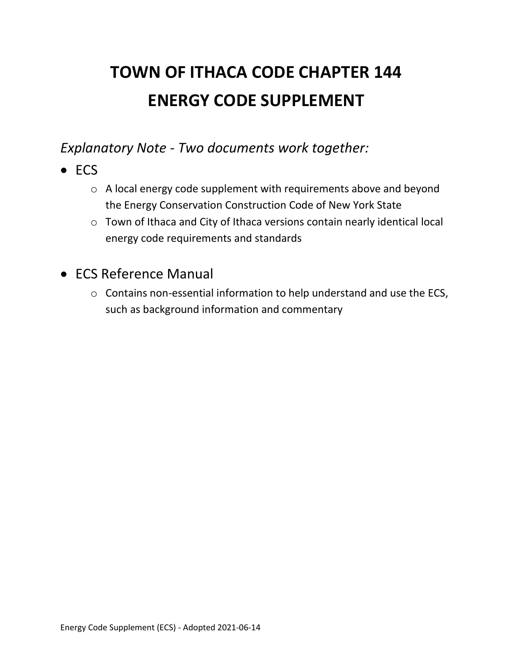# **TOWN OF ITHACA CODE CHAPTER 144 ENERGY CODE SUPPLEMENT**

*Explanatory Note - Two documents work together:*

- ECS
	- o A local energy code supplement with requirements above and beyond the Energy Conservation Construction Code of New York State
	- o Town of Ithaca and City of Ithaca versions contain nearly identical local energy code requirements and standards
- ECS Reference Manual
	- o Contains non-essential information to help understand and use the ECS, such as background information and commentary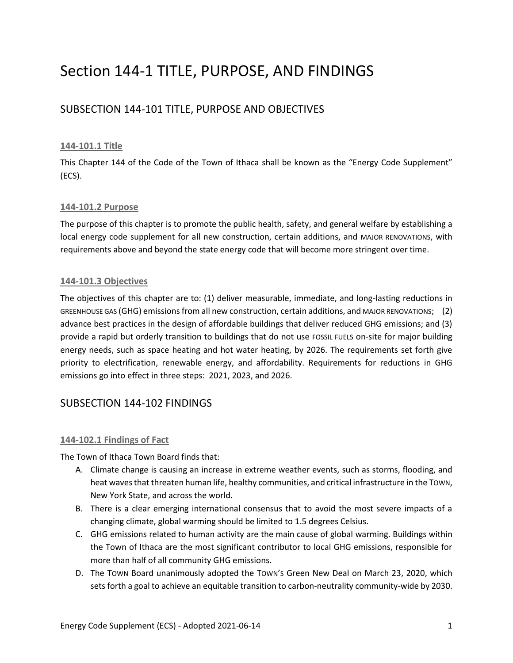## Section 144-1 TITLE, PURPOSE, AND FINDINGS

## SUBSECTION 144-101 TITLE, PURPOSE AND OBJECTIVES

#### **144-101.1 Title**

This Chapter 144 of the Code of the Town of Ithaca shall be known as the "Energy Code Supplement" (ECS).

#### **144-101.2 Purpose**

The purpose of this chapter is to promote the public health, safety, and general welfare by establishing a local energy code supplement for all new construction, certain additions, and MAJOR RENOVATIONS, with requirements above and beyond the state energy code that will become more stringent over time.

#### **144-101.3 Objectives**

The objectives of this chapter are to: (1) deliver measurable, immediate, and long-lasting reductions in GREENHOUSE GAS (GHG) emissions from all new construction, certain additions, and MAJOR RENOVATIONS; (2) advance best practices in the design of affordable buildings that deliver reduced GHG emissions; and (3) provide a rapid but orderly transition to buildings that do not use FOSSIL FUELS on-site for major building energy needs, such as space heating and hot water heating, by 2026. The requirements set forth give priority to electrification, renewable energy, and affordability. Requirements for reductions in GHG emissions go into effect in three steps: 2021, 2023, and 2026.

## SUBSECTION 144-102 FINDINGS

#### **144-102.1 Findings of Fact**

The Town of Ithaca Town Board finds that:

- A. Climate change is causing an increase in extreme weather events, such as storms, flooding, and heat waves that threaten human life, healthy communities, and critical infrastructure in the Town, New York State, and across the world.
- B. There is a clear emerging international consensus that to avoid the most severe impacts of a changing climate, global warming should be limited to 1.5 degrees Celsius.
- C. GHG emissions related to human activity are the main cause of global warming. Buildings within the Town of Ithaca are the most significant contributor to local GHG emissions, responsible for more than half of all community GHG emissions.
- D. The TOWN Board unanimously adopted the TOWN'S Green New Deal on March 23, 2020, which sets forth a goal to achieve an equitable transition to carbon-neutrality community-wide by 2030.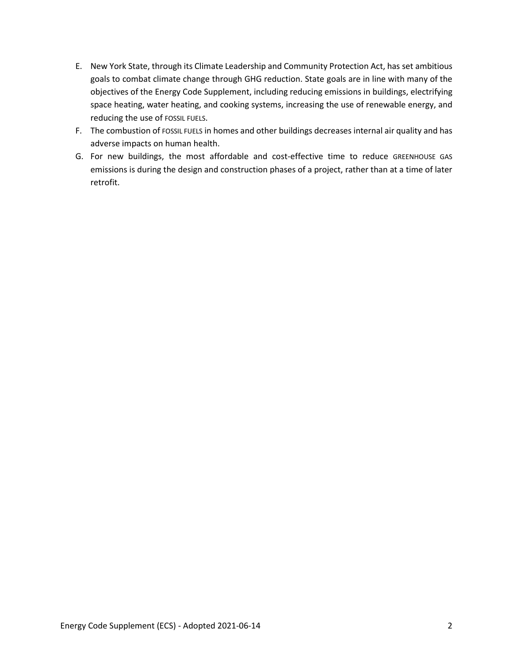- E. New York State, through its Climate Leadership and Community Protection Act, has set ambitious goals to combat climate change through GHG reduction. State goals are in line with many of the objectives of the Energy Code Supplement, including reducing emissions in buildings, electrifying space heating, water heating, and cooking systems, increasing the use of renewable energy, and reducing the use of FOSSIL FUELS.
- F. The combustion of FOSSIL FUELS in homes and other buildings decreases internal air quality and has adverse impacts on human health.
- G. For new buildings, the most affordable and cost-effective time to reduce GREENHOUSE GAS emissions is during the design and construction phases of a project, rather than at a time of later retrofit.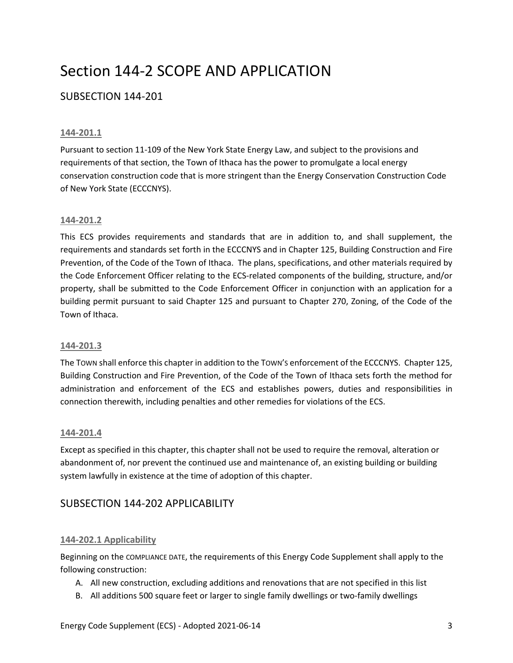## Section 144-2 SCOPE AND APPLICATION

## SUBSECTION 144-201

#### **144-201.1**

Pursuant to section 11-109 of the New York State Energy Law, and subject to the provisions and requirements of that section, the Town of Ithaca has the power to promulgate a local energy conservation construction code that is more stringent than the Energy Conservation Construction Code of New York State (ECCCNYS).

#### **144-201.2**

This ECS provides requirements and standards that are in addition to, and shall supplement, the requirements and standards set forth in the ECCCNYS and in Chapter 125, Building Construction and Fire Prevention, of the Code of the Town of Ithaca. The plans, specifications, and other materials required by the Code Enforcement Officer relating to the ECS-related components of the building, structure, and/or property, shall be submitted to the Code Enforcement Officer in conjunction with an application for a building permit pursuant to said Chapter 125 and pursuant to Chapter 270, Zoning, of the Code of the Town of Ithaca.

#### **144-201.3**

The TOWN shall enforce this chapter in addition to the TOWN'S enforcement of the ECCCNYS. Chapter 125, Building Construction and Fire Prevention, of the Code of the Town of Ithaca sets forth the method for administration and enforcement of the ECS and establishes powers, duties and responsibilities in connection therewith, including penalties and other remedies for violations of the ECS.

#### **144-201.4**

Except as specified in this chapter, this chapter shall not be used to require the removal, alteration or abandonment of, nor prevent the continued use and maintenance of, an existing building or building system lawfully in existence at the time of adoption of this chapter.

### SUBSECTION 144-202 APPLICABILITY

#### **144-202.1 Applicability**

Beginning on the COMPLIANCE DATE, the requirements of this Energy Code Supplement shall apply to the following construction:

- A. All new construction, excluding additions and renovations that are not specified in this list
- B. All additions 500 square feet or larger to single family dwellings or two-family dwellings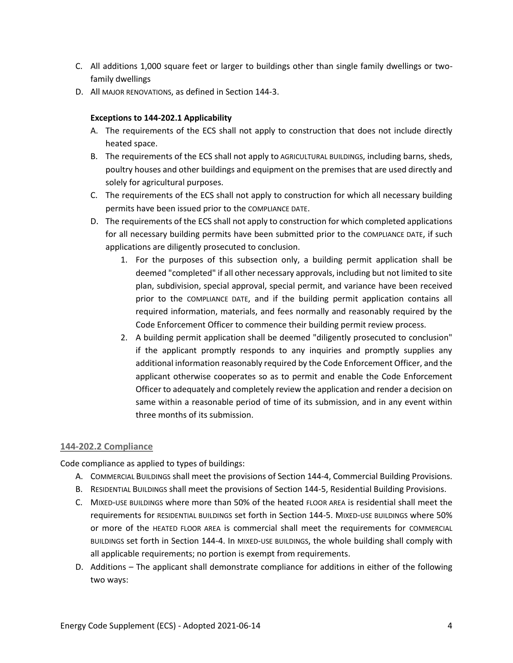- C. All additions 1,000 square feet or larger to buildings other than single family dwellings or twofamily dwellings
- D. All MAJOR RENOVATIONS, as defined in Section 144-3.

#### **Exceptions to 144-202.1 Applicability**

- A. The requirements of the ECS shall not apply to construction that does not include directly heated space.
- B. The requirements of the ECS shall not apply to AGRICULTURAL BUILDINGS, including barns, sheds, poultry houses and other buildings and equipment on the premises that are used directly and solely for agricultural purposes.
- C. The requirements of the ECS shall not apply to construction for which all necessary building permits have been issued prior to the COMPLIANCE DATE.
- D. The requirements of the ECS shall not apply to construction for which completed applications for all necessary building permits have been submitted prior to the COMPLIANCE DATE, if such applications are diligently prosecuted to conclusion.
	- 1. For the purposes of this subsection only, a building permit application shall be deemed "completed" if all other necessary approvals, including but not limited to site plan, subdivision, special approval, special permit, and variance have been received prior to the COMPLIANCE DATE, and if the building permit application contains all required information, materials, and fees normally and reasonably required by the Code Enforcement Officer to commence their building permit review process.
	- 2. A building permit application shall be deemed "diligently prosecuted to conclusion" if the applicant promptly responds to any inquiries and promptly supplies any additional information reasonably required by the Code Enforcement Officer, and the applicant otherwise cooperates so as to permit and enable the Code Enforcement Officer to adequately and completely review the application and render a decision on same within a reasonable period of time of its submission, and in any event within three months of its submission.

#### **144-202.2 Compliance**

Code compliance as applied to types of buildings:

- A. COMMERCIAL BUILDINGS shall meet the provisions of Section 144-4, Commercial Building Provisions.
- B. RESIDENTIAL BUILDINGS shall meet the provisions of Section 144-5, Residential Building Provisions.
- C. MIXED-USE BUILDINGS where more than 50% of the heated FLOOR AREA is residential shall meet the requirements for RESIDENTIAL BUILDINGS set forth in Section 144-5. MIXED-USE BUILDINGS where 50% or more of the HEATED FLOOR AREA is commercial shall meet the requirements for COMMERCIAL BUILDINGS set forth in Section 144-4. In MIXED-USE BUILDINGS, the whole building shall comply with all applicable requirements; no portion is exempt from requirements.
- D. Additions The applicant shall demonstrate compliance for additions in either of the following two ways: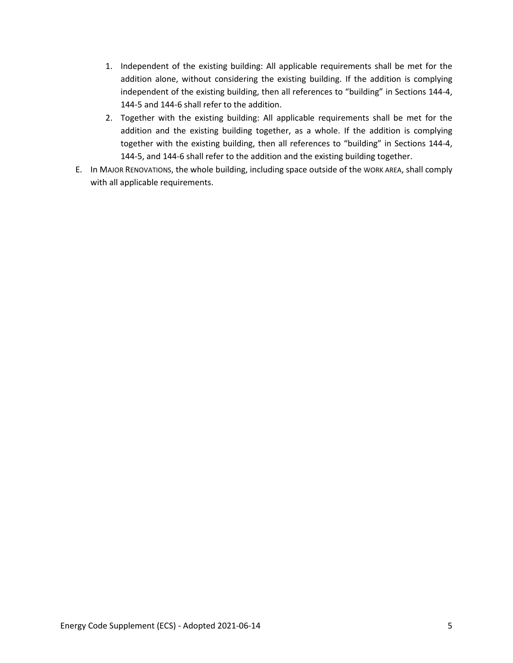- 1. Independent of the existing building: All applicable requirements shall be met for the addition alone, without considering the existing building. If the addition is complying independent of the existing building, then all references to "building" in Sections 144-4, 144-5 and 144-6 shall refer to the addition.
- 2. Together with the existing building: All applicable requirements shall be met for the addition and the existing building together, as a whole. If the addition is complying together with the existing building, then all references to "building" in Sections 144-4, 144-5, and 144-6 shall refer to the addition and the existing building together.
- E. In MAJOR RENOVATIONS, the whole building, including space outside of the WORK AREA, shall comply with all applicable requirements.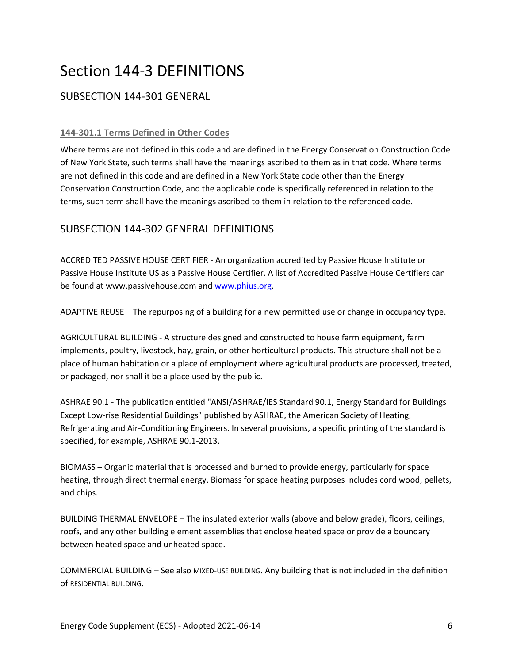## Section 144-3 DEFINITIONS

## SUBSECTION 144-301 GENERAL

#### **144-301.1 Terms Defined in Other Codes**

Where terms are not defined in this code and are defined in the Energy Conservation Construction Code of New York State, such terms shall have the meanings ascribed to them as in that code. Where terms are not defined in this code and are defined in a New York State code other than the Energy Conservation Construction Code, and the applicable code is specifically referenced in relation to the terms, such term shall have the meanings ascribed to them in relation to the referenced code.

## SUBSECTION 144-302 GENERAL DEFINITIONS

ACCREDITED PASSIVE HOUSE CERTIFIER - An organization accredited by Passive House Institute or Passive House Institute US as a Passive House Certifier. A list of Accredited Passive House Certifiers can be found at www.passivehouse.com and [www.phius.org.](http://www.phius.org/)

ADAPTIVE REUSE – The repurposing of a building for a new permitted use or change in occupancy type.

AGRICULTURAL BUILDING - A structure designed and constructed to house farm equipment, farm implements, poultry, livestock, hay, grain, or other horticultural products. This structure shall not be a place of human habitation or a place of employment where agricultural products are processed, treated, or packaged, nor shall it be a place used by the public.

ASHRAE 90.1 - The publication entitled "ANSI/ASHRAE/IES Standard 90.1, Energy Standard for Buildings Except Low-rise Residential Buildings" published by ASHRAE, the American Society of Heating, Refrigerating and Air-Conditioning Engineers. In several provisions, a specific printing of the standard is specified, for example, ASHRAE 90.1-2013.

BIOMASS – Organic material that is processed and burned to provide energy, particularly for space heating, through direct thermal energy. Biomass for space heating purposes includes cord wood, pellets, and chips.

BUILDING THERMAL ENVELOPE – The insulated exterior walls (above and below grade), floors, ceilings, roofs, and any other building element assemblies that enclose heated space or provide a boundary between heated space and unheated space.

COMMERCIAL BUILDING – See also MIXED-USE BUILDING. Any building that is not included in the definition of RESIDENTIAL BUILDING.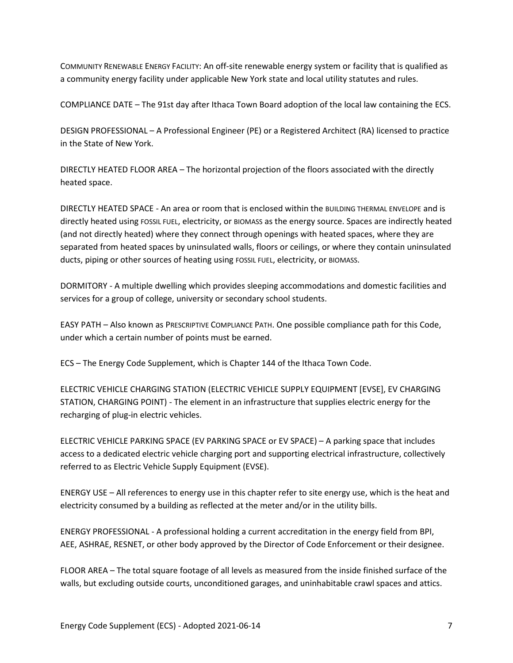COMMUNITY RENEWABLE ENERGY FACILITY: An off-site renewable energy system or facility that is qualified as a community energy facility under applicable New York state and local utility statutes and rules.

COMPLIANCE DATE – The 91st day after Ithaca Town Board adoption of the local law containing the ECS.

DESIGN PROFESSIONAL – A Professional Engineer (PE) or a Registered Architect (RA) licensed to practice in the State of New York.

DIRECTLY HEATED FLOOR AREA – The horizontal projection of the floors associated with the directly heated space.

DIRECTLY HEATED SPACE - An area or room that is enclosed within the BUILDING THERMAL ENVELOPE and is directly heated using FOSSIL FUEL, electricity, or BIOMASS as the energy source. Spaces are indirectly heated (and not directly heated) where they connect through openings with heated spaces, where they are separated from heated spaces by uninsulated walls, floors or ceilings, or where they contain uninsulated ducts, piping or other sources of heating using FOSSIL FUEL, electricity, or BIOMASS.

DORMITORY - A multiple dwelling which provides sleeping accommodations and domestic facilities and services for a group of college, university or secondary school students.

EASY PATH – Also known as PRESCRIPTIVE COMPLIANCE PATH. One possible compliance path for this Code, under which a certain number of points must be earned.

ECS – The Energy Code Supplement, which is Chapter 144 of the Ithaca Town Code.

ELECTRIC VEHICLE CHARGING STATION (ELECTRIC VEHICLE SUPPLY EQUIPMENT [EVSE], EV CHARGING STATION, CHARGING POINT) - The element in an infrastructure that supplies electric energy for the recharging of plug-in electric vehicles.

ELECTRIC VEHICLE PARKING SPACE (EV PARKING SPACE or EV SPACE) – A parking space that includes access to a dedicated electric vehicle charging port and supporting electrical infrastructure, collectively referred to as Electric Vehicle Supply Equipment (EVSE).

ENERGY USE – All references to energy use in this chapter refer to site energy use, which is the heat and electricity consumed by a building as reflected at the meter and/or in the utility bills.

ENERGY PROFESSIONAL - A professional holding a current accreditation in the energy field from BPI, AEE, ASHRAE, RESNET, or other body approved by the Director of Code Enforcement or their designee.

FLOOR AREA – The total square footage of all levels as measured from the inside finished surface of the walls, but excluding outside courts, unconditioned garages, and uninhabitable crawl spaces and attics.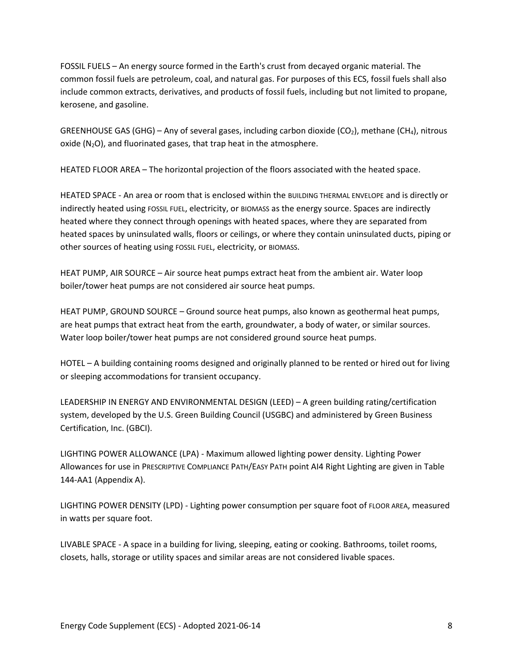FOSSIL FUELS – An energy source formed in the Earth's crust from decayed organic material. The common fossil fuels are petroleum, coal, and natural gas. For purposes of this ECS, fossil fuels shall also include common extracts, derivatives, and products of fossil fuels, including but not limited to propane, kerosene, and gasoline.

GREENHOUSE GAS (GHG) – Any of several gases, including carbon dioxide (CO<sub>2</sub>), methane (CH<sub>4</sub>), nitrous oxide  $(N_2O)$ , and fluorinated gases, that trap heat in the atmosphere.

HEATED FLOOR AREA – The horizontal projection of the floors associated with the heated space.

HEATED SPACE - An area or room that is enclosed within the BUILDING THERMAL ENVELOPE and is directly or indirectly heated using FOSSIL FUEL, electricity, or BIOMASS as the energy source. Spaces are indirectly heated where they connect through openings with heated spaces, where they are separated from heated spaces by uninsulated walls, floors or ceilings, or where they contain uninsulated ducts, piping or other sources of heating using FOSSIL FUEL, electricity, or BIOMASS.

HEAT PUMP, AIR SOURCE – Air source heat pumps extract heat from the ambient air. Water loop boiler/tower heat pumps are not considered air source heat pumps.

HEAT PUMP, GROUND SOURCE – Ground source heat pumps, also known as geothermal heat pumps, are heat pumps that extract heat from the earth, groundwater, a body of water, or similar sources. Water loop boiler/tower heat pumps are not considered ground source heat pumps.

HOTEL – A building containing rooms designed and originally planned to be rented or hired out for living or sleeping accommodations for transient occupancy.

LEADERSHIP IN ENERGY AND ENVIRONMENTAL DESIGN (LEED) – A green building rating/certification system, developed by the U.S. Green Building Council (USGBC) and administered by Green Business Certification, Inc. (GBCI).

LIGHTING POWER ALLOWANCE (LPA) - Maximum allowed lighting power density. Lighting Power Allowances for use in PRESCRIPTIVE COMPLIANCE PATH/EASY PATH point AI4 Right Lighting are given in Table 144-AA1 (Appendix A).

LIGHTING POWER DENSITY (LPD) - Lighting power consumption per square foot of FLOOR AREA, measured in watts per square foot.

LIVABLE SPACE - A space in a building for living, sleeping, eating or cooking. Bathrooms, toilet rooms, closets, halls, storage or utility spaces and similar areas are not considered livable spaces.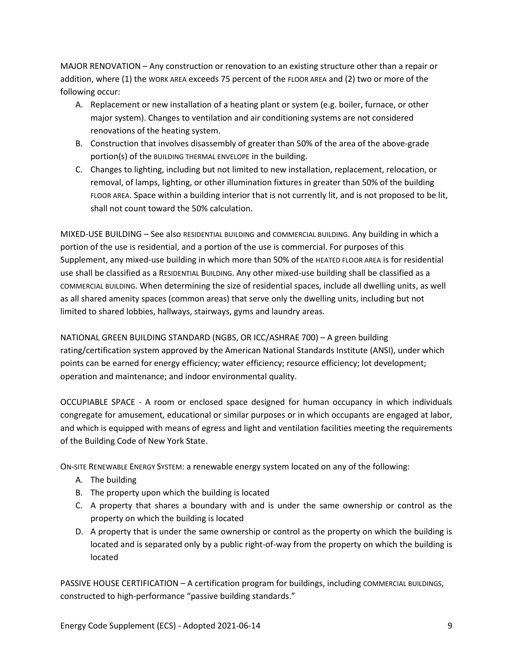MAJOR RENOVATION – Any construction or renovation to an existing structure other than a repair or addition, where (1) the WORK AREA exceeds 75 percent of the FLOOR AREA and (2) two or more of the following occur:

- A. Replacement or new installation of a heating plant or system (e.g. boiler, furnace, or other major system). Changes to ventilation and air conditioning systems are not considered renovations of the heating system.
- B. Construction that involves disassembly of greater than 50% of the area of the above-grade portion(s) of the BUILDING THERMAL ENVELOPE in the building.
- C. Changes to lighting, including but not limited to new installation, replacement, relocation, or removal, of lamps, lighting, or other illumination fixtures in greater than 50% of the building FLOOR AREA. Space within a building interior that is not currently lit, and is not proposed to be lit, shall not count toward the 50% calculation.

MIXED-USE BUILDING – See also RESIDENTIAL BUILDING and COMMERCIAL BUILDING. Any building in which a portion of the use is residential, and a portion of the use is commercial. For purposes of this Supplement, any mixed-use building in which more than 50% of the HEATED FLOOR AREA is for residential use shall be classified as a RESIDENTIAL BUILDING. Any other mixed-use building shall be classified as a COMMERCIAL BUILDING. When determining the size of residential spaces, include all dwelling units, as well as all shared amenity spaces (common areas) that serve only the dwelling units, including but not limited to shared lobbies, hallways, stairways, gyms and laundry areas.

NATIONAL GREEN BUILDING STANDARD (NGBS, OR ICC/ASHRAE 700) – A green building rating/certification system approved by the American National Standards Institute (ANSI), under which points can be earned for energy efficiency; water efficiency; resource efficiency; lot development; operation and maintenance; and indoor environmental quality.

OCCUPIABLE SPACE - A room or enclosed space designed for human occupancy in which individuals congregate for amusement, educational or similar purposes or in which occupants are engaged at labor, and which is equipped with means of egress and light and ventilation facilities meeting the requirements of the Building Code of New York State.

ON-SITE RENEWABLE ENERGY SYSTEM: a renewable energy system located on any of the following:

- A. The building
- B. The property upon which the building is located
- C. A property that shares a boundary with and is under the same ownership or control as the property on which the building is located
- D. A property that is under the same ownership or control as the property on which the building is located and is separated only by a public right-of-way from the property on which the building is located

PASSIVE HOUSE CERTIFICATION – A certification program for buildings, including COMMERCIAL BUILDINGS, constructed to high-performance "passive building standards."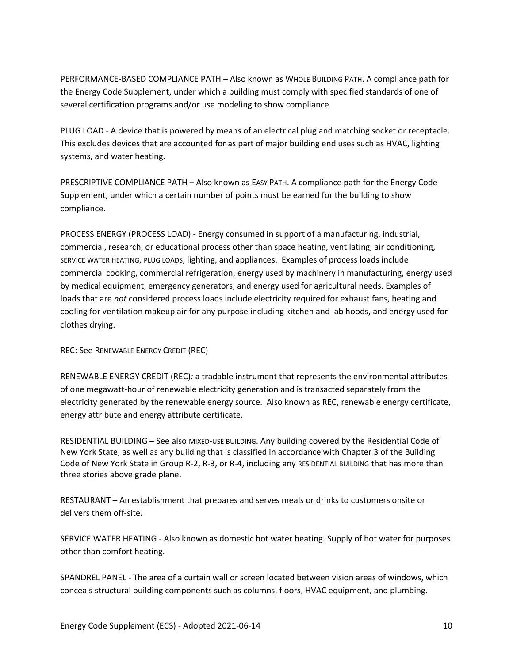PERFORMANCE-BASED COMPLIANCE PATH – Also known as WHOLE BUILDING PATH. A compliance path for the Energy Code Supplement, under which a building must comply with specified standards of one of several certification programs and/or use modeling to show compliance.

PLUG LOAD - A device that is powered by means of an electrical plug and matching socket or receptacle. This excludes devices that are accounted for as part of major building end uses such as HVAC, lighting systems, and water heating.

PRESCRIPTIVE COMPLIANCE PATH – Also known as EASY PATH. A compliance path for the Energy Code Supplement, under which a certain number of points must be earned for the building to show compliance.

PROCESS ENERGY (PROCESS LOAD) - Energy consumed in support of a manufacturing, industrial, commercial, research, or educational process other than space heating, ventilating, air conditioning, SERVICE WATER HEATING, PLUG LOADS, lighting, and appliances. Examples of process loads include commercial cooking, commercial refrigeration, energy used by machinery in manufacturing, energy used by medical equipment, emergency generators, and energy used for agricultural needs. Examples of loads that are *not* considered process loads include electricity required for exhaust fans, heating and cooling for ventilation makeup air for any purpose including kitchen and lab hoods, and energy used for clothes drying.

REC: See RENEWABLE ENERGY CREDIT (REC)

RENEWABLE ENERGY CREDIT (REC)*:* a tradable instrument that represents the environmental attributes of one megawatt-hour of renewable electricity generation and is transacted separately from the electricity generated by the renewable energy source. Also known as REC, renewable energy certificate, energy attribute and energy attribute certificate.

RESIDENTIAL BUILDING – See also MIXED-USE BUILDING. Any building covered by the Residential Code of New York State, as well as any building that is classified in accordance with Chapter 3 of the Building Code of New York State in Group R-2, R-3, or R-4, including any RESIDENTIAL BUILDING that has more than three stories above grade plane.

RESTAURANT – An establishment that prepares and serves meals or drinks to customers onsite or delivers them off-site.

SERVICE WATER HEATING - Also known as domestic hot water heating. Supply of hot water for purposes other than comfort heating.

SPANDREL PANEL - The area of a curtain wall or screen located between vision areas of windows, which conceals structural building components such as columns, floors, HVAC equipment, and plumbing.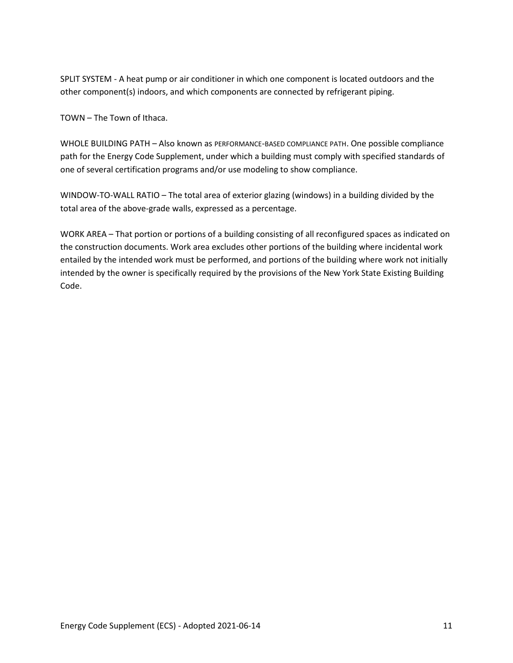SPLIT SYSTEM - A heat pump or air conditioner in which one component is located outdoors and the other component(s) indoors, and which components are connected by refrigerant piping.

TOWN – The Town of Ithaca.

WHOLE BUILDING PATH – Also known as PERFORMANCE-BASED COMPLIANCE PATH. One possible compliance path for the Energy Code Supplement, under which a building must comply with specified standards of one of several certification programs and/or use modeling to show compliance.

WINDOW-TO-WALL RATIO – The total area of exterior glazing (windows) in a building divided by the total area of the above-grade walls, expressed as a percentage.

WORK AREA – That portion or portions of a building consisting of all reconfigured spaces as indicated on the construction documents. Work area excludes other portions of the building where incidental work entailed by the intended work must be performed, and portions of the building where work not initially intended by the owner is specifically required by the provisions of the New York State Existing Building Code.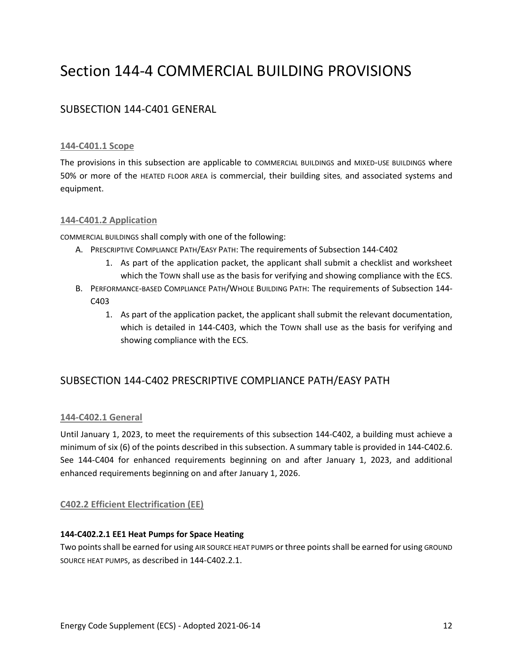## Section 144-4 COMMERCIAL BUILDING PROVISIONS

## SUBSECTION 144-C401 GENERAL

#### **144-C401.1 Scope**

The provisions in this subsection are applicable to COMMERCIAL BUILDINGS and MIXED-USE BUILDINGS where 50% or more of the HEATED FLOOR AREA is commercial, their building sites, and associated systems and equipment.

#### **144-C401.2 Application**

COMMERCIAL BUILDINGS shall comply with one of the following:

- A. PRESCRIPTIVE COMPLIANCE PATH/EASY PATH: The requirements of Subsection 144-C402
	- 1. As part of the application packet, the applicant shall submit a checklist and worksheet which the TOWN shall use as the basis for verifying and showing compliance with the ECS.
- B. PERFORMANCE-BASED COMPLIANCE PATH/WHOLE BUILDING PATH: The requirements of Subsection 144- C403
	- 1. As part of the application packet, the applicant shall submit the relevant documentation, which is detailed in 144-C403, which the TOWN shall use as the basis for verifying and showing compliance with the ECS.

## SUBSECTION 144-C402 PRESCRIPTIVE COMPLIANCE PATH/EASY PATH

#### **144-C402.1 General**

Until January 1, 2023, to meet the requirements of this subsection 144-C402, a building must achieve a minimum of six (6) of the points described in this subsection. A summary table is provided in 144-C402.6. See 144-C404 for enhanced requirements beginning on and after January 1, 2023, and additional enhanced requirements beginning on and after January 1, 2026.

#### **C402.2 Efficient Electrification (EE)**

#### **144-C402.2.1 EE1 Heat Pumps for Space Heating**

Two points shall be earned for using AIR SOURCE HEAT PUMPS or three pointsshall be earned for using GROUND SOURCE HEAT PUMPS, as described in 144-C402.2.1.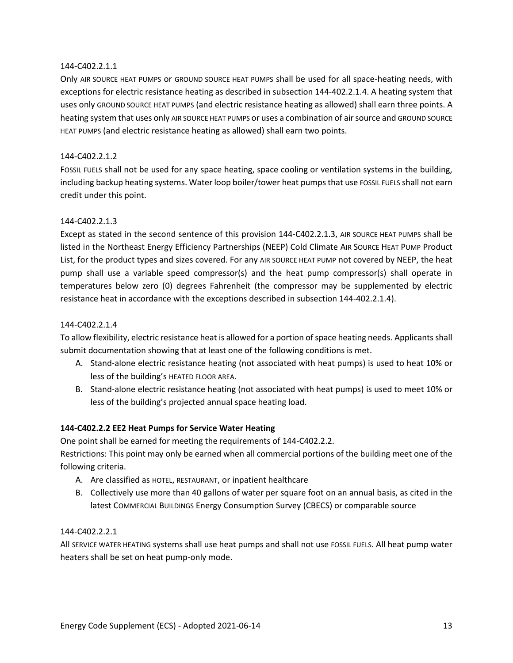#### 144-C402.2.1.1

Only AIR SOURCE HEAT PUMPS or GROUND SOURCE HEAT PUMPS shall be used for all space-heating needs, with exceptions for electric resistance heating as described in subsection 144-402.2.1.4. A heating system that uses only GROUND SOURCE HEAT PUMPS (and electric resistance heating as allowed) shall earn three points. A heating system that uses only AIR SOURCE HEAT PUMPS or uses a combination of air source and GROUND SOURCE HEAT PUMPS (and electric resistance heating as allowed) shall earn two points.

#### 144-C402.2.1.2

FOSSIL FUELS shall not be used for any space heating, space cooling or ventilation systems in the building, including backup heating systems. Water loop boiler/tower heat pumps that use FOSSIL FUELS shall not earn credit under this point.

#### 144-C402.2.1.3

Except as stated in the second sentence of this provision 144-C402.2.1.3, AIR SOURCE HEAT PUMPS shall be listed in the Northeast Energy Efficiency Partnerships (NEEP) Cold Climate AIR SOURCE HEAT PUMP Product List, for the product types and sizes covered. For any AIR SOURCE HEAT PUMP not covered by NEEP, the heat pump shall use a variable speed compressor(s) and the heat pump compressor(s) shall operate in temperatures below zero (0) degrees Fahrenheit (the compressor may be supplemented by electric resistance heat in accordance with the exceptions described in subsection 144-402.2.1.4).

#### 144-C402.2.1.4

To allow flexibility, electric resistance heat is allowed for a portion of space heating needs. Applicants shall submit documentation showing that at least one of the following conditions is met.

- A. Stand-alone electric resistance heating (not associated with heat pumps) is used to heat 10% or less of the building's HEATED FLOOR AREA.
- B. Stand-alone electric resistance heating (not associated with heat pumps) is used to meet 10% or less of the building's projected annual space heating load.

#### **144-C402.2.2 EE2 Heat Pumps for Service Water Heating**

One point shall be earned for meeting the requirements of 144-C402.2.2.

Restrictions: This point may only be earned when all commercial portions of the building meet one of the following criteria.

- A. Are classified as HOTEL, RESTAURANT, or inpatient healthcare
- B. Collectively use more than 40 gallons of water per square foot on an annual basis, as cited in the latest COMMERCIAL BUILDINGS Energy Consumption Survey (CBECS) or comparable source

#### 144-C402.2.2.1

All SERVICE WATER HEATING systems shall use heat pumps and shall not use FOSSIL FUELS. All heat pump water heaters shall be set on heat pump-only mode.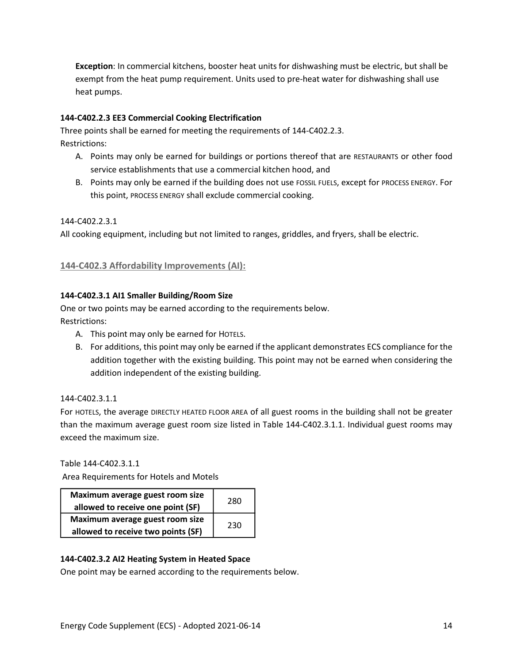**Exception**: In commercial kitchens, booster heat units for dishwashing must be electric, but shall be exempt from the heat pump requirement. Units used to pre-heat water for dishwashing shall use heat pumps.

#### **144-C402.2.3 EE3 Commercial Cooking Electrification**

Three points shall be earned for meeting the requirements of 144-C402.2.3. Restrictions:

- A. Points may only be earned for buildings or portions thereof that are RESTAURANTS or other food service establishments that use a commercial kitchen hood, and
- B. Points may only be earned if the building does not use FOSSIL FUELS, except for PROCESS ENERGY. For this point, PROCESS ENERGY shall exclude commercial cooking.

#### 144-C402.2.3.1

All cooking equipment, including but not limited to ranges, griddles, and fryers, shall be electric.

#### **144-C402.3 Affordability Improvements (AI):**

#### **144-C402.3.1 AI1 Smaller Building/Room Size**

One or two points may be earned according to the requirements below. Restrictions:

- A. This point may only be earned for HOTELS.
- B. For additions, this point may only be earned if the applicant demonstrates ECS compliance for the addition together with the existing building. This point may not be earned when considering the addition independent of the existing building.

#### 144-C402.3.1.1

For HOTELS, the average DIRECTLY HEATED FLOOR AREA of all guest rooms in the building shall not be greater than the maximum average guest room size listed in Table 144-C402.3.1.1. Individual guest rooms may exceed the maximum size.

Table 144-C402.3.1.1

Area Requirements for Hotels and Motels

| Maximum average guest room size<br>allowed to receive one point (SF)  | 280 |
|-----------------------------------------------------------------------|-----|
| Maximum average guest room size<br>allowed to receive two points (SF) | 230 |

#### **144-C402.3.2 AI2 Heating System in Heated Space**

One point may be earned according to the requirements below.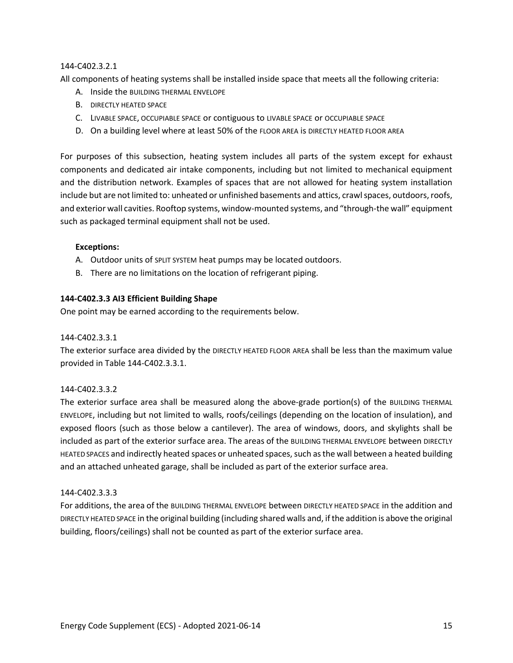#### 144-C402.3.2.1

All components of heating systems shall be installed inside space that meets all the following criteria:

- A. Inside the BUILDING THERMAL ENVELOPE
- B. DIRECTLY HEATED SPACE
- C. LIVABLE SPACE, OCCUPIABLE SPACE or contiguous to LIVABLE SPACE or OCCUPIABLE SPACE
- D. On a building level where at least 50% of the FLOOR AREA is DIRECTLY HEATED FLOOR AREA

For purposes of this subsection, heating system includes all parts of the system except for exhaust components and dedicated air intake components, including but not limited to mechanical equipment and the distribution network. Examples of spaces that are not allowed for heating system installation include but are not limited to: unheated or unfinished basements and attics, crawl spaces, outdoors, roofs, and exterior wall cavities. Rooftop systems, window-mounted systems, and "through-the wall" equipment such as packaged terminal equipment shall not be used.

#### **Exceptions:**

- A. Outdoor units of SPLIT SYSTEM heat pumps may be located outdoors.
- B. There are no limitations on the location of refrigerant piping.

#### **144-C402.3.3 AI3 Efficient Building Shape**

One point may be earned according to the requirements below.

#### 144-C402.3.3.1

The exterior surface area divided by the DIRECTLY HEATED FLOOR AREA shall be less than the maximum value provided in Table 144-C402.3.3.1.

#### 144-C402.3.3.2

The exterior surface area shall be measured along the above-grade portion(s) of the BUILDING THERMAL ENVELOPE, including but not limited to walls, roofs/ceilings (depending on the location of insulation), and exposed floors (such as those below a cantilever). The area of windows, doors, and skylights shall be included as part of the exterior surface area. The areas of the BUILDING THERMAL ENVELOPE between DIRECTLY HEATED SPACES and indirectly heated spaces or unheated spaces, such as the wall between a heated building and an attached unheated garage, shall be included as part of the exterior surface area.

#### 144-C402.3.3.3

For additions, the area of the BUILDING THERMAL ENVELOPE between DIRECTLY HEATED SPACE in the addition and DIRECTLY HEATED SPACE in the original building (including shared walls and, if the addition is above the original building, floors/ceilings) shall not be counted as part of the exterior surface area.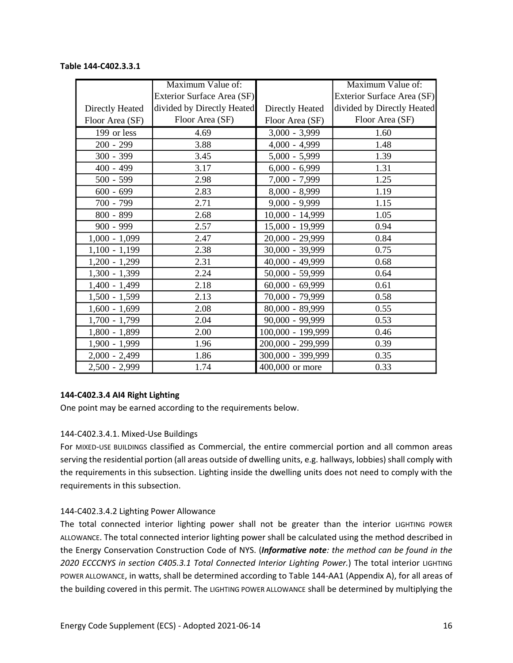## **Table 144-C402.3.3.1**

|                 | Maximum Value of:          |                            | Maximum Value of:          |
|-----------------|----------------------------|----------------------------|----------------------------|
|                 | Exterior Surface Area (SF) |                            | Exterior Surface Area (SF) |
| Directly Heated | divided by Directly Heated | Directly Heated            | divided by Directly Heated |
| Floor Area (SF) | Floor Area (SF)            | Floor Area (SF)            | Floor Area (SF)            |
| 199 or less     | 4.69                       | $\overline{3,000}$ - 3,999 | 1.60                       |
| $200 - 299$     | 3.88                       | $4,000 - 4,999$            | 1.48                       |
| 300 - 399       | 3.45                       | $5,000 - 5,999$            | 1.39                       |
| $400 - 499$     | 3.17                       | $6,000 - 6,999$            | 1.31                       |
| $500 - 599$     | 2.98                       | 7,000 - 7,999              | 1.25                       |
| $600 - 699$     | 2.83                       | $8,000 - 8,999$            | 1.19                       |
| 700 - 799       | 2.71                       | $9,000 - 9,999$            | 1.15                       |
| 800 - 899       | 2.68                       | $10,000 - 14,999$          | 1.05                       |
| $900 - 999$     | 2.57                       | 15,000 - 19,999            | 0.94                       |
| $1,000 - 1,099$ | 2.47                       | 20,000 - 29,999            | 0.84                       |
| $1,100 - 1,199$ | 2.38                       | 30,000 - 39,999            | 0.75                       |
| $1,200 - 1,299$ | 2.31                       | 40,000 - 49,999            | 0.68                       |
| $1,300 - 1,399$ | 2.24                       | 50,000 - 59,999            | 0.64                       |
| $1,400 - 1,499$ | 2.18                       | $60,000 - 69,999$          | 0.61                       |
| $1,500 - 1,599$ | 2.13                       | 70,000 - 79,999            | 0.58                       |
| $1,600 - 1,699$ | 2.08                       | 80,000 - 89,999            | 0.55                       |
| $1,700 - 1,799$ | 2.04                       | 90,000 - 99,999            | 0.53                       |
| 1,800 - 1,899   | 2.00                       | 100,000 - 199,999          | 0.46                       |
| 1,900 - 1,999   | 1.96                       | 200,000 - 299,999          | 0.39                       |
| $2,000 - 2,499$ | 1.86                       | 300,000 - 399,999          | 0.35                       |
| 2,500 - 2,999   | 1.74                       | 400,000 or more            | 0.33                       |

#### **144-C402.3.4 AI4 Right Lighting**

One point may be earned according to the requirements below.

#### 144-C402.3.4.1. Mixed-Use Buildings

For MIXED-USE BUILDINGS classified as Commercial, the entire commercial portion and all common areas serving the residential portion (all areas outside of dwelling units, e.g. hallways, lobbies) shall comply with the requirements in this subsection. Lighting inside the dwelling units does not need to comply with the requirements in this subsection.

#### 144-C402.3.4.2 Lighting Power Allowance

The total connected interior lighting power shall not be greater than the interior LIGHTING POWER ALLOWANCE. The total connected interior lighting power shall be calculated using the method described in the Energy Conservation Construction Code of NYS. (*Informative note: the method can be found in the 2020 ECCCNYS in section C405.3.1 Total Connected Interior Lighting Power.*) The total interior LIGHTING POWER ALLOWANCE, in watts, shall be determined according to Table 144-AA1 (Appendix A), for all areas of the building covered in this permit. The LIGHTING POWER ALLOWANCE shall be determined by multiplying the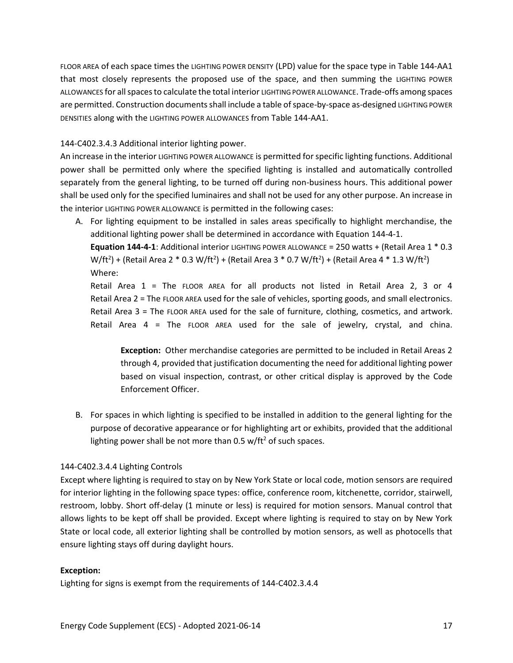FLOOR AREA of each space times the LIGHTING POWER DENSITY (LPD) value for the space type in Table 144-AA1 that most closely represents the proposed use of the space, and then summing the LIGHTING POWER ALLOWANCES for all spaces to calculate the total interior LIGHTING POWER ALLOWANCE. Trade-offs among spaces are permitted. Construction documents shall include a table of space-by-space as-designed LIGHTING POWER DENSITIES along with the LIGHTING POWER ALLOWANCES from Table 144-AA1.

#### 144-C402.3.4.3 Additional interior lighting power.

An increase in the interior LIGHTING POWER ALLOWANCE is permitted for specific lighting functions. Additional power shall be permitted only where the specified lighting is installed and automatically controlled separately from the general lighting, to be turned off during non-business hours. This additional power shall be used only for the specified luminaires and shall not be used for any other purpose. An increase in the interior LIGHTING POWER ALLOWANCE is permitted in the following cases:

A. For lighting equipment to be installed in sales areas specifically to highlight merchandise, the additional lighting power shall be determined in accordance with Equation 144-4-1.

**Equation 144-4-1**: Additional interior LIGHTING POWER ALLOWANCE = 250 watts + (Retail Area 1 \* 0.3 W/ft<sup>2</sup>) + (Retail Area 2 \* 0.3 W/ft<sup>2</sup>) + (Retail Area 3 \* 0.7 W/ft<sup>2</sup>) + (Retail Area 4 \* 1.3 W/ft<sup>2</sup>) Where:

Retail Area 1 = The FLOOR AREA for all products not listed in Retail Area 2, 3 or 4 Retail Area 2 = The FLOOR AREA used for the sale of vehicles, sporting goods, and small electronics. Retail Area 3 = The FLOOR AREA used for the sale of furniture, clothing, cosmetics, and artwork. Retail Area 4 = The FLOOR AREA used for the sale of jewelry, crystal, and china.

**Exception:** Other merchandise categories are permitted to be included in Retail Areas 2 through 4, provided that justification documenting the need for additional lighting power based on visual inspection, contrast, or other critical display is approved by the Code Enforcement Officer.

B. For spaces in which lighting is specified to be installed in addition to the general lighting for the purpose of decorative appearance or for highlighting art or exhibits, provided that the additional lighting power shall be not more than  $0.5$  w/ft<sup>2</sup> of such spaces.

#### 144-C402.3.4.4 Lighting Controls

Except where lighting is required to stay on by New York State or local code, motion sensors are required for interior lighting in the following space types: office, conference room, kitchenette, corridor, stairwell, restroom, lobby. Short off-delay (1 minute or less) is required for motion sensors. Manual control that allows lights to be kept off shall be provided. Except where lighting is required to stay on by New York State or local code, all exterior lighting shall be controlled by motion sensors, as well as photocells that ensure lighting stays off during daylight hours.

#### **Exception:**

Lighting for signs is exempt from the requirements of 144-C402.3.4.4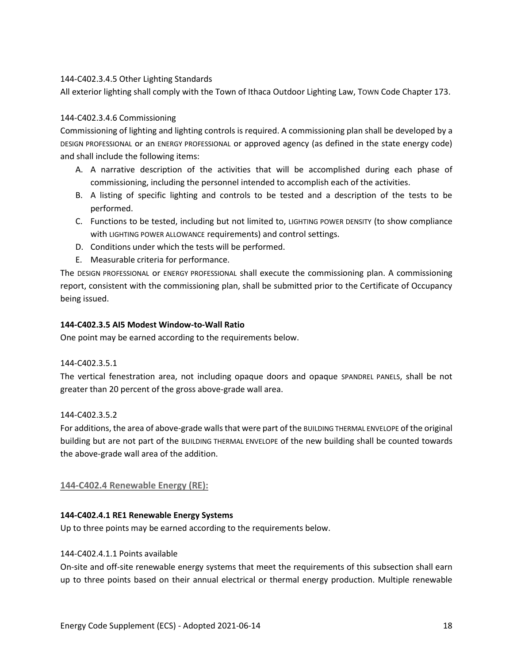#### 144-C402.3.4.5 Other Lighting Standards

All exterior lighting shall comply with the Town of Ithaca Outdoor Lighting Law, TOWN Code Chapter 173.

#### 144-C402.3.4.6 Commissioning

Commissioning of lighting and lighting controls is required. A commissioning plan shall be developed by a DESIGN PROFESSIONAL or an ENERGY PROFESSIONAL or approved agency (as defined in the state energy code) and shall include the following items:

- A. A narrative description of the activities that will be accomplished during each phase of commissioning, including the personnel intended to accomplish each of the activities.
- B. A listing of specific lighting and controls to be tested and a description of the tests to be performed.
- C. Functions to be tested, including but not limited to, LIGHTING POWER DENSITY (to show compliance with LIGHTING POWER ALLOWANCE requirements) and control settings.
- D. Conditions under which the tests will be performed.
- E. Measurable criteria for performance.

The DESIGN PROFESSIONAL or ENERGY PROFESSIONAL shall execute the commissioning plan. A commissioning report, consistent with the commissioning plan, shall be submitted prior to the Certificate of Occupancy being issued.

#### **144-C402.3.5 AI5 Modest Window-to-Wall Ratio**

One point may be earned according to the requirements below.

#### 144-C402.3.5.1

The vertical fenestration area, not including opaque doors and opaque SPANDREL PANELS, shall be not greater than 20 percent of the gross above-grade wall area.

#### 144-C402.3.5.2

For additions, the area of above-grade walls that were part of the BUILDING THERMAL ENVELOPE of the original building but are not part of the BUILDING THERMAL ENVELOPE of the new building shall be counted towards the above-grade wall area of the addition.

#### **144-C402.4 Renewable Energy (RE):**

#### **144-C402.4.1 RE1 Renewable Energy Systems**

Up to three points may be earned according to the requirements below.

#### 144-C402.4.1.1 Points available

On-site and off-site renewable energy systems that meet the requirements of this subsection shall earn up to three points based on their annual electrical or thermal energy production. Multiple renewable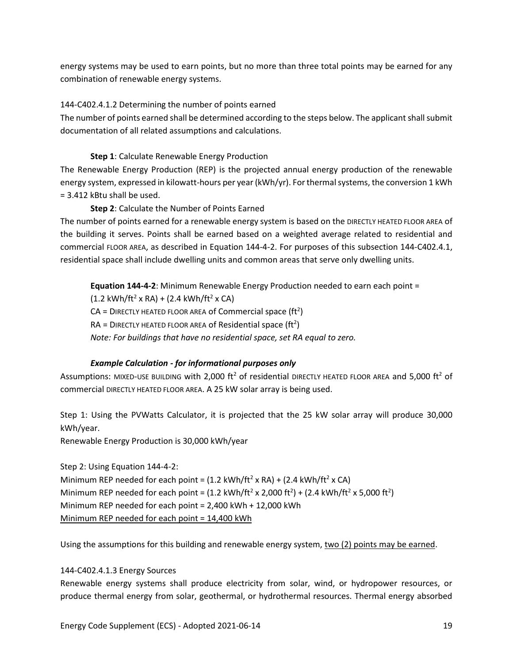energy systems may be used to earn points, but no more than three total points may be earned for any combination of renewable energy systems.

#### 144-C402.4.1.2 Determining the number of points earned

The number of points earned shall be determined according to the steps below. The applicant shall submit documentation of all related assumptions and calculations.

#### **Step 1**: Calculate Renewable Energy Production

The Renewable Energy Production (REP) is the projected annual energy production of the renewable energy system, expressed in kilowatt-hours per year (kWh/yr). For thermal systems, the conversion 1 kWh = 3.412 kBtu shall be used.

#### **Step 2**: Calculate the Number of Points Earned

The number of points earned for a renewable energy system is based on the DIRECTLY HEATED FLOOR AREA of the building it serves. Points shall be earned based on a weighted average related to residential and commercial FLOOR AREA, as described in Equation 144-4-2. For purposes of this subsection 144-C402.4.1, residential space shall include dwelling units and common areas that serve only dwelling units.

**Equation 144-4-2**: Minimum Renewable Energy Production needed to earn each point =  $(1.2 \text{ kWh/ft}^2 \times \text{RA}) + (2.4 \text{ kWh/ft}^2 \times \text{CA})$  $CA =$  DIRECTLY HEATED FLOOR AREA of Commercial space (ft<sup>2</sup>)  $RA = D$ IRECTLY HEATED FLOOR AREA of Residential space (ft<sup>2</sup>) *Note: For buildings that have no residential space, set RA equal to zero.*

#### *Example Calculation - for informational purposes only*

Assumptions: MIXED-USE BUILDING with 2,000 ft<sup>2</sup> of residential DIRECTLY HEATED FLOOR AREA and 5,000 ft<sup>2</sup> of commercial DIRECTLY HEATED FLOOR AREA. A 25 kW solar array is being used.

Step 1: Using the PVWatts Calculator, it is projected that the 25 kW solar array will produce 30,000 kWh/year.

Renewable Energy Production is 30,000 kWh/year

Step 2: Using Equation 144-4-2: Minimum REP needed for each point =  $(1.2 \text{ kWh/ft}^2 \times \text{RA}) + (2.4 \text{ kWh/ft}^2 \times \text{CA})$ Minimum REP needed for each point =  $(1.2 \text{ kWh/ft}^2 \times 2,000 \text{ ft}^2) + (2.4 \text{ kWh/ft}^2 \times 5,000 \text{ ft}^2)$ Minimum REP needed for each point = 2,400 kWh + 12,000 kWh Minimum REP needed for each point = 14,400 kWh

Using the assumptions for this building and renewable energy system, two (2) points may be earned.

#### 144-C402.4.1.3 Energy Sources

Renewable energy systems shall produce electricity from solar, wind, or hydropower resources, or produce thermal energy from solar, geothermal, or hydrothermal resources. Thermal energy absorbed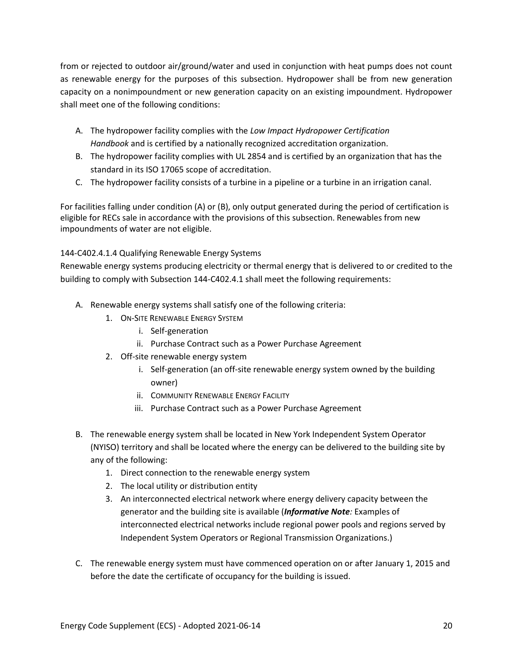from or rejected to outdoor air/ground/water and used in conjunction with heat pumps does not count as renewable energy for the purposes of this subsection. Hydropower shall be from new generation capacity on a nonimpoundment or new generation capacity on an existing impoundment. Hydropower shall meet one of the following conditions:

- A. The hydropower facility complies with the *Low Impact Hydropower Certification Handbook* and is certified by a nationally recognized accreditation organization.
- B. The hydropower facility complies with UL 2854 and is certified by an organization that has the standard in its ISO 17065 scope of accreditation.
- C. The hydropower facility consists of a turbine in a pipeline or a turbine in an irrigation canal.

For facilities falling under condition (A) or (B), only output generated during the period of certification is eligible for RECs sale in accordance with the provisions of this subsection. Renewables from new impoundments of water are not eligible.

#### 144-C402.4.1.4 Qualifying Renewable Energy Systems

Renewable energy systems producing electricity or thermal energy that is delivered to or credited to the building to comply with Subsection 144-C402.4.1 shall meet the following requirements:

- A. Renewable energy systems shall satisfy one of the following criteria:
	- 1. ON-SITE RENEWABLE ENERGY SYSTEM
		- i. Self-generation
		- ii. Purchase Contract such as a Power Purchase Agreement
	- 2. Off-site renewable energy system
		- i. Self-generation (an off-site renewable energy system owned by the building owner)
		- ii. COMMUNITY RENEWABLE ENERGY FACILITY
		- iii. Purchase Contract such as a Power Purchase Agreement
- B. The renewable energy system shall be located in New York Independent System Operator (NYISO) territory and shall be located where the energy can be delivered to the building site by any of the following:
	- 1. Direct connection to the renewable energy system
	- 2. The local utility or distribution entity
	- 3. An interconnected electrical network where energy delivery capacity between the generator and the building site is available (*Informative Note:* Examples of interconnected electrical networks include regional power pools and regions served by Independent System Operators or Regional Transmission Organizations.)
- C. The renewable energy system must have commenced operation on or after January 1, 2015 and before the date the certificate of occupancy for the building is issued.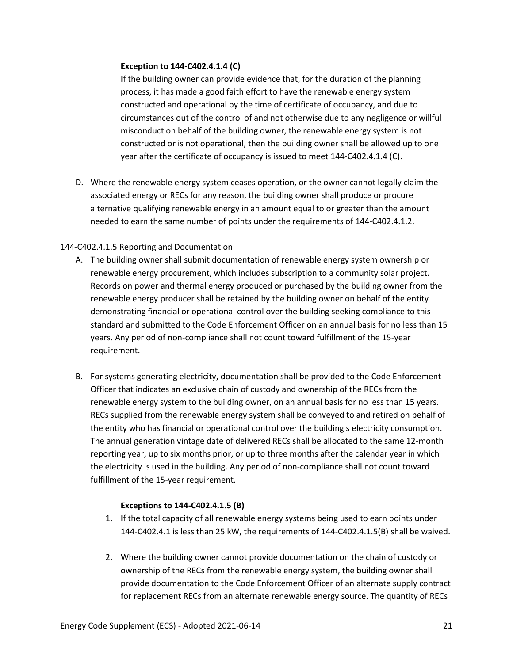#### **Exception to 144-C402.4.1.4 (C)**

If the building owner can provide evidence that, for the duration of the planning process, it has made a good faith effort to have the renewable energy system constructed and operational by the time of certificate of occupancy, and due to circumstances out of the control of and not otherwise due to any negligence or willful misconduct on behalf of the building owner, the renewable energy system is not constructed or is not operational, then the building owner shall be allowed up to one year after the certificate of occupancy is issued to meet 144-C402.4.1.4 (C).

D. Where the renewable energy system ceases operation, or the owner cannot legally claim the associated energy or RECs for any reason, the building owner shall produce or procure alternative qualifying renewable energy in an amount equal to or greater than the amount needed to earn the same number of points under the requirements of 144-C402.4.1.2.

#### 144-C402.4.1.5 Reporting and Documentation

- A. The building owner shall submit documentation of renewable energy system ownership or renewable energy procurement, which includes subscription to a community solar project. Records on power and thermal energy produced or purchased by the building owner from the renewable energy producer shall be retained by the building owner on behalf of the entity demonstrating financial or operational control over the building seeking compliance to this standard and submitted to the Code Enforcement Officer on an annual basis for no less than 15 years. Any period of non-compliance shall not count toward fulfillment of the 15-year requirement.
- B. For systems generating electricity, documentation shall be provided to the Code Enforcement Officer that indicates an exclusive chain of custody and ownership of the RECs from the renewable energy system to the building owner, on an annual basis for no less than 15 years. RECs supplied from the renewable energy system shall be conveyed to and retired on behalf of the entity who has financial or operational control over the building's electricity consumption. The annual generation vintage date of delivered RECs shall be allocated to the same 12-month reporting year, up to six months prior, or up to three months after the calendar year in which the electricity is used in the building. Any period of non-compliance shall not count toward fulfillment of the 15-year requirement.

#### **Exceptions to 144-C402.4.1.5 (B)**

- 1. If the total capacity of all renewable energy systems being used to earn points under 144-C402.4.1 is less than 25 kW, the requirements of 144-C402.4.1.5(B) shall be waived.
- 2. Where the building owner cannot provide documentation on the chain of custody or ownership of the RECs from the renewable energy system, the building owner shall provide documentation to the Code Enforcement Officer of an alternate supply contract for replacement RECs from an alternate renewable energy source. The quantity of RECs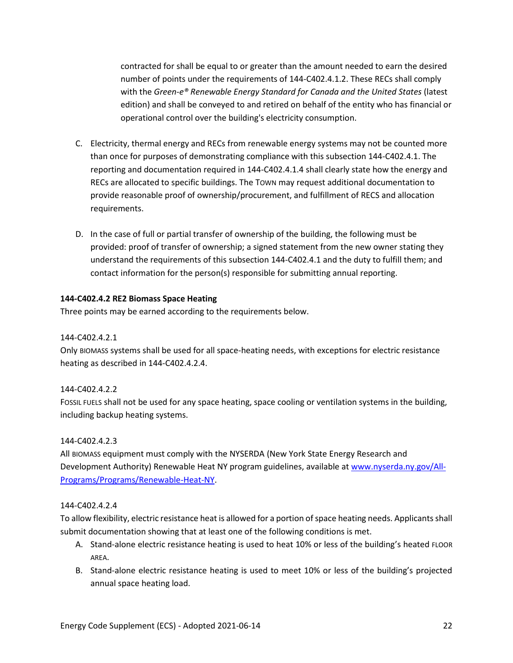contracted for shall be equal to or greater than the amount needed to earn the desired number of points under the requirements of 144-C402.4.1.2. These RECs shall comply with the *Green-e® Renewable Energy Standard for Canada and the United States* (latest edition) and shall be conveyed to and retired on behalf of the entity who has financial or operational control over the building's electricity consumption.

- C. Electricity, thermal energy and RECs from renewable energy systems may not be counted more than once for purposes of demonstrating compliance with this subsection 144-C402.4.1. The reporting and documentation required in 144-C402.4.1.4 shall clearly state how the energy and RECs are allocated to specific buildings. The TOWN may request additional documentation to provide reasonable proof of ownership/procurement, and fulfillment of RECS and allocation requirements.
- D. In the case of full or partial transfer of ownership of the building, the following must be provided: proof of transfer of ownership; a signed statement from the new owner stating they understand the requirements of this subsection 144-C402.4.1 and the duty to fulfill them; and contact information for the person(s) responsible for submitting annual reporting.

#### **144-C402.4.2 RE2 Biomass Space Heating**

Three points may be earned according to the requirements below.

#### 144-C402.4.2.1

Only BIOMASS systems shall be used for all space-heating needs, with exceptions for electric resistance heating as described in 144-C402.4.2.4.

#### 144-C402.4.2.2

FOSSIL FUELS shall not be used for any space heating, space cooling or ventilation systems in the building, including backup heating systems.

#### 144-C402.4.2.3

All BIOMASS equipment must comply with the NYSERDA (New York State Energy Research and Development Authority) Renewable Heat NY program guidelines, available at [www.nyserda.ny.gov/All-](http://www.nyserda.ny.gov/All-Programs/Programs/Renewable-Heat-NY)[Programs/Programs/Renewable-Heat-NY.](http://www.nyserda.ny.gov/All-Programs/Programs/Renewable-Heat-NY)

#### 144-C402.4.2.4

To allow flexibility, electric resistance heat is allowed for a portion of space heating needs. Applicants shall submit documentation showing that at least one of the following conditions is met.

- A. Stand-alone electric resistance heating is used to heat 10% or less of the building's heated FLOOR AREA.
- B. Stand-alone electric resistance heating is used to meet 10% or less of the building's projected annual space heating load.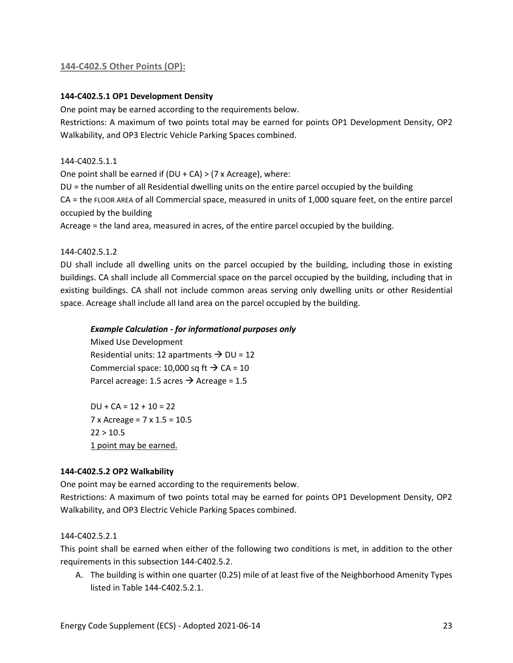#### **144-C402.5 Other Points (OP):**

#### **144-C402.5.1 OP1 Development Density**

One point may be earned according to the requirements below.

Restrictions: A maximum of two points total may be earned for points OP1 Development Density, OP2 Walkability, and OP3 Electric Vehicle Parking Spaces combined.

#### 144-C402.5.1.1

One point shall be earned if  $(DU + CA) > (7 \times A)$ creage), where:

DU = the number of all Residential dwelling units on the entire parcel occupied by the building

CA = the FLOOR AREA of all Commercial space, measured in units of 1,000 square feet, on the entire parcel occupied by the building

Acreage = the land area, measured in acres, of the entire parcel occupied by the building.

144-C402.5.1.2

DU shall include all dwelling units on the parcel occupied by the building, including those in existing buildings. CA shall include all Commercial space on the parcel occupied by the building, including that in existing buildings. CA shall not include common areas serving only dwelling units or other Residential space. Acreage shall include all land area on the parcel occupied by the building.

#### *Example Calculation - for informational purposes only*

Mixed Use Development Residential units: 12 apartments  $\rightarrow$  DU = 12 Commercial space: 10,000 sq ft  $\rightarrow$  CA = 10 Parcel acreage: 1.5 acres  $\rightarrow$  Acreage = 1.5

 $DU + CA = 12 + 10 = 22$ 7 x Acreage = 7 x 1.5 = 10.5  $22 > 10.5$ 1 point may be earned.

#### **144-C402.5.2 OP2 Walkability**

One point may be earned according to the requirements below.

Restrictions: A maximum of two points total may be earned for points OP1 Development Density, OP2 Walkability, and OP3 Electric Vehicle Parking Spaces combined.

#### 144-C402.5.2.1

This point shall be earned when either of the following two conditions is met, in addition to the other requirements in this subsection 144-C402.5.2.

A. The building is within one quarter (0.25) mile of at least five of the Neighborhood Amenity Types listed in Table 144-C402.5.2.1.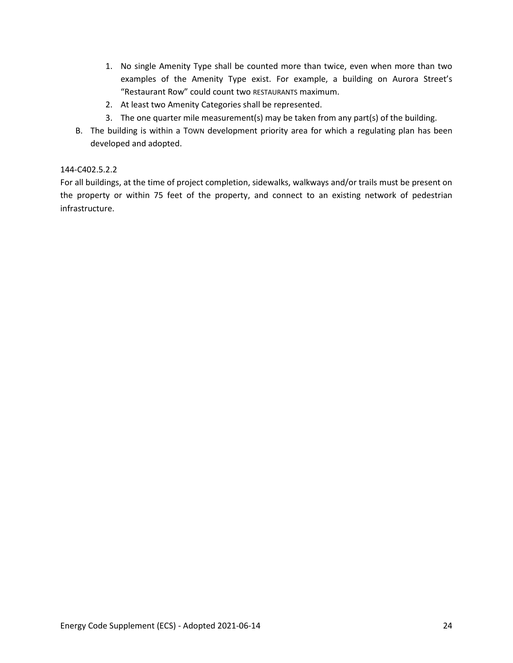- 1. No single Amenity Type shall be counted more than twice, even when more than two examples of the Amenity Type exist. For example, a building on Aurora Street's "Restaurant Row" could count two RESTAURANTS maximum.
- 2. At least two Amenity Categories shall be represented.
- 3. The one quarter mile measurement(s) may be taken from any part(s) of the building.
- B. The building is within a TOWN development priority area for which a regulating plan has been developed and adopted.

#### 144-C402.5.2.2

For all buildings, at the time of project completion, sidewalks, walkways and/or trails must be present on the property or within 75 feet of the property, and connect to an existing network of pedestrian infrastructure.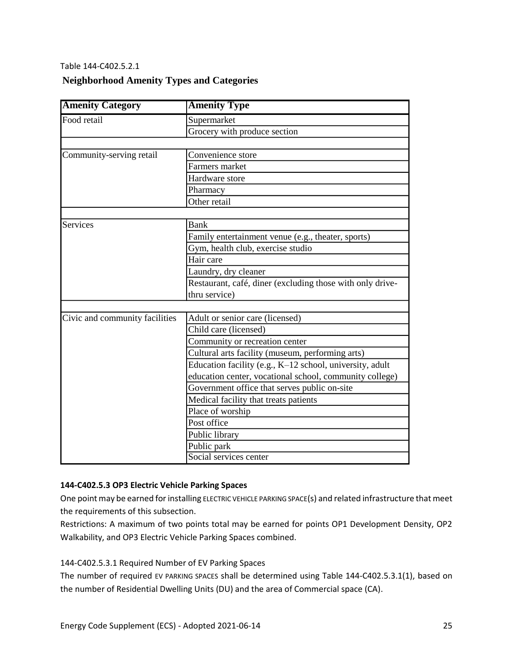#### Table 144-C402.5.2.1

#### **Neighborhood Amenity Types and Categories**

| <b>Amenity Category</b>        | <b>Amenity Type</b>                                       |  |  |  |
|--------------------------------|-----------------------------------------------------------|--|--|--|
| Food retail                    | Supermarket                                               |  |  |  |
|                                | Grocery with produce section                              |  |  |  |
|                                |                                                           |  |  |  |
| Community-serving retail       | Convenience store                                         |  |  |  |
|                                | Farmers market                                            |  |  |  |
|                                | Hardware store                                            |  |  |  |
|                                | Pharmacy                                                  |  |  |  |
|                                | Other retail                                              |  |  |  |
|                                |                                                           |  |  |  |
| Services                       | Bank                                                      |  |  |  |
|                                | Family entertainment venue (e.g., theater, sports)        |  |  |  |
|                                | Gym, health club, exercise studio                         |  |  |  |
|                                | Hair care                                                 |  |  |  |
|                                | Laundry, dry cleaner                                      |  |  |  |
|                                | Restaurant, café, diner (excluding those with only drive- |  |  |  |
|                                | thru service)                                             |  |  |  |
|                                |                                                           |  |  |  |
| Civic and community facilities | Adult or senior care (licensed)                           |  |  |  |
|                                | Child care (licensed)                                     |  |  |  |
|                                | Community or recreation center                            |  |  |  |
|                                | Cultural arts facility (museum, performing arts)          |  |  |  |
|                                | Education facility (e.g., K-12 school, university, adult  |  |  |  |
|                                | education center, vocational school, community college)   |  |  |  |
|                                | Government office that serves public on-site              |  |  |  |
|                                | Medical facility that treats patients                     |  |  |  |
|                                | Place of worship                                          |  |  |  |
|                                | Post office                                               |  |  |  |
|                                | Public library                                            |  |  |  |
|                                | Public park                                               |  |  |  |
|                                | Social services center                                    |  |  |  |

#### **144-C402.5.3 OP3 Electric Vehicle Parking Spaces**

One point may be earned for installing ELECTRIC VEHICLE PARKING SPACE(s) and related infrastructure that meet the requirements of this subsection.

Restrictions: A maximum of two points total may be earned for points OP1 Development Density, OP2 Walkability, and OP3 Electric Vehicle Parking Spaces combined.

#### 144-C402.5.3.1 Required Number of EV Parking Spaces

The number of required EV PARKING SPACES shall be determined using Table 144-C402.5.3.1(1), based on the number of Residential Dwelling Units (DU) and the area of Commercial space (CA).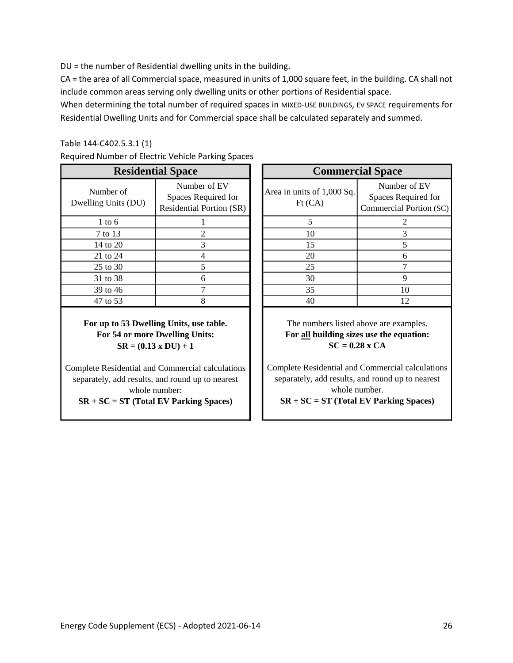DU = the number of Residential dwelling units in the building.

CA = the area of all Commercial space, measured in units of 1,000 square feet, in the building. CA shall not include common areas serving only dwelling units or other portions of Residential space.

When determining the total number of required spaces in MIXED-USE BUILDINGS, EV SPACE requirements for Residential Dwelling Units and for Commercial space shall be calculated separately and summed.

#### Table 144-C402.5.3.1 (1)

|  |  | Required Number of Electric Vehicle Parking Spaces |  |  |  |
|--|--|----------------------------------------------------|--|--|--|
|--|--|----------------------------------------------------|--|--|--|

| <b>Residential Space</b>         |                                                                        |  |                                      | <b>Commercial Space</b>              |
|----------------------------------|------------------------------------------------------------------------|--|--------------------------------------|--------------------------------------|
| Number of<br>Dwelling Units (DU) | Number of EV<br>Spaces Required for<br><b>Residential Portion (SR)</b> |  | Area in units of 1,000 Sq.<br>Ft(CA) | Number<br>Spaces Req<br>Commercial F |
| $1$ to 6                         |                                                                        |  |                                      | 2                                    |
| 7 to 13                          | 2                                                                      |  | 10                                   | 3                                    |
| 14 to 20                         | 3                                                                      |  | 15                                   | 5                                    |
| 21 to 24                         |                                                                        |  | 20                                   | 6                                    |
| 25 to 30                         |                                                                        |  | 25                                   |                                      |
| 31 to 38                         | 6                                                                      |  | 30                                   | 9                                    |
| 39 to 46                         |                                                                        |  | 35                                   | 10                                   |
| 47 to 53                         |                                                                        |  | 40                                   | 12                                   |

**For up to 53 Dwelling Units, use table. For 54 or more Dwelling Units: SR = (0.13 x DU) + 1**

Complete Residential and Commercial calculations separately, add results, and round up to nearest whole number:

**SR + SC = ST (Total EV Parking Spaces)**

| <b>Residential Space</b> |                                                                        | <b>Commercial Space</b>               |                                                                |  |  |
|--------------------------|------------------------------------------------------------------------|---------------------------------------|----------------------------------------------------------------|--|--|
| r of<br>its (DU)         | Number of EV<br>Spaces Required for<br><b>Residential Portion (SR)</b> | Area in units of 1,000 Sq.<br>Ft (CA) | Number of EV<br>Spaces Required for<br>Commercial Portion (SC) |  |  |
| 6                        |                                                                        |                                       |                                                                |  |  |
| $\overline{13}$          |                                                                        | 10                                    |                                                                |  |  |
| 20                       |                                                                        | 15                                    |                                                                |  |  |
| 24                       |                                                                        | 20                                    | 6                                                              |  |  |
| 30                       |                                                                        | 25                                    |                                                                |  |  |
| 38                       |                                                                        | 30                                    |                                                                |  |  |
| 46                       |                                                                        | 35                                    | 10                                                             |  |  |
| $\overline{53}$          |                                                                        | 40                                    | 12                                                             |  |  |
|                          |                                                                        |                                       |                                                                |  |  |

The numbers listed above are examples. **For all building sizes use the equation: SC = 0.28 x CA**

Complete Residential and Commercial calculations separately, add results, and round up to nearest whole number.

**SR + SC = ST (Total EV Parking Spaces)**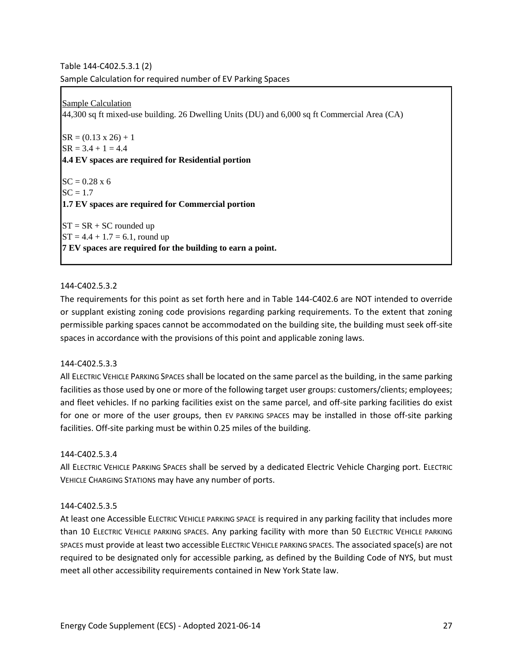Table 144-C402.5.3.1 (2) Sample Calculation for required number of EV Parking Spaces

Sample Calculation 44,300 sq ft mixed-use building. 26 Dwelling Units (DU) and 6,000 sq ft Commercial Area (CA)

 $SR = (0.13 \times 26) + 1$  $SR = 3.4 + 1 = 4.4$ **4.4 EV spaces are required for Residential portion**  $SC = 0.28 \times 6$  $SC = 1.7$ **1.7 EV spaces are required for Commercial portion**  $ST = SR + SC$  rounded up  $ST = 4.4 + 1.7 = 6.1$ , round up **7 EV spaces are required for the building to earn a point.**

#### 144-C402.5.3.2

The requirements for this point as set forth here and in Table 144-C402.6 are NOT intended to override or supplant existing zoning code provisions regarding parking requirements. To the extent that zoning permissible parking spaces cannot be accommodated on the building site, the building must seek off-site spaces in accordance with the provisions of this point and applicable zoning laws.

#### 144-C402.5.3.3

All ELECTRIC VEHICLE PARKING SPACES shall be located on the same parcel as the building, in the same parking facilities as those used by one or more of the following target user groups: customers/clients; employees; and fleet vehicles. If no parking facilities exist on the same parcel, and off-site parking facilities do exist for one or more of the user groups, then EV PARKING SPACES may be installed in those off-site parking facilities. Off-site parking must be within 0.25 miles of the building.

#### 144-C402.5.3.4

All ELECTRIC VEHICLE PARKING SPACES shall be served by a dedicated Electric Vehicle Charging port. ELECTRIC VEHICLE CHARGING STATIONS may have any number of ports.

#### 144-C402.5.3.5

At least one Accessible ELECTRIC VEHICLE PARKING SPACE is required in any parking facility that includes more than 10 ELECTRIC VEHICLE PARKING SPACES. Any parking facility with more than 50 ELECTRIC VEHICLE PARKING SPACES must provide at least two accessible ELECTRIC VEHICLE PARKING SPACES. The associated space(s) are not required to be designated only for accessible parking, as defined by the Building Code of NYS, but must meet all other accessibility requirements contained in New York State law.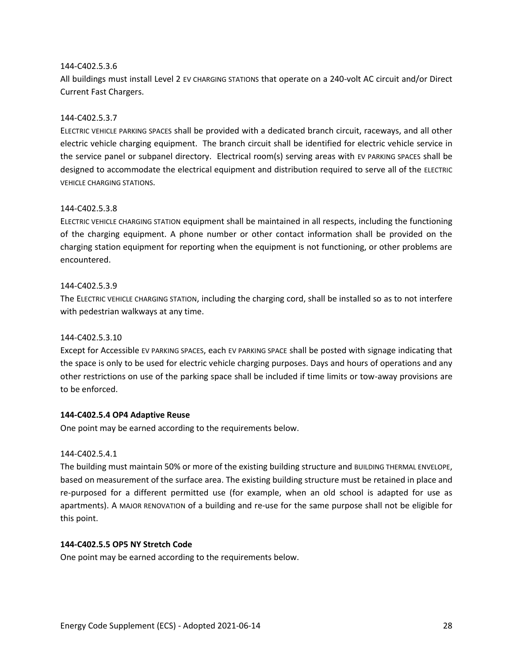#### 144-C402.5.3.6

All buildings must install Level 2 EV CHARGING STATIONS that operate on a 240-volt AC circuit and/or Direct Current Fast Chargers.

#### 144-C402.5.3.7

ELECTRIC VEHICLE PARKING SPACES shall be provided with a dedicated branch circuit, raceways, and all other electric vehicle charging equipment. The branch circuit shall be identified for electric vehicle service in the service panel or subpanel directory. Electrical room(s) serving areas with EV PARKING SPACES shall be designed to accommodate the electrical equipment and distribution required to serve all of the ELECTRIC VEHICLE CHARGING STATIONS.

#### 144-C402.5.3.8

ELECTRIC VEHICLE CHARGING STATION equipment shall be maintained in all respects, including the functioning of the charging equipment. A phone number or other contact information shall be provided on the charging station equipment for reporting when the equipment is not functioning, or other problems are encountered.

#### 144-C402.5.3.9

The ELECTRIC VEHICLE CHARGING STATION, including the charging cord, shall be installed so as to not interfere with pedestrian walkways at any time.

#### 144-C402.5.3.10

Except for Accessible EV PARKING SPACES, each EV PARKING SPACE shall be posted with signage indicating that the space is only to be used for electric vehicle charging purposes. Days and hours of operations and any other restrictions on use of the parking space shall be included if time limits or tow-away provisions are to be enforced.

#### **144-C402.5.4 OP4 Adaptive Reuse**

One point may be earned according to the requirements below.

#### 144-C402.5.4.1

The building must maintain 50% or more of the existing building structure and BUILDING THERMAL ENVELOPE, based on measurement of the surface area. The existing building structure must be retained in place and re-purposed for a different permitted use (for example, when an old school is adapted for use as apartments). A MAJOR RENOVATION of a building and re-use for the same purpose shall not be eligible for this point.

#### **144-C402.5.5 OP5 NY Stretch Code**

One point may be earned according to the requirements below.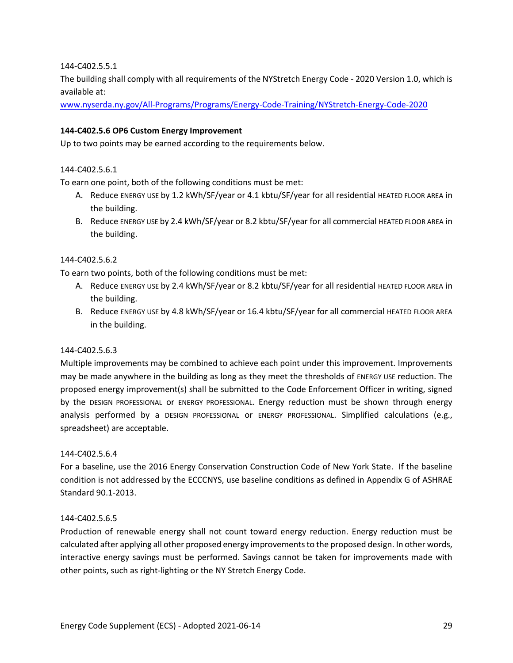144-C402.5.5.1

The building shall comply with all requirements of the NYStretch Energy Code - 2020 Version 1.0, which is available at:

[www.nyserda.ny.gov/All-Programs/Programs/Energy-Code-Training/NYStretch-Energy-Code-2020](http://www.nyserda.ny.gov/All-Programs/Programs/Energy-Code-Training/NYStretch-Energy-Code-2020)

#### **144-C402.5.6 OP6 Custom Energy Improvement**

Up to two points may be earned according to the requirements below.

#### 144-C402.5.6.1

To earn one point, both of the following conditions must be met:

- A. Reduce ENERGY USE by 1.2 kWh/SF/year or 4.1 kbtu/SF/year for all residential HEATED FLOOR AREA in the building.
- B. Reduce ENERGY USE by 2.4 kWh/SF/year or 8.2 kbtu/SF/year for all commercial HEATED FLOOR AREA in the building.

#### 144-C402.5.6.2

To earn two points, both of the following conditions must be met:

- A. Reduce ENERGY USE by 2.4 kWh/SF/year or 8.2 kbtu/SF/year for all residential HEATED FLOOR AREA in the building.
- B. Reduce ENERGY USE by 4.8 kWh/SF/year or 16.4 kbtu/SF/year for all commercial HEATED FLOOR AREA in the building.

#### 144-C402.5.6.3

Multiple improvements may be combined to achieve each point under this improvement. Improvements may be made anywhere in the building as long as they meet the thresholds of ENERGY USE reduction. The proposed energy improvement(s) shall be submitted to the Code Enforcement Officer in writing, signed by the DESIGN PROFESSIONAL or ENERGY PROFESSIONAL. Energy reduction must be shown through energy analysis performed by a DESIGN PROFESSIONAL or ENERGY PROFESSIONAL. Simplified calculations (e.g., spreadsheet) are acceptable.

#### 144-C402.5.6.4

For a baseline, use the 2016 Energy Conservation Construction Code of New York State. If the baseline condition is not addressed by the ECCCNYS, use baseline conditions as defined in Appendix G of ASHRAE Standard 90.1-2013.

#### 144-C402.5.6.5

Production of renewable energy shall not count toward energy reduction. Energy reduction must be calculated after applying all other proposed energy improvements to the proposed design. In other words, interactive energy savings must be performed. Savings cannot be taken for improvements made with other points, such as right-lighting or the NY Stretch Energy Code.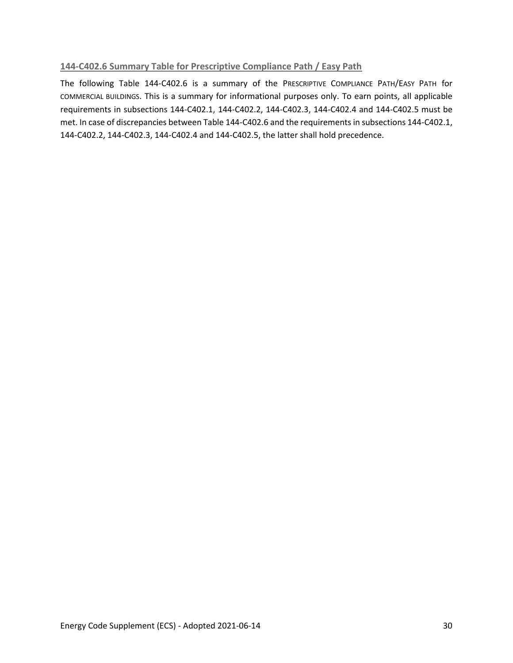#### **144-C402.6 Summary Table for Prescriptive Compliance Path / Easy Path**

The following Table 144-C402.6 is a summary of the PRESCRIPTIVE COMPLIANCE PATH/EASY PATH for COMMERCIAL BUILDINGS. This is a summary for informational purposes only. To earn points, all applicable requirements in subsections 144-C402.1, 144-C402.2, 144-C402.3, 144-C402.4 and 144-C402.5 must be met. In case of discrepancies between Table 144-C402.6 and the requirements in subsections 144-C402.1, 144-C402.2, 144-C402.3, 144-C402.4 and 144-C402.5, the latter shall hold precedence.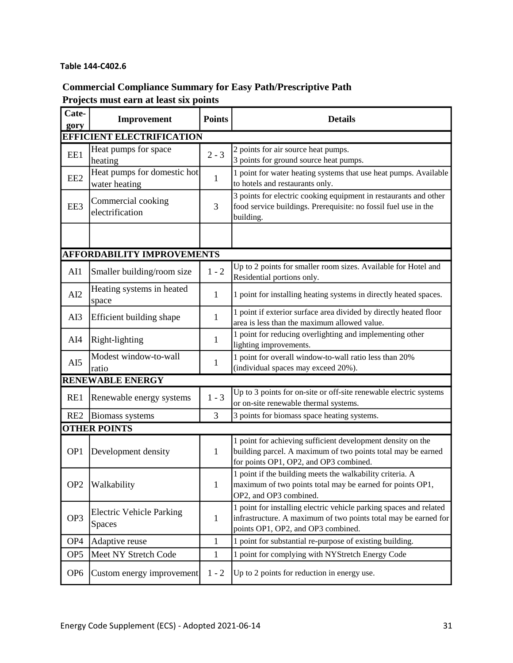#### **Table 144-C402.6**

## **Commercial Compliance Summary for Easy Path/Prescriptive Path Projects must earn at least six points**

| Cate-<br>gory       | Improvement                                  | <b>Points</b> | <b>Details</b>                                                                                                                                                              |  |
|---------------------|----------------------------------------------|---------------|-----------------------------------------------------------------------------------------------------------------------------------------------------------------------------|--|
|                     | <b>EFFICIENT ELECTRIFICATION</b>             |               |                                                                                                                                                                             |  |
| EE1                 | Heat pumps for space<br>heating              | $2 - 3$       | 2 points for air source heat pumps.<br>3 points for ground source heat pumps.                                                                                               |  |
| EE <sub>2</sub>     | Heat pumps for domestic hot<br>water heating | $\mathbf{1}$  | 1 point for water heating systems that use heat pumps. Available<br>to hotels and restaurants only.                                                                         |  |
| EE3                 | Commercial cooking<br>electrification        | 3             | 3 points for electric cooking equipment in restaurants and other<br>food service buildings. Prerequisite: no fossil fuel use in the<br>building.                            |  |
|                     |                                              |               |                                                                                                                                                                             |  |
|                     | <b>AFFORDABILITY IMPROVEMENTS</b>            |               |                                                                                                                                                                             |  |
| AI1                 | Smaller building/room size                   | $1 - 2$       | Up to 2 points for smaller room sizes. Available for Hotel and<br>Residential portions only.                                                                                |  |
| AI2                 | Heating systems in heated<br>space           | 1             | 1 point for installing heating systems in directly heated spaces.                                                                                                           |  |
| AI3                 | Efficient building shape                     | 1             | 1 point if exterior surface area divided by directly heated floor<br>area is less than the maximum allowed value.                                                           |  |
| AI4                 | Right-lighting                               | 1             | 1 point for reducing overlighting and implementing other<br>lighting improvements.                                                                                          |  |
| AI5                 | Modest window-to-wall<br>ratio               | 1             | 1 point for overall window-to-wall ratio less than 20%<br>(individual spaces may exceed 20%).                                                                               |  |
|                     | <b>RENEWABLE ENERGY</b>                      |               |                                                                                                                                                                             |  |
| RE1                 | Renewable energy systems                     | $1 - 3$       | Up to 3 points for on-site or off-site renewable electric systems<br>or on-site renewable thermal systems.                                                                  |  |
| RE <sub>2</sub>     | Biomass systems                              | 3             | 3 points for biomass space heating systems.                                                                                                                                 |  |
| <b>OTHER POINTS</b> |                                              |               |                                                                                                                                                                             |  |
| OP <sub>1</sub>     | Development density                          | 1             | 1 point for achieving sufficient development density on the<br>building parcel. A maximum of two points total may be earned<br>for points OP1, OP2, and OP3 combined.       |  |
| OP <sub>2</sub>     | Walkability                                  | $\mathbf{1}$  | 1 point if the building meets the walkability criteria. A<br>maximum of two points total may be earned for points OP1,<br>OP2, and OP3 combined.                            |  |
| OP <sub>3</sub>     | <b>Electric Vehicle Parking</b><br>Spaces    | $\mathbf{1}$  | 1 point for installing electric vehicle parking spaces and related<br>infrastructure. A maximum of two points total may be earned for<br>points OP1, OP2, and OP3 combined. |  |
| OP <sub>4</sub>     | Adaptive reuse                               | $\mathbf{1}$  | 1 point for substantial re-purpose of existing building.                                                                                                                    |  |
| OP <sub>5</sub>     | Meet NY Stretch Code                         | $\mathbf{1}$  | 1 point for complying with NYStretch Energy Code                                                                                                                            |  |
| OP <sub>6</sub>     | Custom energy improvement                    | $1 - 2$       | Up to 2 points for reduction in energy use.                                                                                                                                 |  |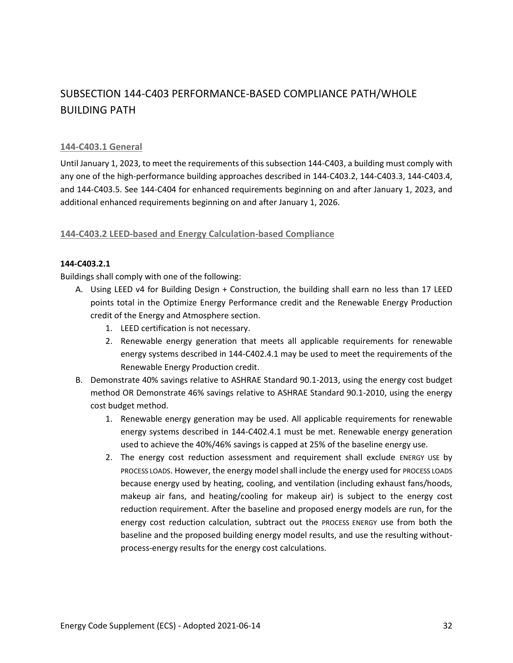## SUBSECTION 144-C403 PERFORMANCE-BASED COMPLIANCE PATH/WHOLE BUILDING PATH

#### **144-C403.1 General**

Until January 1, 2023, to meet the requirements of this subsection 144-C403, a building must comply with any one of the high-performance building approaches described in 144-C403.2, 144-C403.3, 144-C403.4, and 144-C403.5. See 144-C404 for enhanced requirements beginning on and after January 1, 2023, and additional enhanced requirements beginning on and after January 1, 2026.

#### **144-C403.2 LEED-based and Energy Calculation-based Compliance**

#### **144-C403.2.1**

Buildings shall comply with one of the following:

- A. Using LEED v4 for Building Design + Construction, the building shall earn no less than 17 LEED points total in the Optimize Energy Performance credit and the Renewable Energy Production credit of the Energy and Atmosphere section.
	- 1. LEED certification is not necessary.
	- 2. Renewable energy generation that meets all applicable requirements for renewable energy systems described in 144-C402.4.1 may be used to meet the requirements of the Renewable Energy Production credit.
- B. Demonstrate 40% savings relative to ASHRAE Standard 90.1-2013, using the energy cost budget method OR Demonstrate 46% savings relative to ASHRAE Standard 90.1-2010, using the energy cost budget method.
	- 1. Renewable energy generation may be used. All applicable requirements for renewable energy systems described in 144-C402.4.1 must be met. Renewable energy generation used to achieve the 40%/46% savings is capped at 25% of the baseline energy use.
	- 2. The energy cost reduction assessment and requirement shall exclude ENERGY USE by PROCESS LOADS. However, the energy model shall include the energy used for PROCESS LOADS because energy used by heating, cooling, and ventilation (including exhaust fans/hoods, makeup air fans, and heating/cooling for makeup air) is subject to the energy cost reduction requirement. After the baseline and proposed energy models are run, for the energy cost reduction calculation, subtract out the PROCESS ENERGY use from both the baseline and the proposed building energy model results, and use the resulting withoutprocess-energy results for the energy cost calculations.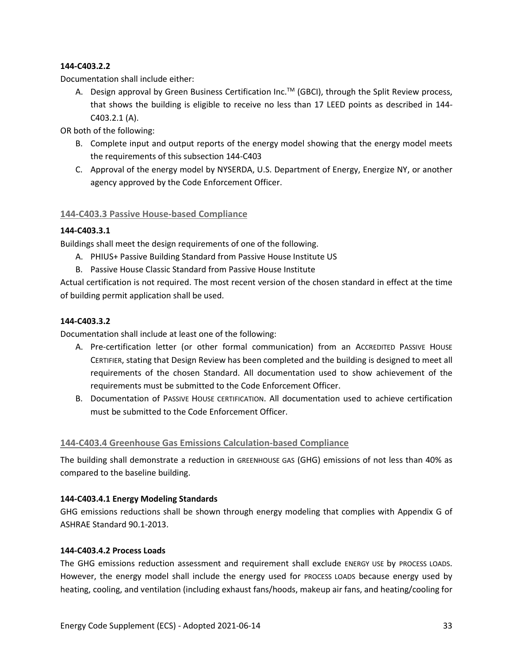#### **144-C403.2.2**

Documentation shall include either:

A. Design approval by Green Business Certification Inc.<sup>™</sup> (GBCI), through the Split Review process, that shows the building is eligible to receive no less than 17 LEED points as described in 144- C403.2.1 (A).

OR both of the following:

- B. Complete input and output reports of the energy model showing that the energy model meets the requirements of this subsection 144-C403
- C. Approval of the energy model by NYSERDA, U.S. Department of Energy, Energize NY, or another agency approved by the Code Enforcement Officer.

#### **144-C403.3 Passive House-based Compliance**

#### **144-C403.3.1**

Buildings shall meet the design requirements of one of the following.

- A. PHIUS+ Passive Building Standard from Passive House Institute US
- B. Passive House Classic Standard from Passive House Institute

Actual certification is not required. The most recent version of the chosen standard in effect at the time of building permit application shall be used.

#### **144-C403.3.2**

Documentation shall include at least one of the following:

- A. Pre-certification letter (or other formal communication) from an ACCREDITED PASSIVE HOUSE CERTIFIER, stating that Design Review has been completed and the building is designed to meet all requirements of the chosen Standard. All documentation used to show achievement of the requirements must be submitted to the Code Enforcement Officer.
- B. Documentation of PASSIVE HOUSE CERTIFICATION. All documentation used to achieve certification must be submitted to the Code Enforcement Officer.

#### **144-C403.4 Greenhouse Gas Emissions Calculation-based Compliance**

The building shall demonstrate a reduction in GREENHOUSE GAS (GHG) emissions of not less than 40% as compared to the baseline building.

#### **144-C403.4.1 Energy Modeling Standards**

GHG emissions reductions shall be shown through energy modeling that complies with Appendix G of ASHRAE Standard 90.1-2013.

#### **144-C403.4.2 Process Loads**

The GHG emissions reduction assessment and requirement shall exclude ENERGY USE by PROCESS LOADS. However, the energy model shall include the energy used for PROCESS LOADS because energy used by heating, cooling, and ventilation (including exhaust fans/hoods, makeup air fans, and heating/cooling for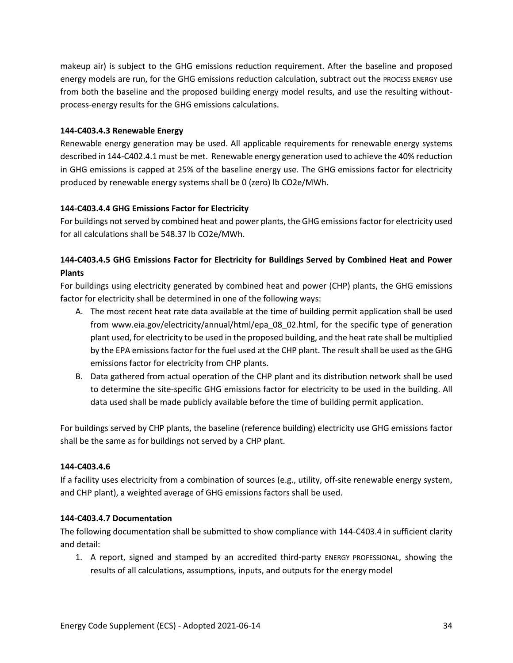makeup air) is subject to the GHG emissions reduction requirement. After the baseline and proposed energy models are run, for the GHG emissions reduction calculation, subtract out the PROCESS ENERGY use from both the baseline and the proposed building energy model results, and use the resulting withoutprocess-energy results for the GHG emissions calculations.

#### **144-C403.4.3 Renewable Energy**

Renewable energy generation may be used. All applicable requirements for renewable energy systems described in 144-C402.4.1 must be met. Renewable energy generation used to achieve the 40% reduction in GHG emissions is capped at 25% of the baseline energy use. The GHG emissions factor for electricity produced by renewable energy systems shall be 0 (zero) lb CO2e/MWh.

#### **144-C403.4.4 GHG Emissions Factor for Electricity**

For buildings not served by combined heat and power plants, the GHG emissions factor for electricity used for all calculations shall be 548.37 lb CO2e/MWh.

### **144-C403.4.5 GHG Emissions Factor for Electricity for Buildings Served by Combined Heat and Power Plants**

For buildings using electricity generated by combined heat and power (CHP) plants, the GHG emissions factor for electricity shall be determined in one of the following ways:

- A. The most recent heat rate data available at the time of building permit application shall be used from [www.eia.gov/electricity/annual/html/epa\\_08\\_02.html,](https://www.eia.gov/electricity/annual/html/epa_08_02.html) for the specific type of generation plant used, for electricity to be used in the proposed building, and the heat rate shall be multiplied by the EPA emissions factor for the fuel used at the CHP plant. The result shall be used as the GHG emissions factor for electricity from CHP plants.
- B. Data gathered from actual operation of the CHP plant and its distribution network shall be used to determine the site-specific GHG emissions factor for electricity to be used in the building. All data used shall be made publicly available before the time of building permit application.

For buildings served by CHP plants, the baseline (reference building) electricity use GHG emissions factor shall be the same as for buildings not served by a CHP plant.

#### **144-C403.4.6**

If a facility uses electricity from a combination of sources (e.g., utility, off-site renewable energy system, and CHP plant), a weighted average of GHG emissions factors shall be used.

#### **144-C403.4.7 Documentation**

The following documentation shall be submitted to show compliance with 144-C403.4 in sufficient clarity and detail:

1. A report, signed and stamped by an accredited third-party ENERGY PROFESSIONAL, showing the results of all calculations, assumptions, inputs, and outputs for the energy model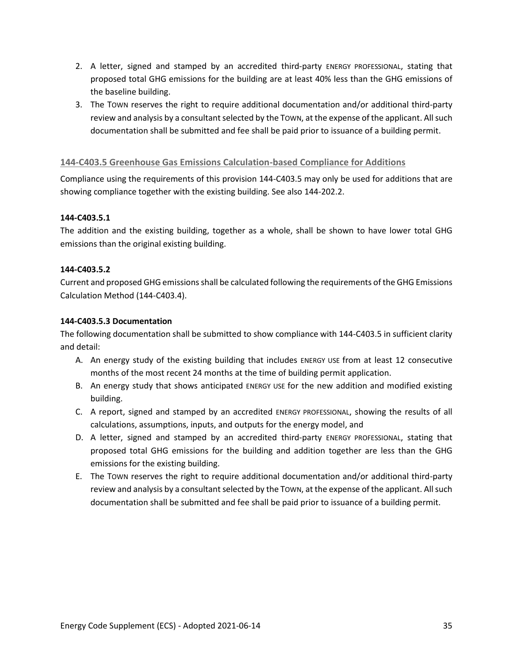- 2. A letter, signed and stamped by an accredited third-party ENERGY PROFESSIONAL, stating that proposed total GHG emissions for the building are at least 40% less than the GHG emissions of the baseline building.
- 3. The TOWN reserves the right to require additional documentation and/or additional third-party review and analysis by a consultant selected by the TOWN, at the expense of the applicant. All such documentation shall be submitted and fee shall be paid prior to issuance of a building permit.

#### **144-C403.5 Greenhouse Gas Emissions Calculation-based Compliance for Additions**

Compliance using the requirements of this provision 144-C403.5 may only be used for additions that are showing compliance together with the existing building. See also 144-202.2.

#### **144-C403.5.1**

The addition and the existing building, together as a whole, shall be shown to have lower total GHG emissions than the original existing building.

#### **144-C403.5.2**

Current and proposed GHG emissions shall be calculated following the requirements of the GHG Emissions Calculation Method (144-C403.4).

#### **144-C403.5.3 Documentation**

The following documentation shall be submitted to show compliance with 144-C403.5 in sufficient clarity and detail:

- A. An energy study of the existing building that includes ENERGY USE from at least 12 consecutive months of the most recent 24 months at the time of building permit application.
- B. An energy study that shows anticipated ENERGY USE for the new addition and modified existing building.
- C. A report, signed and stamped by an accredited ENERGY PROFESSIONAL, showing the results of all calculations, assumptions, inputs, and outputs for the energy model, and
- D. A letter, signed and stamped by an accredited third-party ENERGY PROFESSIONAL, stating that proposed total GHG emissions for the building and addition together are less than the GHG emissions for the existing building.
- E. The TOWN reserves the right to require additional documentation and/or additional third-party review and analysis by a consultant selected by the TOWN, at the expense of the applicant. All such documentation shall be submitted and fee shall be paid prior to issuance of a building permit.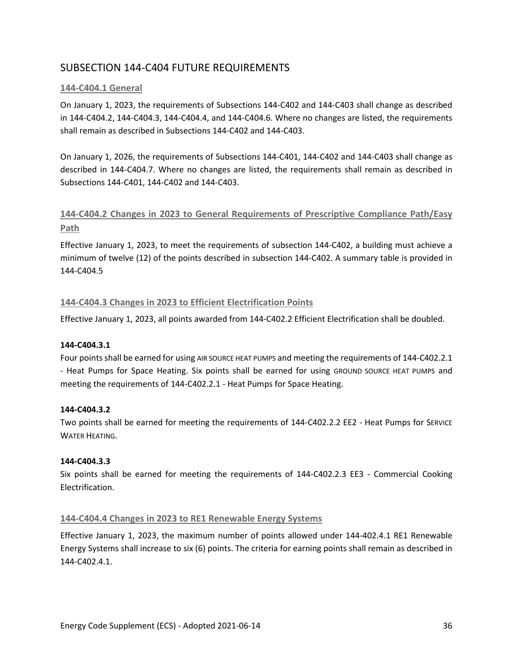# SUBSECTION 144-C404 FUTURE REQUIREMENTS

## **144-C404.1 General**

On January 1, 2023, the requirements of Subsections 144-C402 and 144-C403 shall change as described in 144-C404.2, 144-C404.3, 144-C404.4, and 144-C404.6. Where no changes are listed, the requirements shall remain as described in Subsections 144-C402 and 144-C403.

On January 1, 2026, the requirements of Subsections 144-C401, 144-C402 and 144-C403 shall change as described in 144-C404.7. Where no changes are listed, the requirements shall remain as described in Subsections 144-C401, 144-C402 and 144-C403.

# **144-C404.2 Changes in 2023 to General Requirements of Prescriptive Compliance Path/Easy Path**

Effective January 1, 2023, to meet the requirements of subsection 144-C402, a building must achieve a minimum of twelve (12) of the points described in subsection 144-C402. A summary table is provided in 144-C404.5

## **144-C404.3 Changes in 2023 to Efficient Electrification Points**

Effective January 1, 2023, all points awarded from 144-C402.2 Efficient Electrification shall be doubled.

## **144-C404.3.1**

Four points shall be earned for using AIR SOURCE HEAT PUMPS and meeting the requirements of 144-C402.2.1 - Heat Pumps for Space Heating. Six points shall be earned for using GROUND SOURCE HEAT PUMPS and meeting the requirements of 144-C402.2.1 - Heat Pumps for Space Heating.

## **144-C404.3.2**

Two points shall be earned for meeting the requirements of 144-C402.2.2 EE2 - Heat Pumps for SERVICE WATER HEATING.

## **144-C404.3.3**

Six points shall be earned for meeting the requirements of 144-C402.2.3 EE3 - Commercial Cooking Electrification.

## **144-C404.4 Changes in 2023 to RE1 Renewable Energy Systems**

Effective January 1, 2023, the maximum number of points allowed under 144-402.4.1 RE1 Renewable Energy Systems shall increase to six (6) points. The criteria for earning points shall remain as described in 144-C402.4.1.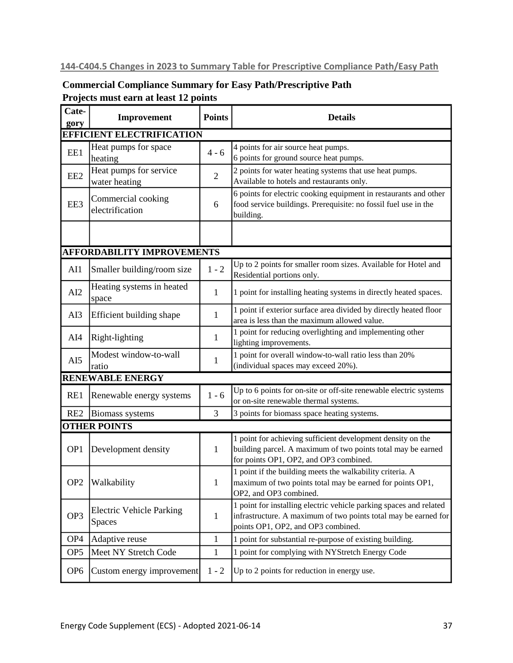# **144-C404.5 Changes in 2023 to Summary Table for Prescriptive Compliance Path/Easy Path**

# **Commercial Compliance Summary for Easy Path/Prescriptive Path Projects must earn at least 12 points**

| Cate-<br>gory                    | Improvement                                      | <b>Points</b>  | <b>Details</b>                                                                                                                                                              |  |  |  |  |
|----------------------------------|--------------------------------------------------|----------------|-----------------------------------------------------------------------------------------------------------------------------------------------------------------------------|--|--|--|--|
| <b>EFFICIENT ELECTRIFICATION</b> |                                                  |                |                                                                                                                                                                             |  |  |  |  |
| EE1                              | Heat pumps for space<br>heating                  | $4 - 6$        | 4 points for air source heat pumps.<br>6 points for ground source heat pumps.                                                                                               |  |  |  |  |
| EE <sub>2</sub>                  | Heat pumps for service<br>water heating          | $\overline{2}$ | 2 points for water heating systems that use heat pumps.<br>Available to hotels and restaurants only.                                                                        |  |  |  |  |
| EE3                              | Commercial cooking<br>electrification            | 6              | 6 points for electric cooking equipment in restaurants and other<br>food service buildings. Prerequisite: no fossil fuel use in the<br>building.                            |  |  |  |  |
|                                  | <b>AFFORDABILITY IMPROVEMENTS</b>                |                |                                                                                                                                                                             |  |  |  |  |
|                                  |                                                  |                | Up to 2 points for smaller room sizes. Available for Hotel and                                                                                                              |  |  |  |  |
| AI1                              | Smaller building/room size                       | $1 - 2$        | Residential portions only.                                                                                                                                                  |  |  |  |  |
| AI2                              | Heating systems in heated<br>space               | 1              | 1 point for installing heating systems in directly heated spaces.                                                                                                           |  |  |  |  |
| AI3                              | Efficient building shape                         | $\mathbf{1}$   | 1 point if exterior surface area divided by directly heated floor<br>area is less than the maximum allowed value.                                                           |  |  |  |  |
| AI4                              | Right-lighting                                   | $\mathbf{1}$   | 1 point for reducing overlighting and implementing other<br>lighting improvements.                                                                                          |  |  |  |  |
| AI5                              | Modest window-to-wall<br>ratio                   | $\mathbf{1}$   | 1 point for overall window-to-wall ratio less than 20%<br>(individual spaces may exceed 20%).                                                                               |  |  |  |  |
|                                  | <b>RENEWABLE ENERGY</b>                          |                |                                                                                                                                                                             |  |  |  |  |
| RE1                              | Renewable energy systems                         | $1 - 6$        | Up to 6 points for on-site or off-site renewable electric systems<br>or on-site renewable thermal systems.                                                                  |  |  |  |  |
| RE <sub>2</sub>                  | <b>Biomass systems</b>                           | 3              | 3 points for biomass space heating systems.                                                                                                                                 |  |  |  |  |
|                                  | <b>OTHER POINTS</b>                              |                |                                                                                                                                                                             |  |  |  |  |
| OP <sub>1</sub>                  | Development density                              | 1              | 1 point for achieving sufficient development density on the<br>building parcel. A maximum of two points total may be earned<br>for points OP1, OP2, and OP3 combined.       |  |  |  |  |
| OP <sub>2</sub>                  | Walkability                                      | $\mathbf{1}$   | 1 point if the building meets the walkability criteria. A<br>maximum of two points total may be earned for points OP1,<br>OP2, and OP3 combined.                            |  |  |  |  |
| OP <sub>3</sub>                  | <b>Electric Vehicle Parking</b><br><b>Spaces</b> | $\mathbf{1}$   | 1 point for installing electric vehicle parking spaces and related<br>infrastructure. A maximum of two points total may be earned for<br>points OP1, OP2, and OP3 combined. |  |  |  |  |
| OP <sub>4</sub>                  | Adaptive reuse                                   | $\mathbf{1}$   | 1 point for substantial re-purpose of existing building.                                                                                                                    |  |  |  |  |
| OP <sub>5</sub>                  | Meet NY Stretch Code                             | $\mathbf{1}$   | 1 point for complying with NYStretch Energy Code                                                                                                                            |  |  |  |  |
| OP <sub>6</sub>                  | Custom energy improvement                        | $1 - 2$        | Up to 2 points for reduction in energy use.                                                                                                                                 |  |  |  |  |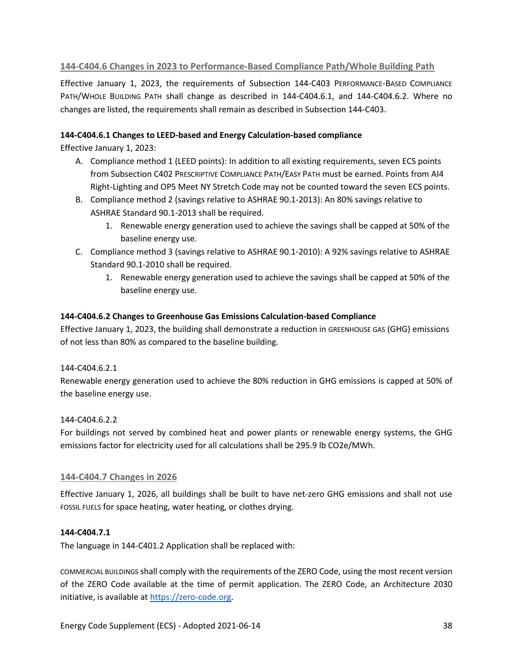## **144-C404.6 Changes in 2023 to Performance-Based Compliance Path/Whole Building Path**

Effective January 1, 2023, the requirements of Subsection 144-C403 PERFORMANCE-BASED COMPLIANCE PATH/WHOLE BUILDING PATH shall change as described in 144-C404.6.1, and 144-C404.6.2. Where no changes are listed, the requirements shall remain as described in Subsection 144-C403.

## **144-C404.6.1 Changes to LEED-based and Energy Calculation-based compliance**

Effective January 1, 2023:

- A. Compliance method 1 (LEED points): In addition to all existing requirements, seven ECS points from Subsection C402 PRESCRIPTIVE COMPLIANCE PATH/EASY PATH must be earned. Points from AI4 Right-Lighting and OP5 Meet NY Stretch Code may not be counted toward the seven ECS points.
- B. Compliance method 2 (savings relative to ASHRAE 90.1-2013): An 80% savings relative to ASHRAE Standard 90.1-2013 shall be required.
	- 1. Renewable energy generation used to achieve the savings shall be capped at 50% of the baseline energy use.
- C. Compliance method 3 (savings relative to ASHRAE 90.1-2010): A 92% savings relative to ASHRAE Standard 90.1-2010 shall be required.
	- 1. Renewable energy generation used to achieve the savings shall be capped at 50% of the baseline energy use.

## **144-C404.6.2 Changes to Greenhouse Gas Emissions Calculation-based Compliance**

Effective January 1, 2023, the building shall demonstrate a reduction in GREENHOUSE GAS (GHG) emissions of not less than 80% as compared to the baseline building.

## 144-C404.6.2.1

Renewable energy generation used to achieve the 80% reduction in GHG emissions is capped at 50% of the baseline energy use.

## 144-C404.6.2.2

For buildings not served by combined heat and power plants or renewable energy systems, the GHG emissions factor for electricity used for all calculations shall be 295.9 lb CO2e/MWh.

## **144-C404.7 Changes in 2026**

Effective January 1, 2026, all buildings shall be built to have net-zero GHG emissions and shall not use FOSSIL FUELS for space heating, water heating, or clothes drying.

## **144-C404.7.1**

The language in 144-C401.2 Application shall be replaced with:

COMMERCIAL BUILDINGS shall comply with the requirements of the ZERO Code, using the most recent version of the ZERO Code available at the time of permit application. The ZERO Code, an Architecture 2030 initiative, is available at [https://zero-code.org.](https://zero-code.org/)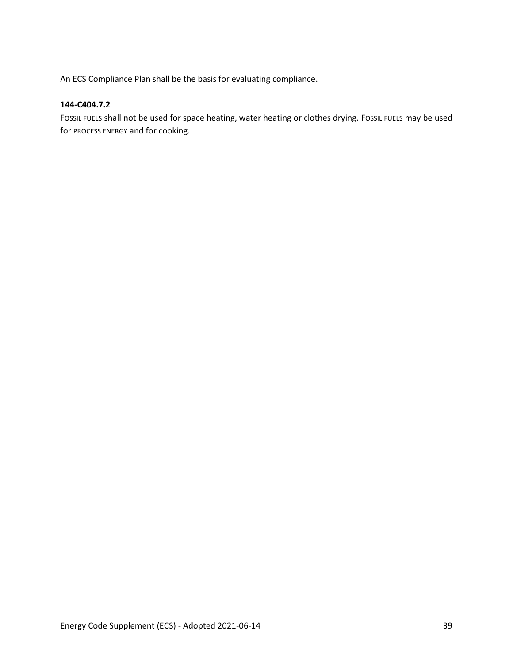An ECS Compliance Plan shall be the basis for evaluating compliance.

## **144-C404.7.2**

FOSSIL FUELS shall not be used for space heating, water heating or clothes drying. FOSSIL FUELS may be used for PROCESS ENERGY and for cooking.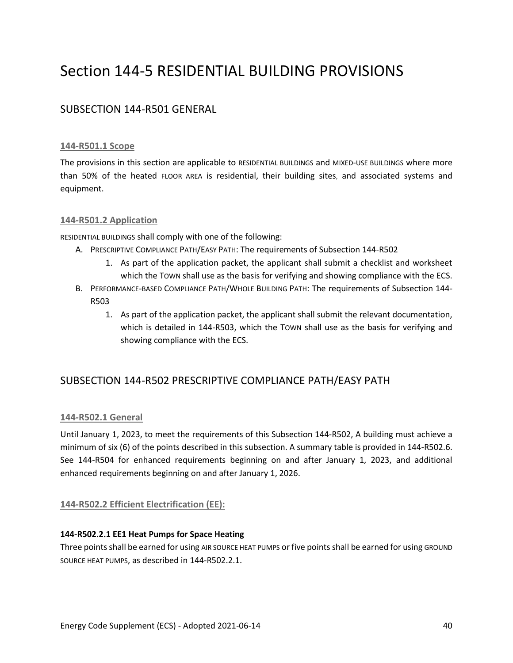# Section 144-5 RESIDENTIAL BUILDING PROVISIONS

# SUBSECTION 144-R501 GENERAL

## **144-R501.1 Scope**

The provisions in this section are applicable to RESIDENTIAL BUILDINGS and MIXED-USE BUILDINGS where more than 50% of the heated FLOOR AREA is residential, their building sites, and associated systems and equipment.

## **144-R501.2 Application**

RESIDENTIAL BUILDINGS shall comply with one of the following:

- A. PRESCRIPTIVE COMPLIANCE PATH/EASY PATH: The requirements of Subsection 144-R502
	- 1. As part of the application packet, the applicant shall submit a checklist and worksheet which the TOWN shall use as the basis for verifying and showing compliance with the ECS.
- B. PERFORMANCE-BASED COMPLIANCE PATH/WHOLE BUILDING PATH: The requirements of Subsection 144- R503
	- 1. As part of the application packet, the applicant shall submit the relevant documentation, which is detailed in 144-R503, which the TOWN shall use as the basis for verifying and showing compliance with the ECS.

# SUBSECTION 144-R502 PRESCRIPTIVE COMPLIANCE PATH/EASY PATH

## **144-R502.1 General**

Until January 1, 2023, to meet the requirements of this Subsection 144-R502, A building must achieve a minimum of six (6) of the points described in this subsection. A summary table is provided in 144-R502.6. See 144-R504 for enhanced requirements beginning on and after January 1, 2023, and additional enhanced requirements beginning on and after January 1, 2026.

## **144-R502.2 Efficient Electrification (EE):**

## **144-R502.2.1 EE1 Heat Pumps for Space Heating**

Three points shall be earned for using AIR SOURCE HEAT PUMPS or five points shall be earned for using GROUND SOURCE HEAT PUMPS, as described in 144-R502.2.1.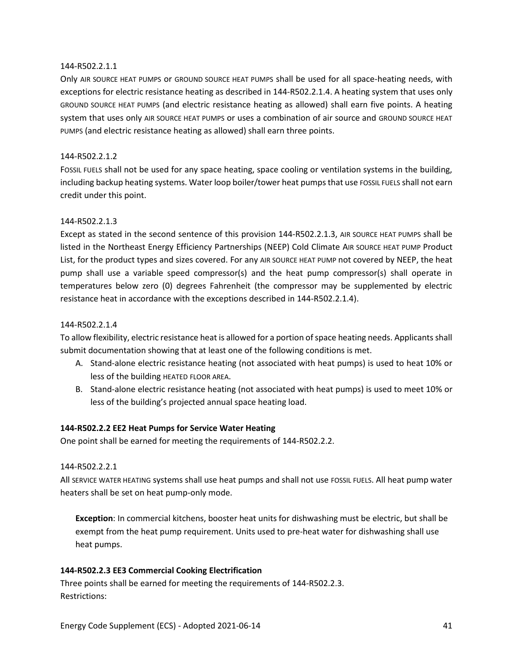### 144-R502.2.1.1

Only AIR SOURCE HEAT PUMPS or GROUND SOURCE HEAT PUMPS shall be used for all space-heating needs, with exceptions for electric resistance heating as described in 144-R502.2.1.4. A heating system that uses only GROUND SOURCE HEAT PUMPS (and electric resistance heating as allowed) shall earn five points. A heating system that uses only AIR SOURCE HEAT PUMPS or uses a combination of air source and GROUND SOURCE HEAT PUMPS (and electric resistance heating as allowed) shall earn three points.

## 144-R502.2.1.2

FOSSIL FUELS shall not be used for any space heating, space cooling or ventilation systems in the building, including backup heating systems. Water loop boiler/tower heat pumps that use FOSSIL FUELS shall not earn credit under this point.

#### 144-R502.2.1.3

Except as stated in the second sentence of this provision 144-R502.2.1.3, AIR SOURCE HEAT PUMPS shall be listed in the Northeast Energy Efficiency Partnerships (NEEP) Cold Climate AIR SOURCE HEAT PUMP Product List, for the product types and sizes covered. For any AIR SOURCE HEAT PUMP not covered by NEEP, the heat pump shall use a variable speed compressor(s) and the heat pump compressor(s) shall operate in temperatures below zero (0) degrees Fahrenheit (the compressor may be supplemented by electric resistance heat in accordance with the exceptions described in 144-R502.2.1.4).

#### 144-R502.2.1.4

To allow flexibility, electric resistance heat is allowed for a portion of space heating needs. Applicants shall submit documentation showing that at least one of the following conditions is met.

- A. Stand-alone electric resistance heating (not associated with heat pumps) is used to heat 10% or less of the building HEATED FLOOR AREA.
- B. Stand-alone electric resistance heating (not associated with heat pumps) is used to meet 10% or less of the building's projected annual space heating load.

## **144-R502.2.2 EE2 Heat Pumps for Service Water Heating**

One point shall be earned for meeting the requirements of 144-R502.2.2.

#### 144-R502.2.2.1

All SERVICE WATER HEATING systems shall use heat pumps and shall not use FOSSIL FUELS. All heat pump water heaters shall be set on heat pump-only mode.

**Exception**: In commercial kitchens, booster heat units for dishwashing must be electric, but shall be exempt from the heat pump requirement. Units used to pre-heat water for dishwashing shall use heat pumps.

## **144-R502.2.3 EE3 Commercial Cooking Electrification**

Three points shall be earned for meeting the requirements of 144-R502.2.3. Restrictions: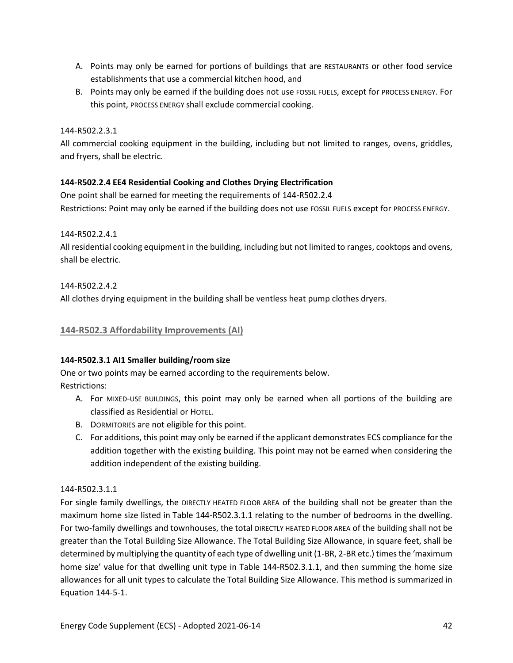- A. Points may only be earned for portions of buildings that are RESTAURANTS or other food service establishments that use a commercial kitchen hood, and
- B. Points may only be earned if the building does not use FOSSIL FUELS, except for PROCESS ENERGY. For this point, PROCESS ENERGY shall exclude commercial cooking.

## 144-R502.2.3.1

All commercial cooking equipment in the building, including but not limited to ranges, ovens, griddles, and fryers, shall be electric.

## **144-R502.2.4 EE4 Residential Cooking and Clothes Drying Electrification**

One point shall be earned for meeting the requirements of 144-R502.2.4 Restrictions: Point may only be earned if the building does not use FOSSIL FUELS except for PROCESS ENERGY.

144-R502.2.4.1

All residential cooking equipment in the building, including but not limited to ranges, cooktops and ovens, shall be electric.

144-R502.2.4.2 All clothes drying equipment in the building shall be ventless heat pump clothes dryers.

## **144-R502.3 Affordability Improvements (AI)**

## **144-R502.3.1 AI1 Smaller building/room size**

One or two points may be earned according to the requirements below. Restrictions:

- A. For MIXED-USE BUILDINGS, this point may only be earned when all portions of the building are classified as Residential or HOTEL.
- B. DORMITORIES are not eligible for this point.
- C. For additions, this point may only be earned if the applicant demonstrates ECS compliance for the addition together with the existing building. This point may not be earned when considering the addition independent of the existing building.

## 144-R502.3.1.1

For single family dwellings, the DIRECTLY HEATED FLOOR AREA of the building shall not be greater than the maximum home size listed in Table 144-R502.3.1.1 relating to the number of bedrooms in the dwelling. For two-family dwellings and townhouses, the total DIRECTLY HEATED FLOOR AREA of the building shall not be greater than the Total Building Size Allowance. The Total Building Size Allowance, in square feet, shall be determined by multiplying the quantity of each type of dwelling unit (1-BR, 2-BR etc.) times the 'maximum home size' value for that dwelling unit type in Table 144-R502.3.1.1, and then summing the home size allowances for all unit types to calculate the Total Building Size Allowance. This method is summarized in Equation 144-5-1.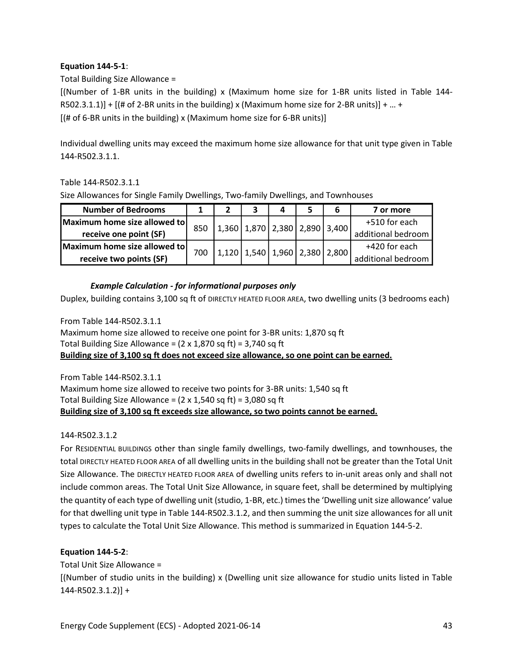## **Equation 144-5-1**:

Total Building Size Allowance =

[(Number of 1-BR units in the building) x (Maximum home size for 1-BR units listed in Table 144- R502.3.1.1)] +  $[(# of 2-BR units in the building) \times (Maximum home size for 2-BR units)] + ... +$ [(# of 6-BR units in the building) x (Maximum home size for 6-BR units)]

Individual dwelling units may exceed the maximum home size allowance for that unit type given in Table 144-R502.3.1.1.

Table 144-R502.3.1.1

Size Allowances for Single Family Dwellings, Two-family Dwellings, and Townhouses

| <b>Number of Bedrooms</b>    |     |                                                                     |  |                                         |  | 7 or more          |
|------------------------------|-----|---------------------------------------------------------------------|--|-----------------------------------------|--|--------------------|
| Maximum home size allowed to | 850 | $\vert 1,360 \vert 1,870 \vert 2,380 \vert 2,890 \vert 3,400 \vert$ |  |                                         |  | +510 for each      |
| receive one point (SF)       |     |                                                                     |  |                                         |  | additional bedroom |
| Maximum home size allowed to | 700 |                                                                     |  | $1,120$ $1,540$ $1,960$ $2,380$ $2,800$ |  | +420 for each      |
| receive two points (SF)      |     |                                                                     |  |                                         |  | additional bedroom |

## *Example Calculation - for informational purposes only*

Duplex, building contains 3,100 sq ft of DIRECTLY HEATED FLOOR AREA, two dwelling units (3 bedrooms each)

From Table 144-R502.3.1.1 Maximum home size allowed to receive one point for 3-BR units: 1,870 sq ft Total Building Size Allowance =  $(2 \times 1,870 \text{ sq ft})$  = 3,740 sq ft **Building size of 3,100 sq ft does not exceed size allowance, so one point can be earned.**

From Table 144-R502.3.1.1 Maximum home size allowed to receive two points for 3-BR units: 1,540 sq ft Total Building Size Allowance =  $(2 \times 1,540 \text{ sq ft}) = 3,080 \text{ sq ft}$ **Building size of 3,100 sq ft exceeds size allowance, so two points cannot be earned.** 

## 144-R502.3.1.2

For RESIDENTIAL BUILDINGS other than single family dwellings, two-family dwellings, and townhouses, the total DIRECTLY HEATED FLOOR AREA of all dwelling units in the building shall not be greater than the Total Unit Size Allowance. The DIRECTLY HEATED FLOOR AREA of dwelling units refers to in-unit areas only and shall not include common areas. The Total Unit Size Allowance, in square feet, shall be determined by multiplying the quantity of each type of dwelling unit (studio, 1-BR, etc.) times the 'Dwelling unit size allowance' value for that dwelling unit type in Table 144-R502.3.1.2, and then summing the unit size allowances for all unit types to calculate the Total Unit Size Allowance. This method is summarized in Equation 144-5-2. Size Allowances for Single Family Dwellings, Tw<br> **Maximum home size allowed to**<br> **Exercise one point (SF)**<br> **Maximum home size allowed to**<br> **Exercise two points (SF)**<br> **CALL TERE TO THE CONDING (STEP)**<br> **Example Calculati** 

## **Equation 144-5-2**:

Total Unit Size Allowance =

[(Number of studio units in the building) x (Dwelling unit size allowance for studio units listed in Table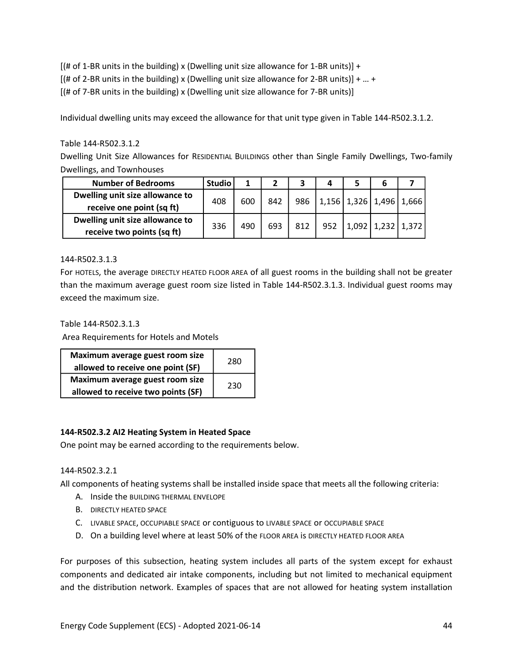$[(# of 1-BR units in the building) x (Dwelling unit size allowane for 1-BR units)] +$  $[(# of 2-BR units in the building) \times (Dwelling unit size allowed for 2-BR units)] + ... +$ [(# of 7-BR units in the building) x (Dwelling unit size allowance for 7-BR units)]

Individual dwelling units may exceed the allowance for that unit type given in Table 144-R502.3.1.2.

## Table 144-R502.3.1.2

Dwelling Unit Size Allowances for RESIDENTIAL BUILDINGS other than Single Family Dwellings, Two-family Dwellings, and Townhouses

| <b>Number of Bedrooms</b>                                     | <b>Studio</b> |     |     |     |     |                                     |               |       |
|---------------------------------------------------------------|---------------|-----|-----|-----|-----|-------------------------------------|---------------|-------|
| Dwelling unit size allowance to<br>receive one point (sq ft)  | 408           | 600 | 842 |     |     | 986   1,156   1,326   1,496   1,666 |               |       |
| Dwelling unit size allowance to<br>receive two points (sq ft) | 336           | 490 | 693 | 812 | 952 |                                     | $1,092$ 1,232 | 1,372 |

## 144-R502.3.1.3

For HOTELS, the average DIRECTLY HEATED FLOOR AREA of all guest rooms in the building shall not be greater than the maximum average guest room size listed in Table 144-R502.3.1.3. Individual guest rooms may exceed the maximum size.

Table 144-R502.3.1.3

Area Requirements for Hotels and Motels

| Maximum average guest room size<br>allowed to receive one point (SF)  | 280 |
|-----------------------------------------------------------------------|-----|
| Maximum average guest room size<br>allowed to receive two points (SF) | 230 |

## **144-R502.3.2 AI2 Heating System in Heated Space**

One point may be earned according to the requirements below.

## 144-R502.3.2.1

All components of heating systems shall be installed inside space that meets all the following criteria:

- A. Inside the BUILDING THERMAL ENVELOPE
- B. DIRECTLY HEATED SPACE
- C. LIVABLE SPACE, OCCUPIABLE SPACE or contiguous to LIVABLE SPACE or OCCUPIABLE SPACE
- D. On a building level where at least 50% of the FLOOR AREA is DIRECTLY HEATED FLOOR AREA

For purposes of this subsection, heating system includes all parts of the system except for exhaust components and dedicated air intake components, including but not limited to mechanical equipment and the distribution network. Examples of spaces that are not allowed for heating system installation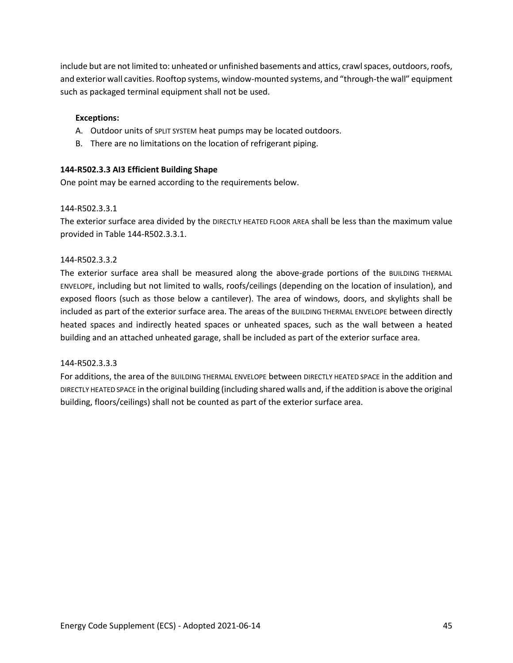include but are not limited to: unheated or unfinished basements and attics, crawl spaces, outdoors, roofs, and exterior wall cavities. Rooftop systems, window-mounted systems, and "through-the wall" equipment such as packaged terminal equipment shall not be used.

## **Exceptions:**

- A. Outdoor units of SPLIT SYSTEM heat pumps may be located outdoors.
- B. There are no limitations on the location of refrigerant piping.

## **144-R502.3.3 AI3 Efficient Building Shape**

One point may be earned according to the requirements below.

## 144-R502.3.3.1

The exterior surface area divided by the DIRECTLY HEATED FLOOR AREA shall be less than the maximum value provided in Table 144-R502.3.3.1.

## 144-R502.3.3.2

The exterior surface area shall be measured along the above-grade portions of the BUILDING THERMAL ENVELOPE, including but not limited to walls, roofs/ceilings (depending on the location of insulation), and exposed floors (such as those below a cantilever). The area of windows, doors, and skylights shall be included as part of the exterior surface area. The areas of the BUILDING THERMAL ENVELOPE between directly heated spaces and indirectly heated spaces or unheated spaces, such as the wall between a heated building and an attached unheated garage, shall be included as part of the exterior surface area.

## 144-R502.3.3.3

For additions, the area of the BUILDING THERMAL ENVELOPE between DIRECTLY HEATED SPACE in the addition and DIRECTLY HEATED SPACE in the original building (including shared walls and, if the addition is above the original building, floors/ceilings) shall not be counted as part of the exterior surface area.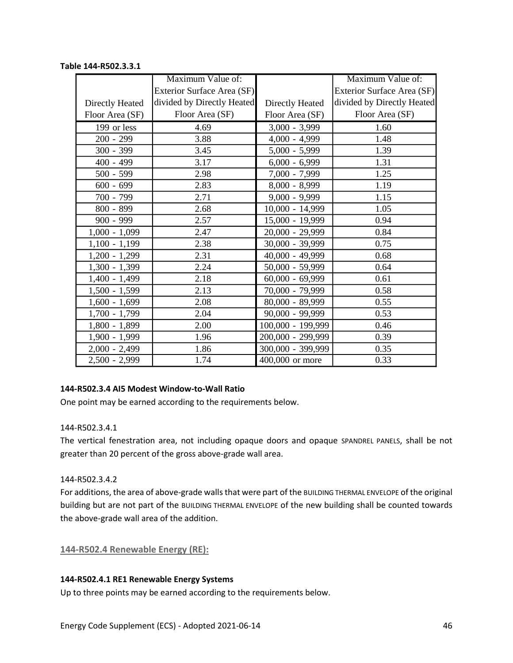#### Maximum Value of: Exterior Surface Area (SF) divided by Directly Heated Floor Area (SF) Maximum Value of: Exterior Surface Area (SF) divided by Directly Heated Floor Area (SF) 199 or less 1.69 4.69 3,000 - 3,999 1.60 200 - 299 3.88 4,000 - 4,999 4.000 - 1.48 300 - 399 3.45 3.45 5,000 - 5,999 3.45 400 - 499 3.17 6,000 - 6,999 1.31 500 - 599 2.98 7,000 - 7,999 1.25 600 - 699 2.83 8,000 - 8,999 1.19 700 - 799 2.71 9,000 - 9,999 1.15 800 - 899 2.68 10,000 - 14,999 1.05 900 - 999 2.57 15,000 - 19,999 0.94  $1,000 - 1,099$  2.47 20,000 - 29,999 2.84  $1,100 - 1,199$  2.38 30,000 - 39,999 30.000  $-$  39,999 30.000  $-$  39,999  $1,200 - 1,299$  2.31 40,000 - 49,999 0.68  $1,300 - 1,399$  2.24 50,000 - 59,999 0.64  $1,400 - 1,499$  2.18 60,000 - 69,999 0.61  $1,500 - 1,599$  2.13 70,000 - 79,999 0.58 1,600 - 1,699 2.08 80,000 - 89,999 0.55  $1,700 - 1,799$  2.04 90,000 - 99,999 0.53  $1,800 - 1,899$  2.00  $100,000 - 199,999$  0.46 1,900 - 1,999 1.96 200,000 - 299,999 0.39 2,000 - 2,499 1.86 300,000 - 399,999 0.35 2,500 - 2,999 1.74 400,000 or more 1 0.33 Directly Heated Floor Area (SF) Directly Heated Floor Area (SF)

# **Table 144-R502.3.3.1**

## **144-R502.3.4 AI5 Modest Window-to-Wall Ratio**

One point may be earned according to the requirements below.

## 144-R502.3.4.1

The vertical fenestration area, not including opaque doors and opaque SPANDREL PANELS, shall be not greater than 20 percent of the gross above-grade wall area.

## 144-R502.3.4.2

For additions, the area of above-grade walls that were part of the BUILDING THERMAL ENVELOPE of the original building but are not part of the BUILDING THERMAL ENVELOPE of the new building shall be counted towards the above-grade wall area of the addition.

**144-R502.4 Renewable Energy (RE):**

## **144-R502.4.1 RE1 Renewable Energy Systems**

Up to three points may be earned according to the requirements below.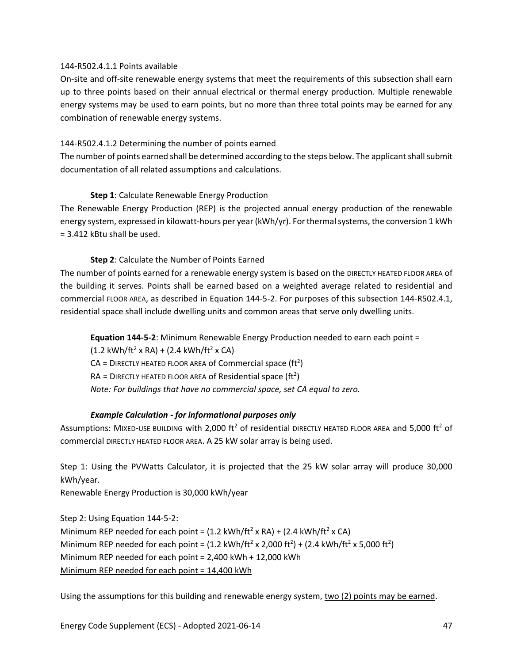#### 144-R502.4.1.1 Points available

On-site and off-site renewable energy systems that meet the requirements of this subsection shall earn up to three points based on their annual electrical or thermal energy production. Multiple renewable energy systems may be used to earn points, but no more than three total points may be earned for any combination of renewable energy systems.

## 144-R502.4.1.2 Determining the number of points earned

The number of points earned shall be determined according to the steps below. The applicant shall submit documentation of all related assumptions and calculations.

## **Step 1**: Calculate Renewable Energy Production

The Renewable Energy Production (REP) is the projected annual energy production of the renewable energy system, expressed in kilowatt-hours per year (kWh/yr). For thermal systems, the conversion 1 kWh = 3.412 kBtu shall be used.

## **Step 2**: Calculate the Number of Points Earned

The number of points earned for a renewable energy system is based on the DIRECTLY HEATED FLOOR AREA of the building it serves. Points shall be earned based on a weighted average related to residential and commercial FLOOR AREA, as described in Equation 144-5-2. For purposes of this subsection 144-R502.4.1, residential space shall include dwelling units and common areas that serve only dwelling units.

**Equation 144-5-2**: Minimum Renewable Energy Production needed to earn each point =

 $(1.2 \text{ kWh/ft}^2 \times \text{RA}) + (2.4 \text{ kWh/ft}^2 \times \text{CA})$  $CA =$  DIRECTLY HEATED FLOOR AREA of Commercial space (ft<sup>2</sup>)  $RA = D$  IRECTLY HEATED FLOOR AREA of Residential space (ft<sup>2</sup>) *Note: For buildings that have no commercial space, set CA equal to zero.*

## *Example Calculation - for informational purposes only*

Assumptions: MIXED-USE BUILDING with 2,000 ft<sup>2</sup> of residential DIRECTLY HEATED FLOOR AREA and 5,000 ft<sup>2</sup> of commercial DIRECTLY HEATED FLOOR AREA. A 25 kW solar array is being used.

Step 1: Using the PVWatts Calculator, it is projected that the 25 kW solar array will produce 30,000 kWh/year.

Renewable Energy Production is 30,000 kWh/year

Step 2: Using Equation 144-5-2: Minimum REP needed for each point =  $(1.2 \text{ kWh/ft}^2 \times \text{RA}) + (2.4 \text{ kWh/ft}^2 \times \text{CA})$ Minimum REP needed for each point = (1.2 kWh/ft<sup>2</sup> x 2,000 ft<sup>2</sup>) + (2.4 kWh/ft<sup>2</sup> x 5,000 ft<sup>2</sup>) Minimum REP needed for each point = 2,400 kWh + 12,000 kWh Minimum REP needed for each point = 14,400 kWh

Using the assumptions for this building and renewable energy system, two (2) points may be earned.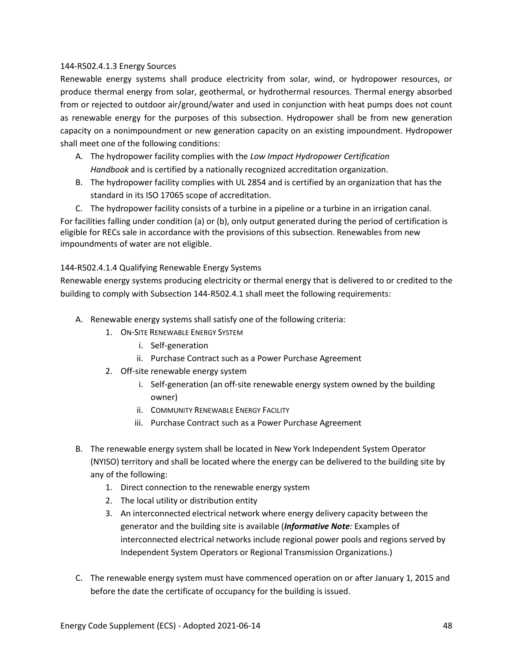## 144-R502.4.1.3 Energy Sources

Renewable energy systems shall produce electricity from solar, wind, or hydropower resources, or produce thermal energy from solar, geothermal, or hydrothermal resources. Thermal energy absorbed from or rejected to outdoor air/ground/water and used in conjunction with heat pumps does not count as renewable energy for the purposes of this subsection. Hydropower shall be from new generation capacity on a nonimpoundment or new generation capacity on an existing impoundment. Hydropower shall meet one of the following conditions:

- A. The hydropower facility complies with the *Low Impact Hydropower Certification Handbook* and is certified by a nationally recognized accreditation organization.
- B. The hydropower facility complies with UL 2854 and is certified by an organization that has the standard in its ISO 17065 scope of accreditation.

C. The hydropower facility consists of a turbine in a pipeline or a turbine in an irrigation canal. For facilities falling under condition (a) or (b), only output generated during the period of certification is eligible for RECs sale in accordance with the provisions of this subsection. Renewables from new impoundments of water are not eligible.

144-R502.4.1.4 Qualifying Renewable Energy Systems

Renewable energy systems producing electricity or thermal energy that is delivered to or credited to the building to comply with Subsection 144-R502.4.1 shall meet the following requirements:

- A. Renewable energy systems shall satisfy one of the following criteria:
	- 1. ON-SITE RENEWABLE ENERGY SYSTEM
		- i. Self-generation
		- ii. Purchase Contract such as a Power Purchase Agreement
	- 2. Off-site renewable energy system
		- i. Self-generation (an off-site renewable energy system owned by the building owner)
		- ii. COMMUNITY RENEWABLE ENERGY FACILITY
		- iii. Purchase Contract such as a Power Purchase Agreement
- B. The renewable energy system shall be located in New York Independent System Operator (NYISO) territory and shall be located where the energy can be delivered to the building site by any of the following:
	- 1. Direct connection to the renewable energy system
	- 2. The local utility or distribution entity
	- 3. An interconnected electrical network where energy delivery capacity between the generator and the building site is available (*Informative Note:* Examples of interconnected electrical networks include regional power pools and regions served by Independent System Operators or Regional Transmission Organizations.)
- C. The renewable energy system must have commenced operation on or after January 1, 2015 and before the date the certificate of occupancy for the building is issued.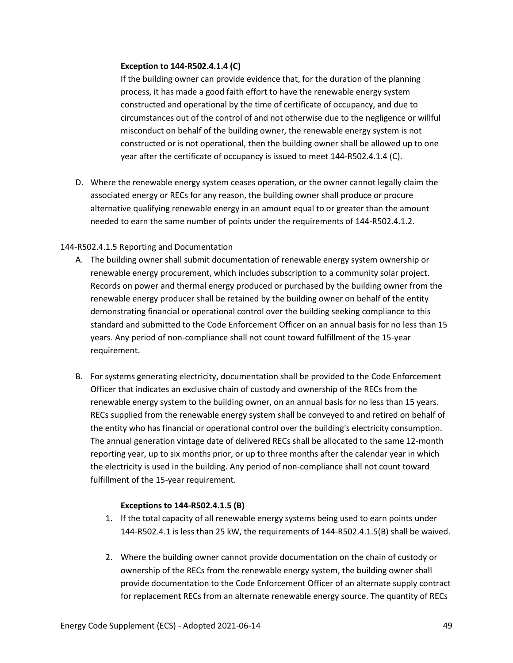### **Exception to 144-R502.4.1.4 (C)**

If the building owner can provide evidence that, for the duration of the planning process, it has made a good faith effort to have the renewable energy system constructed and operational by the time of certificate of occupancy, and due to circumstances out of the control of and not otherwise due to the negligence or willful misconduct on behalf of the building owner, the renewable energy system is not constructed or is not operational, then the building owner shall be allowed up to one year after the certificate of occupancy is issued to meet 144-R502.4.1.4 (C).

D. Where the renewable energy system ceases operation, or the owner cannot legally claim the associated energy or RECs for any reason, the building owner shall produce or procure alternative qualifying renewable energy in an amount equal to or greater than the amount needed to earn the same number of points under the requirements of 144-R502.4.1.2.

## 144-R502.4.1.5 Reporting and Documentation

- A. The building owner shall submit documentation of renewable energy system ownership or renewable energy procurement, which includes subscription to a community solar project. Records on power and thermal energy produced or purchased by the building owner from the renewable energy producer shall be retained by the building owner on behalf of the entity demonstrating financial or operational control over the building seeking compliance to this standard and submitted to the Code Enforcement Officer on an annual basis for no less than 15 years. Any period of non-compliance shall not count toward fulfillment of the 15-year requirement.
- B. For systems generating electricity, documentation shall be provided to the Code Enforcement Officer that indicates an exclusive chain of custody and ownership of the RECs from the renewable energy system to the building owner, on an annual basis for no less than 15 years. RECs supplied from the renewable energy system shall be conveyed to and retired on behalf of the entity who has financial or operational control over the building's electricity consumption. The annual generation vintage date of delivered RECs shall be allocated to the same 12-month reporting year, up to six months prior, or up to three months after the calendar year in which the electricity is used in the building. Any period of non-compliance shall not count toward fulfillment of the 15-year requirement.

## **Exceptions to 144-R502.4.1.5 (B)**

- 1. If the total capacity of all renewable energy systems being used to earn points under 144-R502.4.1 is less than 25 kW, the requirements of 144-R502.4.1.5(B) shall be waived.
- 2. Where the building owner cannot provide documentation on the chain of custody or ownership of the RECs from the renewable energy system, the building owner shall provide documentation to the Code Enforcement Officer of an alternate supply contract for replacement RECs from an alternate renewable energy source. The quantity of RECs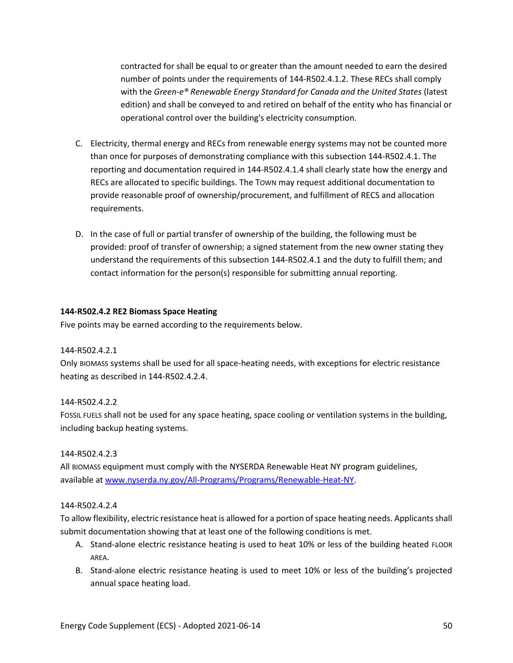contracted for shall be equal to or greater than the amount needed to earn the desired number of points under the requirements of 144-R502.4.1.2. These RECs shall comply with the *Green-e® Renewable Energy Standard for Canada and the United States* (latest edition) and shall be conveyed to and retired on behalf of the entity who has financial or operational control over the building's electricity consumption.

- C. Electricity, thermal energy and RECs from renewable energy systems may not be counted more than once for purposes of demonstrating compliance with this subsection 144-R502.4.1. The reporting and documentation required in 144-R502.4.1.4 shall clearly state how the energy and RECs are allocated to specific buildings. The TOWN may request additional documentation to provide reasonable proof of ownership/procurement, and fulfillment of RECS and allocation requirements.
- D. In the case of full or partial transfer of ownership of the building, the following must be provided: proof of transfer of ownership; a signed statement from the new owner stating they understand the requirements of this subsection 144-R502.4.1 and the duty to fulfill them; and contact information for the person(s) responsible for submitting annual reporting.

## **144-R502.4.2 RE2 Biomass Space Heating**

Five points may be earned according to the requirements below.

## 144-R502.4.2.1

Only BIOMASS systems shall be used for all space-heating needs, with exceptions for electric resistance heating as described in 144-R502.4.2.4.

## 144-R502.4.2.2

FOSSIL FUELS shall not be used for any space heating, space cooling or ventilation systems in the building, including backup heating systems.

## 144-R502.4.2.3

All BIOMASS equipment must comply with the NYSERDA Renewable Heat NY program guidelines, available a[t www.nyserda.ny.gov/All-Programs/Programs/Renewable-Heat-NY.](http://www.nyserda.ny.gov/All-Programs/Programs/Renewable-Heat-NY)

## 144-R502.4.2.4

To allow flexibility, electric resistance heat is allowed for a portion of space heating needs. Applicants shall submit documentation showing that at least one of the following conditions is met.

- A. Stand-alone electric resistance heating is used to heat 10% or less of the building heated FLOOR AREA.
- B. Stand-alone electric resistance heating is used to meet 10% or less of the building's projected annual space heating load.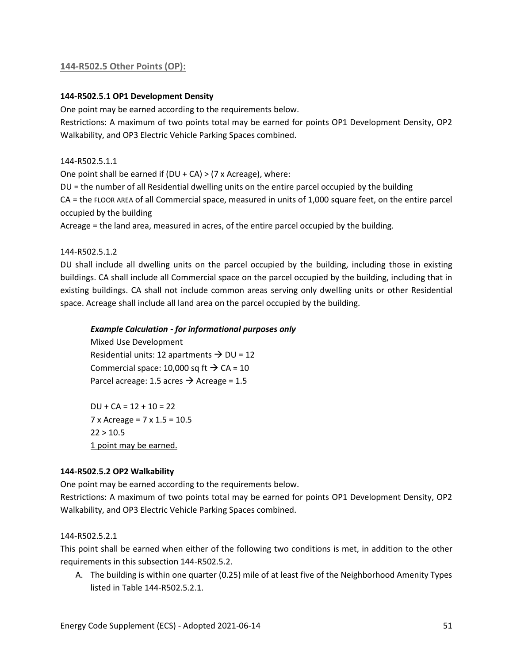## **144-R502.5 Other Points (OP):**

## **144-R502.5.1 OP1 Development Density**

One point may be earned according to the requirements below.

Restrictions: A maximum of two points total may be earned for points OP1 Development Density, OP2 Walkability, and OP3 Electric Vehicle Parking Spaces combined.

#### 144-R502.5.1.1

One point shall be earned if  $(DU + CA) > (7 \times A)$ creage), where:

DU = the number of all Residential dwelling units on the entire parcel occupied by the building

CA = the FLOOR AREA of all Commercial space, measured in units of 1,000 square feet, on the entire parcel occupied by the building

Acreage = the land area, measured in acres, of the entire parcel occupied by the building.

144-R502.5.1.2

DU shall include all dwelling units on the parcel occupied by the building, including those in existing buildings. CA shall include all Commercial space on the parcel occupied by the building, including that in existing buildings. CA shall not include common areas serving only dwelling units or other Residential space. Acreage shall include all land area on the parcel occupied by the building.

#### *Example Calculation - for informational purposes only*

Mixed Use Development Residential units: 12 apartments  $\rightarrow$  DU = 12 Commercial space: 10,000 sq ft  $\rightarrow$  CA = 10 Parcel acreage: 1.5 acres  $\rightarrow$  Acreage = 1.5

 $DU + CA = 12 + 10 = 22$ 7 x Acreage = 7 x 1.5 = 10.5  $22 > 10.5$ 1 point may be earned.

#### **144-R502.5.2 OP2 Walkability**

One point may be earned according to the requirements below.

Restrictions: A maximum of two points total may be earned for points OP1 Development Density, OP2 Walkability, and OP3 Electric Vehicle Parking Spaces combined.

## 144-R502.5.2.1

This point shall be earned when either of the following two conditions is met, in addition to the other requirements in this subsection 144-R502.5.2.

A. The building is within one quarter (0.25) mile of at least five of the Neighborhood Amenity Types listed in Table 144-R502.5.2.1.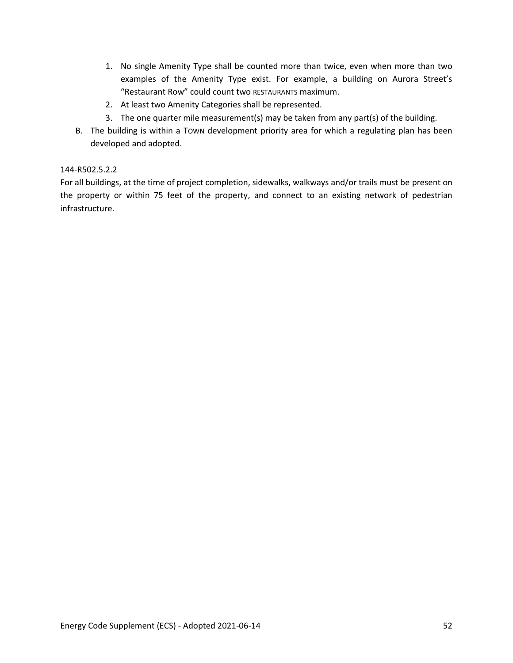- 1. No single Amenity Type shall be counted more than twice, even when more than two examples of the Amenity Type exist. For example, a building on Aurora Street's "Restaurant Row" could count two RESTAURANTS maximum.
- 2. At least two Amenity Categories shall be represented.
- 3. The one quarter mile measurement(s) may be taken from any part(s) of the building.
- B. The building is within a TOWN development priority area for which a regulating plan has been developed and adopted.

## 144-R502.5.2.2

For all buildings, at the time of project completion, sidewalks, walkways and/or trails must be present on the property or within 75 feet of the property, and connect to an existing network of pedestrian infrastructure.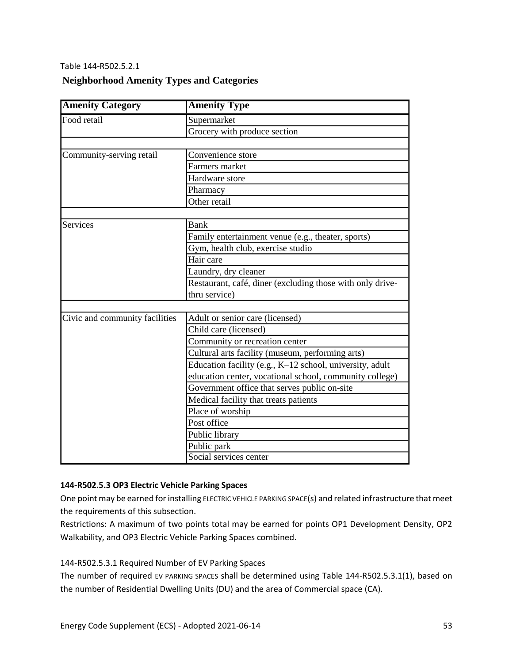## Table 144-R502.5.2.1

## **Neighborhood Amenity Types and Categories**

| <b>Amenity Category</b>        | <b>Amenity Type</b>                                       |  |  |  |  |
|--------------------------------|-----------------------------------------------------------|--|--|--|--|
| Food retail                    | Supermarket                                               |  |  |  |  |
|                                | Grocery with produce section                              |  |  |  |  |
|                                |                                                           |  |  |  |  |
| Community-serving retail       | Convenience store                                         |  |  |  |  |
|                                | Farmers market                                            |  |  |  |  |
|                                | Hardware store                                            |  |  |  |  |
|                                | Pharmacy                                                  |  |  |  |  |
|                                | Other retail                                              |  |  |  |  |
|                                |                                                           |  |  |  |  |
| <b>Services</b>                | Bank                                                      |  |  |  |  |
|                                | Family entertainment venue (e.g., theater, sports)        |  |  |  |  |
|                                | Gym, health club, exercise studio                         |  |  |  |  |
|                                | Hair care                                                 |  |  |  |  |
|                                | Laundry, dry cleaner                                      |  |  |  |  |
|                                | Restaurant, café, diner (excluding those with only drive- |  |  |  |  |
|                                | thru service)                                             |  |  |  |  |
|                                |                                                           |  |  |  |  |
| Civic and community facilities | Adult or senior care (licensed)                           |  |  |  |  |
|                                | Child care (licensed)                                     |  |  |  |  |
|                                | Community or recreation center                            |  |  |  |  |
|                                | Cultural arts facility (museum, performing arts)          |  |  |  |  |
|                                | Education facility (e.g., K-12 school, university, adult  |  |  |  |  |
|                                | education center, vocational school, community college)   |  |  |  |  |
|                                | Government office that serves public on-site              |  |  |  |  |
|                                | Medical facility that treats patients                     |  |  |  |  |
|                                | Place of worship                                          |  |  |  |  |
|                                | Post office                                               |  |  |  |  |
|                                | Public library                                            |  |  |  |  |
|                                | Public park                                               |  |  |  |  |
|                                | Social services center                                    |  |  |  |  |

## **144-R502.5.3 OP3 Electric Vehicle Parking Spaces**

One point may be earned for installing ELECTRIC VEHICLE PARKING SPACE(s) and related infrastructure that meet the requirements of this subsection.

Restrictions: A maximum of two points total may be earned for points OP1 Development Density, OP2 Walkability, and OP3 Electric Vehicle Parking Spaces combined.

## 144-R502.5.3.1 Required Number of EV Parking Spaces

The number of required EV PARKING SPACES shall be determined using Table 144-R502.5.3.1(1), based on the number of Residential Dwelling Units (DU) and the area of Commercial space (CA).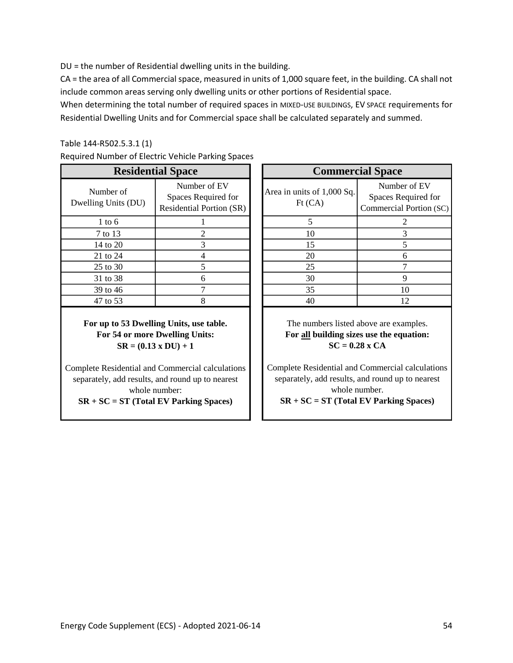DU = the number of Residential dwelling units in the building.

CA = the area of all Commercial space, measured in units of 1,000 square feet, in the building. CA shall not include common areas serving only dwelling units or other portions of Residential space.

When determining the total number of required spaces in MIXED-USE BUILDINGS, EV SPACE requirements for Residential Dwelling Units and for Commercial space shall be calculated separately and summed.

## Table 144-R502.5.3.1 (1)

| Required Number of Electric Vehicle Parking Spaces |  |  |  |  |  |  |
|----------------------------------------------------|--|--|--|--|--|--|
|----------------------------------------------------|--|--|--|--|--|--|

|                                  | <b>Residential Space</b>                                               | <b>Commercial Space</b> |                                         |                                      |
|----------------------------------|------------------------------------------------------------------------|-------------------------|-----------------------------------------|--------------------------------------|
| Number of<br>Dwelling Units (DU) | Number of EV<br>Spaces Required for<br><b>Residential Portion (SR)</b> |                         | Area in units of 1,000 Sq.<br>$Ft$ (CA) | Number<br>Spaces Req<br>Commercial F |
| $1$ to 6                         |                                                                        |                         |                                         |                                      |
| 7 to 13                          | 2                                                                      |                         | 10                                      |                                      |
| 14 to 20                         | 3                                                                      |                         | 15                                      |                                      |
| 21 to 24                         |                                                                        |                         | 20                                      | 6                                    |
| 25 to 30                         |                                                                        |                         | 25                                      |                                      |
| 31 to 38                         | 6                                                                      |                         | 30                                      | 9                                    |
| 39 to 46                         |                                                                        |                         | 35                                      | 10                                   |
| 47 to 53                         |                                                                        |                         | 40                                      | 12                                   |

**For up to 53 Dwelling Units, use table. For 54 or more Dwelling Units: SR = (0.13 x DU) + 1**

Complete Residential and Commercial calculations separately, add results, and round up to nearest whole number:

**SR + SC = ST (Total EV Parking Spaces)**

|                  | <b>Residential Space</b>                                               | <b>Commercial Space</b>               |                                                                |  |  |  |  |
|------------------|------------------------------------------------------------------------|---------------------------------------|----------------------------------------------------------------|--|--|--|--|
| r of<br>its (DU) | Number of EV<br>Spaces Required for<br><b>Residential Portion (SR)</b> | Area in units of 1,000 Sq.<br>Ft (CA) | Number of EV<br>Spaces Required for<br>Commercial Portion (SC) |  |  |  |  |
| 6                |                                                                        |                                       |                                                                |  |  |  |  |
| $\overline{13}$  |                                                                        | 10                                    |                                                                |  |  |  |  |
| 20               |                                                                        | 15                                    |                                                                |  |  |  |  |
| 24               |                                                                        | 20                                    |                                                                |  |  |  |  |
| 30               |                                                                        | 25                                    |                                                                |  |  |  |  |
| 38               | 6                                                                      | 30                                    |                                                                |  |  |  |  |
| 46               |                                                                        | 35                                    | 10                                                             |  |  |  |  |
| $\overline{53}$  |                                                                        | 40                                    | 12                                                             |  |  |  |  |
|                  |                                                                        |                                       |                                                                |  |  |  |  |

The numbers listed above are examples. **For all building sizes use the equation: SC = 0.28 x CA**

Complete Residential and Commercial calculations separately, add results, and round up to nearest whole number.

**SR + SC = ST (Total EV Parking Spaces)**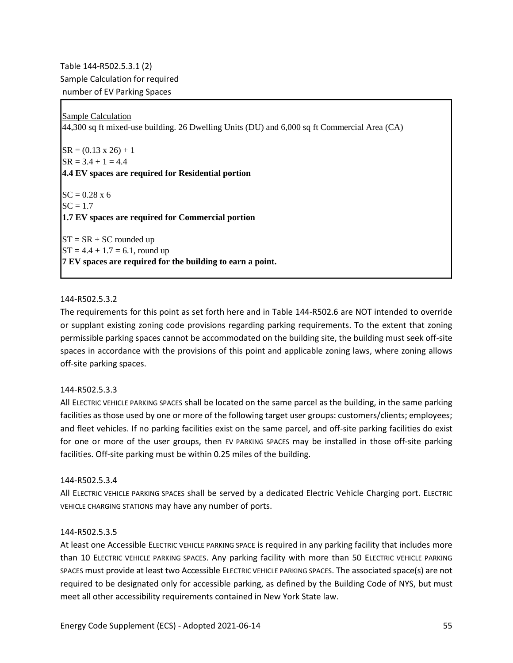Table 144-R502.5.3.1 (2) Sample Calculation for required number of EV Parking Spaces

Sample Calculation 44,300 sq ft mixed-use building. 26 Dwelling Units (DU) and 6,000 sq ft Commercial Area (CA)

 $SR = (0.13 \times 26) + 1$  $SR = 3.4 + 1 = 4.4$ **4.4 EV spaces are required for Residential portion**  $SC = 0.28 \times 6$  $SC = 1.7$ **1.7 EV spaces are required for Commercial portion**  $ST = SR + SC$  rounded up  $ST = 4.4 + 1.7 = 6.1$ , round up **7 EV spaces are required for the building to earn a point.**

#### 144-R502.5.3.2

The requirements for this point as set forth here and in Table 144-R502.6 are NOT intended to override or supplant existing zoning code provisions regarding parking requirements. To the extent that zoning permissible parking spaces cannot be accommodated on the building site, the building must seek off-site spaces in accordance with the provisions of this point and applicable zoning laws, where zoning allows off-site parking spaces.

#### 144-R502.5.3.3

All ELECTRIC VEHICLE PARKING SPACES shall be located on the same parcel as the building, in the same parking facilities as those used by one or more of the following target user groups: customers/clients; employees; and fleet vehicles. If no parking facilities exist on the same parcel, and off-site parking facilities do exist for one or more of the user groups, then EV PARKING SPACES may be installed in those off-site parking facilities. Off-site parking must be within 0.25 miles of the building.

#### 144-R502.5.3.4

All ELECTRIC VEHICLE PARKING SPACES shall be served by a dedicated Electric Vehicle Charging port. ELECTRIC VEHICLE CHARGING STATIONS may have any number of ports.

#### 144-R502.5.3.5

At least one Accessible ELECTRIC VEHICLE PARKING SPACE is required in any parking facility that includes more than 10 ELECTRIC VEHICLE PARKING SPACES. Any parking facility with more than 50 ELECTRIC VEHICLE PARKING SPACES must provide at least two Accessible ELECTRIC VEHICLE PARKING SPACES. The associated space(s) are not required to be designated only for accessible parking, as defined by the Building Code of NYS, but must meet all other accessibility requirements contained in New York State law.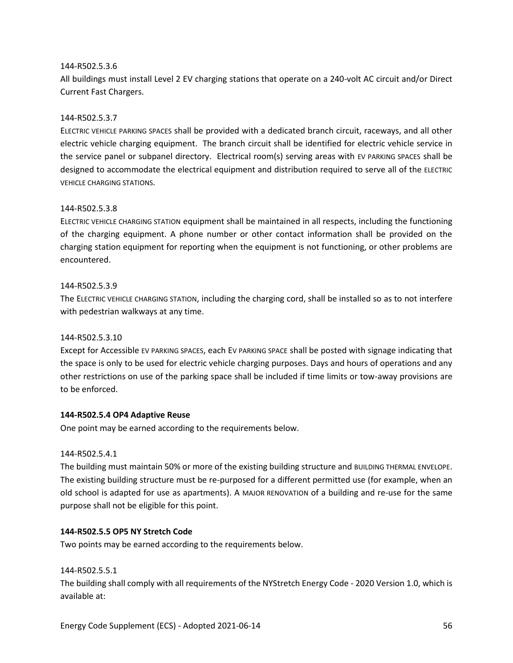### 144-R502.5.3.6

All buildings must install Level 2 EV charging stations that operate on a 240-volt AC circuit and/or Direct Current Fast Chargers.

### 144-R502.5.3.7

ELECTRIC VEHICLE PARKING SPACES shall be provided with a dedicated branch circuit, raceways, and all other electric vehicle charging equipment. The branch circuit shall be identified for electric vehicle service in the service panel or subpanel directory. Electrical room(s) serving areas with EV PARKING SPACES shall be designed to accommodate the electrical equipment and distribution required to serve all of the ELECTRIC VEHICLE CHARGING STATIONS.

#### 144-R502.5.3.8

ELECTRIC VEHICLE CHARGING STATION equipment shall be maintained in all respects, including the functioning of the charging equipment. A phone number or other contact information shall be provided on the charging station equipment for reporting when the equipment is not functioning, or other problems are encountered.

#### 144-R502.5.3.9

The ELECTRIC VEHICLE CHARGING STATION, including the charging cord, shall be installed so as to not interfere with pedestrian walkways at any time.

## 144-R502.5.3.10

Except for Accessible EV PARKING SPACES, each EV PARKING SPACE shall be posted with signage indicating that the space is only to be used for electric vehicle charging purposes. Days and hours of operations and any other restrictions on use of the parking space shall be included if time limits or tow-away provisions are to be enforced.

#### **144-R502.5.4 OP4 Adaptive Reuse**

One point may be earned according to the requirements below.

#### 144-R502.5.4.1

The building must maintain 50% or more of the existing building structure and BUILDING THERMAL ENVELOPE. The existing building structure must be re-purposed for a different permitted use (for example, when an old school is adapted for use as apartments). A MAJOR RENOVATION of a building and re-use for the same purpose shall not be eligible for this point.

## **144-R502.5.5 OP5 NY Stretch Code**

Two points may be earned according to the requirements below.

#### 144-R502.5.5.1

The building shall comply with all requirements of the NYStretch Energy Code - 2020 Version 1.0, which is available at: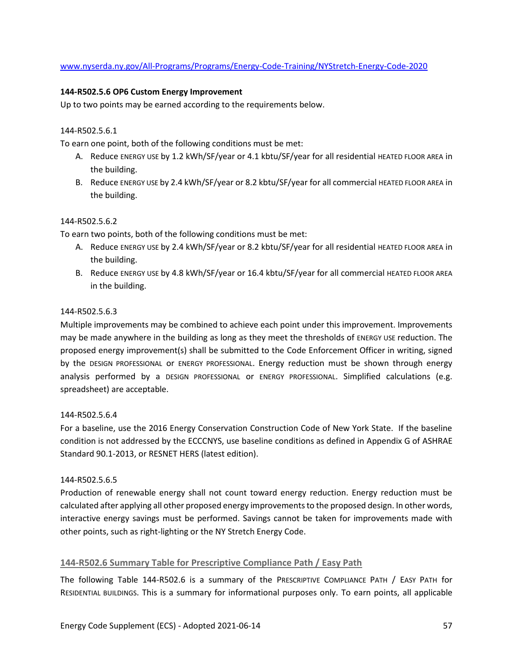## [www.nyserda.ny.gov/All-Programs/Programs/Energy-Code-Training/NYStretch-Energy-Code-2020](http://www.nyserda.ny.gov/All-Programs/Programs/Energy-Code-Training/NYStretch-Energy-Code-2020)

## **144-R502.5.6 OP6 Custom Energy Improvement**

Up to two points may be earned according to the requirements below.

### 144-R502.5.6.1

To earn one point, both of the following conditions must be met:

- A. Reduce ENERGY USE by 1.2 kWh/SF/year or 4.1 kbtu/SF/year for all residential HEATED FLOOR AREA in the building.
- B. Reduce ENERGY USE by 2.4 kWh/SF/year or 8.2 kbtu/SF/year for all commercial HEATED FLOOR AREA in the building.

## 144-R502.5.6.2

To earn two points, both of the following conditions must be met:

- A. Reduce ENERGY USE by 2.4 kWh/SF/year or 8.2 kbtu/SF/year for all residential HEATED FLOOR AREA in the building.
- B. Reduce ENERGY USE by 4.8 kWh/SF/year or 16.4 kbtu/SF/year for all commercial HEATED FLOOR AREA in the building.

#### 144-R502.5.6.3

Multiple improvements may be combined to achieve each point under this improvement. Improvements may be made anywhere in the building as long as they meet the thresholds of ENERGY USE reduction. The proposed energy improvement(s) shall be submitted to the Code Enforcement Officer in writing, signed by the DESIGN PROFESSIONAL or ENERGY PROFESSIONAL. Energy reduction must be shown through energy analysis performed by a DESIGN PROFESSIONAL or ENERGY PROFESSIONAL. Simplified calculations (e.g. spreadsheet) are acceptable.

#### 144-R502.5.6.4

For a baseline, use the 2016 Energy Conservation Construction Code of New York State. If the baseline condition is not addressed by the ECCCNYS, use baseline conditions as defined in Appendix G of ASHRAE Standard 90.1-2013, or RESNET HERS (latest edition).

#### 144-R502.5.6.5

Production of renewable energy shall not count toward energy reduction. Energy reduction must be calculated after applying all other proposed energy improvements to the proposed design. In other words, interactive energy savings must be performed. Savings cannot be taken for improvements made with other points, such as right-lighting or the NY Stretch Energy Code.

## **144-R502.6 Summary Table for Prescriptive Compliance Path / Easy Path**

The following Table 144-R502.6 is a summary of the PRESCRIPTIVE COMPLIANCE PATH / EASY PATH for RESIDENTIAL BUILDINGS. This is a summary for informational purposes only. To earn points, all applicable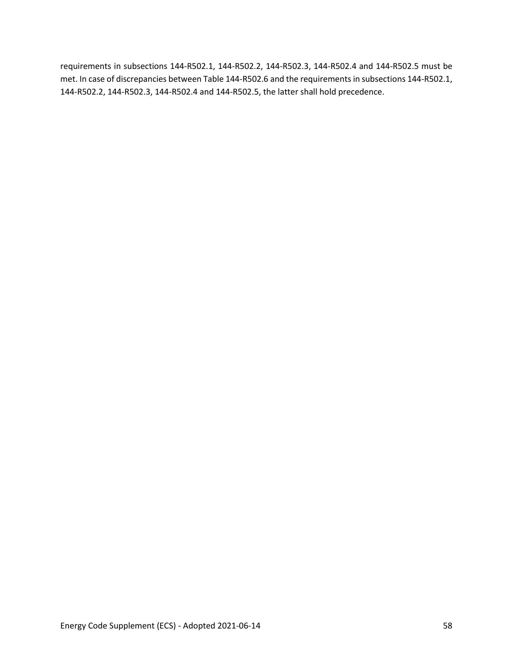requirements in subsections 144-R502.1, 144-R502.2, 144-R502.3, 144-R502.4 and 144-R502.5 must be met. In case of discrepancies between Table 144-R502.6 and the requirements in subsections 144-R502.1, 144-R502.2, 144-R502.3, 144-R502.4 and 144-R502.5, the latter shall hold precedence.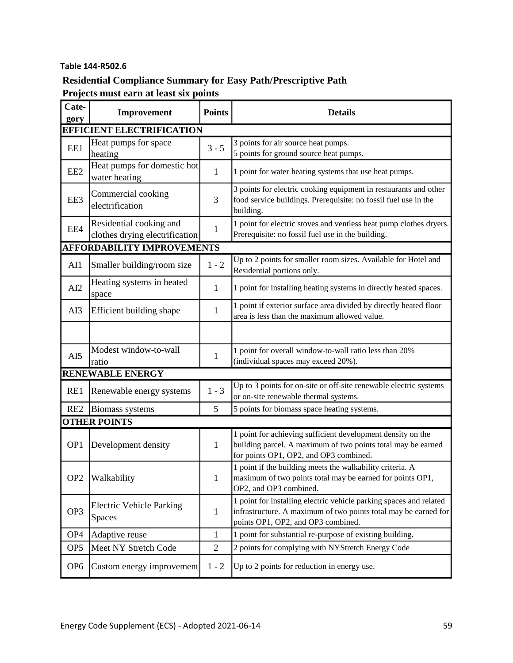# **Table 144-R502.6**

# **Residential Compliance Summary for Easy Path/Prescriptive Path**

**Projects must earn at least six points**

| Cate-<br>gory                    | Improvement                                               | <b>Points</b>  | <b>Details</b>                                                                                                                                                              |  |  |  |  |
|----------------------------------|-----------------------------------------------------------|----------------|-----------------------------------------------------------------------------------------------------------------------------------------------------------------------------|--|--|--|--|
| <b>EFFICIENT ELECTRIFICATION</b> |                                                           |                |                                                                                                                                                                             |  |  |  |  |
| EE1                              | Heat pumps for space<br>heating                           | $3 - 5$        | 3 points for air source heat pumps.<br>5 points for ground source heat pumps.                                                                                               |  |  |  |  |
| EE <sub>2</sub>                  | Heat pumps for domestic hot<br>water heating              | $\mathbf{1}$   | 1 point for water heating systems that use heat pumps.                                                                                                                      |  |  |  |  |
| EE3                              | Commercial cooking<br>electrification                     | 3              | 3 points for electric cooking equipment in restaurants and other<br>food service buildings. Prerequisite: no fossil fuel use in the<br>building.                            |  |  |  |  |
| EE4                              | Residential cooking and<br>clothes drying electrification | $\mathbf{1}$   | 1 point for electric stoves and ventless heat pump clothes dryers.<br>Prerequisite: no fossil fuel use in the building.                                                     |  |  |  |  |
|                                  | <b>AFFORDABILITY IMPROVEMENTS</b>                         |                |                                                                                                                                                                             |  |  |  |  |
| AI1                              | Smaller building/room size                                | $1 - 2$        | Up to 2 points for smaller room sizes. Available for Hotel and<br>Residential portions only.                                                                                |  |  |  |  |
| AI2                              | Heating systems in heated<br>space                        | 1              | 1 point for installing heating systems in directly heated spaces.                                                                                                           |  |  |  |  |
| AI3                              | Efficient building shape                                  | $\mathbf{1}$   | 1 point if exterior surface area divided by directly heated floor<br>area is less than the maximum allowed value.                                                           |  |  |  |  |
|                                  |                                                           |                |                                                                                                                                                                             |  |  |  |  |
| AI5                              | Modest window-to-wall<br>ratio                            | $\mathbf{1}$   | 1 point for overall window-to-wall ratio less than 20%<br>(individual spaces may exceed 20%).                                                                               |  |  |  |  |
|                                  | <b>RENEWABLE ENERGY</b>                                   |                |                                                                                                                                                                             |  |  |  |  |
| RE1                              | Renewable energy systems                                  | $1 - 3$        | Up to 3 points for on-site or off-site renewable electric systems<br>or on-site renewable thermal systems.                                                                  |  |  |  |  |
| RE <sub>2</sub>                  | Biomass systems                                           | 5              | 5 points for biomass space heating systems.                                                                                                                                 |  |  |  |  |
|                                  | <b>OTHER POINTS</b>                                       |                |                                                                                                                                                                             |  |  |  |  |
| OP <sub>1</sub>                  | Development density                                       | 1              | 1 point for achieving sufficient development density on the<br>building parcel. A maximum of two points total may be earned<br>for points OP1, OP2, and OP3 combined.       |  |  |  |  |
| OP <sub>2</sub>                  | Walkability                                               | $\mathbf{1}$   | 1 point if the building meets the walkability criteria. A<br>maximum of two points total may be earned for points OP1,<br>OP2, and OP3 combined.                            |  |  |  |  |
| OP <sub>3</sub>                  | <b>Electric Vehicle Parking</b><br><b>Spaces</b>          | $\mathbf{1}$   | 1 point for installing electric vehicle parking spaces and related<br>infrastructure. A maximum of two points total may be earned for<br>points OP1, OP2, and OP3 combined. |  |  |  |  |
| OP <sub>4</sub>                  | Adaptive reuse                                            | $\mathbf{1}$   | 1 point for substantial re-purpose of existing building.                                                                                                                    |  |  |  |  |
| OP <sub>5</sub>                  | Meet NY Stretch Code                                      | $\overline{2}$ | 2 points for complying with NYStretch Energy Code                                                                                                                           |  |  |  |  |
| OP <sub>6</sub>                  | Custom energy improvement                                 | $1 - 2$        | Up to 2 points for reduction in energy use.                                                                                                                                 |  |  |  |  |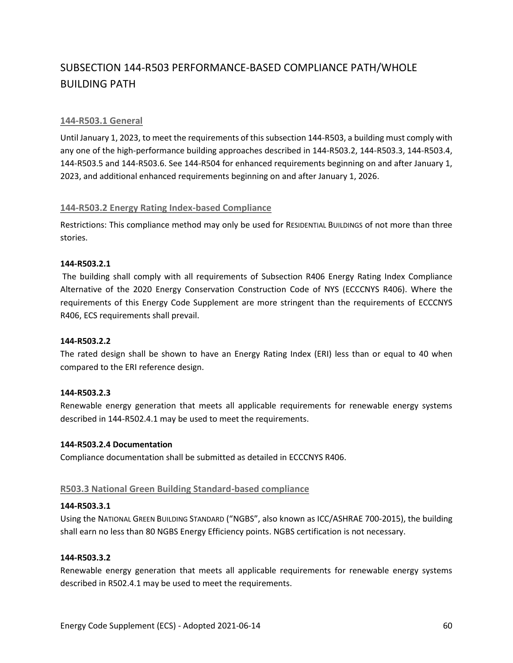# SUBSECTION 144-R503 PERFORMANCE-BASED COMPLIANCE PATH/WHOLE BUILDING PATH

## **144-R503.1 General**

Until January 1, 2023, to meet the requirements of this subsection 144-R503, a building must comply with any one of the high-performance building approaches described in 144-R503.2, 144-R503.3, 144-R503.4, 144-R503.5 and 144-R503.6. See 144-R504 for enhanced requirements beginning on and after January 1, 2023, and additional enhanced requirements beginning on and after January 1, 2026.

## **144-R503.2 Energy Rating Index-based Compliance**

Restrictions: This compliance method may only be used for RESIDENTIAL BUILDINGS of not more than three stories.

## **144-R503.2.1**

The building shall comply with all requirements of Subsection R406 Energy Rating Index Compliance Alternative of the 2020 Energy Conservation Construction Code of NYS (ECCCNYS R406). Where the requirements of this Energy Code Supplement are more stringent than the requirements of ECCCNYS R406, ECS requirements shall prevail.

## **144-R503.2.2**

The rated design shall be shown to have an Energy Rating Index (ERI) less than or equal to 40 when compared to the ERI reference design.

## **144-R503.2.3**

Renewable energy generation that meets all applicable requirements for renewable energy systems described in 144-R502.4.1 may be used to meet the requirements.

#### **144-R503.2.4 Documentation**

Compliance documentation shall be submitted as detailed in ECCCNYS R406.

## **R503.3 National Green Building Standard-based compliance**

#### **144-R503.3.1**

Using the NATIONAL GREEN BUILDING STANDARD ("NGBS", also known as ICC/ASHRAE 700-2015), the building shall earn no less than 80 NGBS Energy Efficiency points. NGBS certification is not necessary.

#### **144-R503.3.2**

Renewable energy generation that meets all applicable requirements for renewable energy systems described in R502.4.1 may be used to meet the requirements.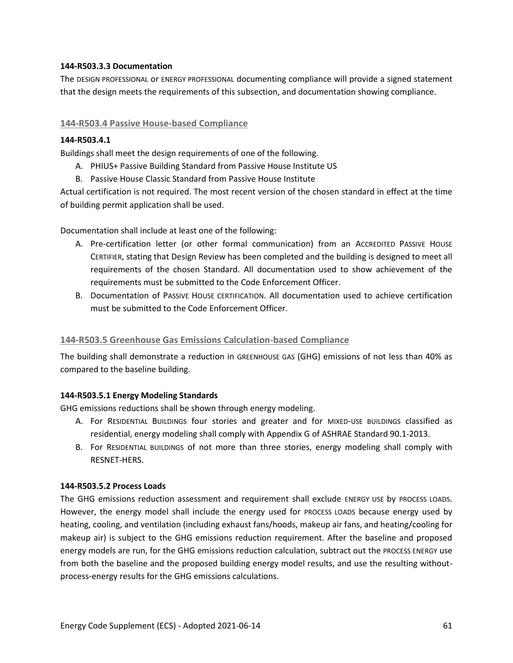## **144-R503.3.3 Documentation**

The DESIGN PROFESSIONAL or ENERGY PROFESSIONAL documenting compliance will provide a signed statement that the design meets the requirements of this subsection, and documentation showing compliance.

## **144-R503.4 Passive House-based Compliance**

## **144-R503.4.1**

Buildings shall meet the design requirements of one of the following.

- A. PHIUS+ Passive Building Standard from Passive House Institute US
- B. Passive House Classic Standard from Passive House Institute

Actual certification is not required. The most recent version of the chosen standard in effect at the time of building permit application shall be used.

Documentation shall include at least one of the following:

- A. Pre-certification letter (or other formal communication) from an ACCREDITED PASSIVE HOUSE CERTIFIER, stating that Design Review has been completed and the building is designed to meet all requirements of the chosen Standard. All documentation used to show achievement of the requirements must be submitted to the Code Enforcement Officer.
- B. Documentation of PASSIVE HOUSE CERTIFICATION. All documentation used to achieve certification must be submitted to the Code Enforcement Officer.

## **144-R503.5 Greenhouse Gas Emissions Calculation-based Compliance**

The building shall demonstrate a reduction in GREENHOUSE GAS (GHG) emissions of not less than 40% as compared to the baseline building.

## **144-R503.5.1 Energy Modeling Standards**

GHG emissions reductions shall be shown through energy modeling.

- A. For RESIDENTIAL BUILDINGS four stories and greater and for MIXED-USE BUILDINGS classified as residential, energy modeling shall comply with Appendix G of ASHRAE Standard 90.1-2013.
- B. For RESIDENTIAL BUILDINGS of not more than three stories, energy modeling shall comply with RESNET-HERS.

#### **144-R503.5.2 Process Loads**

The GHG emissions reduction assessment and requirement shall exclude ENERGY USE by PROCESS LOADS. However, the energy model shall include the energy used for PROCESS LOADS because energy used by heating, cooling, and ventilation (including exhaust fans/hoods, makeup air fans, and heating/cooling for makeup air) is subject to the GHG emissions reduction requirement. After the baseline and proposed energy models are run, for the GHG emissions reduction calculation, subtract out the PROCESS ENERGY use from both the baseline and the proposed building energy model results, and use the resulting withoutprocess-energy results for the GHG emissions calculations.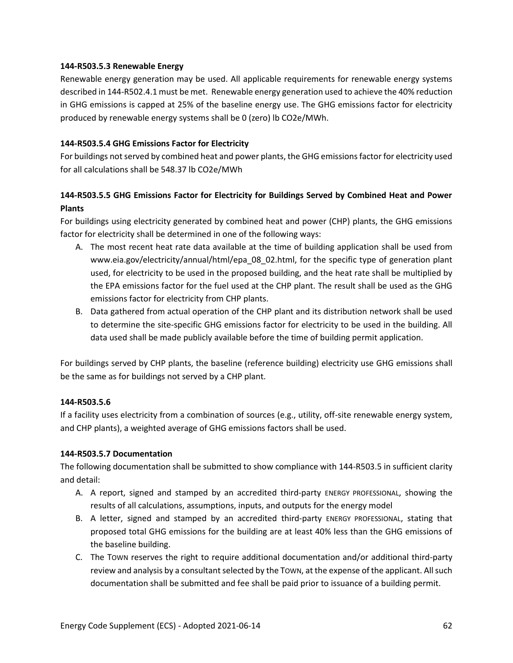## **144-R503.5.3 Renewable Energy**

Renewable energy generation may be used. All applicable requirements for renewable energy systems described in 144-R502.4.1 must be met. Renewable energy generation used to achieve the 40% reduction in GHG emissions is capped at 25% of the baseline energy use. The GHG emissions factor for electricity produced by renewable energy systems shall be 0 (zero) lb CO2e/MWh.

## **144-R503.5.4 GHG Emissions Factor for Electricity**

For buildings not served by combined heat and power plants, the GHG emissions factor for electricity used for all calculations shall be 548.37 lb CO2e/MWh

# **144-R503.5.5 GHG Emissions Factor for Electricity for Buildings Served by Combined Heat and Power Plants**

For buildings using electricity generated by combined heat and power (CHP) plants, the GHG emissions factor for electricity shall be determined in one of the following ways:

- A. The most recent heat rate data available at the time of building application shall be used from [www.eia.gov/electricity/annual/html/epa\\_08\\_02.html,](https://www.eia.gov/electricity/annual/html/epa_08_02.html) for the specific type of generation plant used, for electricity to be used in the proposed building, and the heat rate shall be multiplied by the EPA emissions factor for the fuel used at the CHP plant. The result shall be used as the GHG emissions factor for electricity from CHP plants.
- B. Data gathered from actual operation of the CHP plant and its distribution network shall be used to determine the site-specific GHG emissions factor for electricity to be used in the building. All data used shall be made publicly available before the time of building permit application.

For buildings served by CHP plants, the baseline (reference building) electricity use GHG emissions shall be the same as for buildings not served by a CHP plant.

## **144-R503.5.6**

If a facility uses electricity from a combination of sources (e.g., utility, off-site renewable energy system, and CHP plants), a weighted average of GHG emissions factors shall be used.

## **144-R503.5.7 Documentation**

The following documentation shall be submitted to show compliance with 144-R503.5 in sufficient clarity and detail:

- A. A report, signed and stamped by an accredited third-party ENERGY PROFESSIONAL, showing the results of all calculations, assumptions, inputs, and outputs for the energy model
- B. A letter, signed and stamped by an accredited third-party ENERGY PROFESSIONAL, stating that proposed total GHG emissions for the building are at least 40% less than the GHG emissions of the baseline building.
- C. The TOWN reserves the right to require additional documentation and/or additional third-party review and analysis by a consultant selected by the TOWN, at the expense of the applicant. All such documentation shall be submitted and fee shall be paid prior to issuance of a building permit.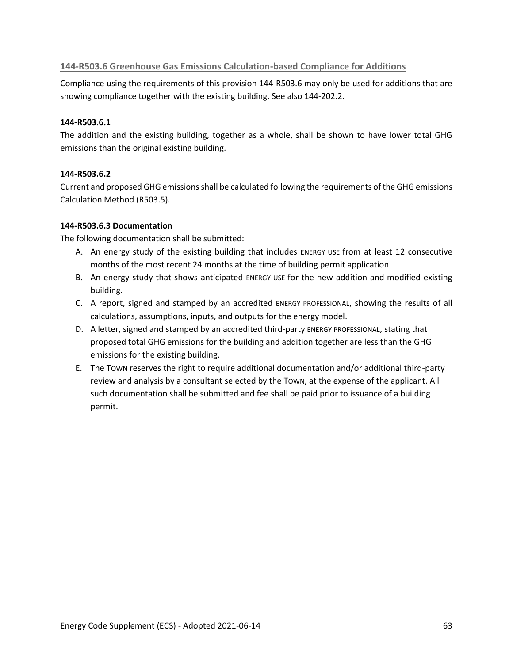## **144-R503.6 Greenhouse Gas Emissions Calculation-based Compliance for Additions**

Compliance using the requirements of this provision 144-R503.6 may only be used for additions that are showing compliance together with the existing building. See also 144-202.2.

## **144-R503.6.1**

The addition and the existing building, together as a whole, shall be shown to have lower total GHG emissions than the original existing building.

## **144-R503.6.2**

Current and proposed GHG emissions shall be calculated following the requirements of the GHG emissions Calculation Method (R503.5).

## **144-R503.6.3 Documentation**

The following documentation shall be submitted:

- A. An energy study of the existing building that includes ENERGY USE from at least 12 consecutive months of the most recent 24 months at the time of building permit application.
- B. An energy study that shows anticipated ENERGY USE for the new addition and modified existing building.
- C. A report, signed and stamped by an accredited ENERGY PROFESSIONAL, showing the results of all calculations, assumptions, inputs, and outputs for the energy model.
- D. A letter, signed and stamped by an accredited third-party ENERGY PROFESSIONAL, stating that proposed total GHG emissions for the building and addition together are less than the GHG emissions for the existing building.
- E. The TOWN reserves the right to require additional documentation and/or additional third-party review and analysis by a consultant selected by the TOWN, at the expense of the applicant. All such documentation shall be submitted and fee shall be paid prior to issuance of a building permit.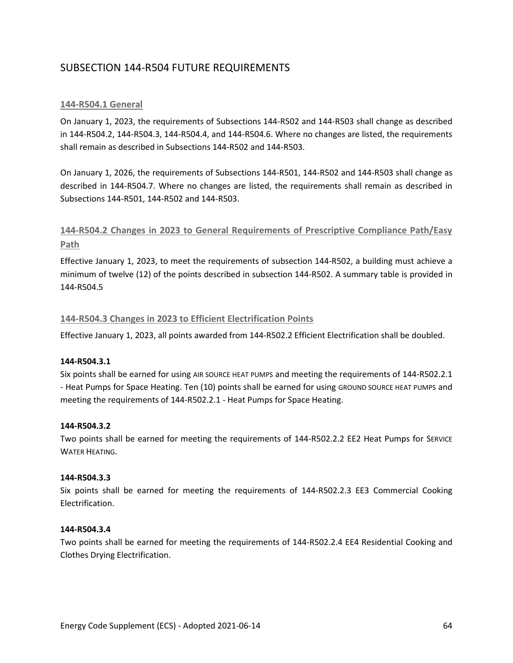# SUBSECTION 144-R504 FUTURE REQUIREMENTS

## **144-R504.1 General**

On January 1, 2023, the requirements of Subsections 144-R502 and 144-R503 shall change as described in 144-R504.2, 144-R504.3, 144-R504.4, and 144-R504.6. Where no changes are listed, the requirements shall remain as described in Subsections 144-R502 and 144-R503.

On January 1, 2026, the requirements of Subsections 144-R501, 144-R502 and 144-R503 shall change as described in 144-R504.7. Where no changes are listed, the requirements shall remain as described in Subsections 144-R501, 144-R502 and 144-R503.

# **144-R504.2 Changes in 2023 to General Requirements of Prescriptive Compliance Path/Easy Path**

Effective January 1, 2023, to meet the requirements of subsection 144-R502, a building must achieve a minimum of twelve (12) of the points described in subsection 144-R502. A summary table is provided in 144-R504.5

## **144-R504.3 Changes in 2023 to Efficient Electrification Points**

Effective January 1, 2023, all points awarded from 144-R502.2 Efficient Electrification shall be doubled.

## **144-R504.3.1**

Six points shall be earned for using AIR SOURCE HEAT PUMPS and meeting the requirements of 144-R502.2.1 - Heat Pumps for Space Heating. Ten (10) points shall be earned for using GROUND SOURCE HEAT PUMPS and meeting the requirements of 144-R502.2.1 - Heat Pumps for Space Heating.

## **144-R504.3.2**

Two points shall be earned for meeting the requirements of 144-R502.2.2 EE2 Heat Pumps for SERVICE WATER HEATING.

## **144-R504.3.3**

Six points shall be earned for meeting the requirements of 144-R502.2.3 EE3 Commercial Cooking Electrification.

#### **144-R504.3.4**

Two points shall be earned for meeting the requirements of 144-R502.2.4 EE4 Residential Cooking and Clothes Drying Electrification.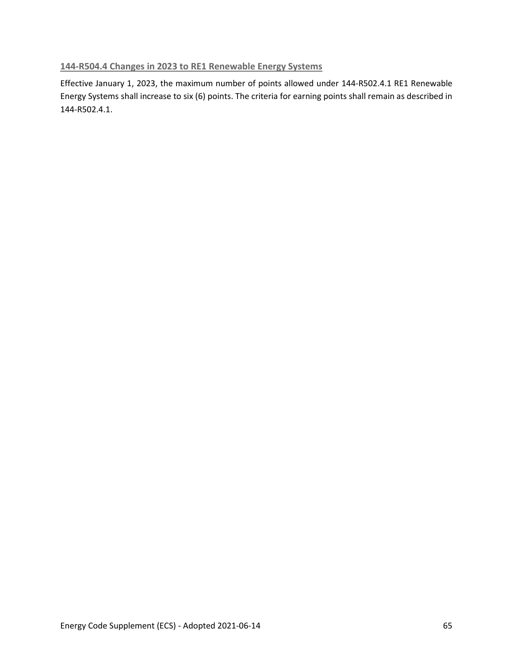## **144-R504.4 Changes in 2023 to RE1 Renewable Energy Systems**

Effective January 1, 2023, the maximum number of points allowed under 144-R502.4.1 RE1 Renewable Energy Systems shall increase to six (6) points. The criteria for earning points shall remain as described in 144-R502.4.1.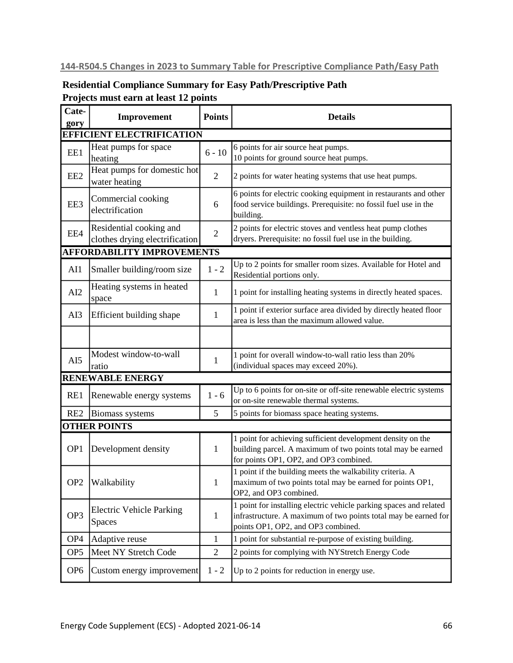# **144-R504.5 Changes in 2023 to Summary Table for Prescriptive Compliance Path/Easy Path**

# **Residential Compliance Summary for Easy Path/Prescriptive Path Projects must earn at least 12 points**

| Cate-<br>gory                    | Improvement                                               | <b>Points</b>  | <b>Details</b>                                                                                                                                                              |  |  |  |  |
|----------------------------------|-----------------------------------------------------------|----------------|-----------------------------------------------------------------------------------------------------------------------------------------------------------------------------|--|--|--|--|
| <b>EFFICIENT ELECTRIFICATION</b> |                                                           |                |                                                                                                                                                                             |  |  |  |  |
| EE1                              | Heat pumps for space<br>heating                           | $6 - 10$       | 6 points for air source heat pumps.<br>10 points for ground source heat pumps.                                                                                              |  |  |  |  |
| EE <sub>2</sub>                  | Heat pumps for domestic hot<br>water heating              | $\overline{2}$ | 2 points for water heating systems that use heat pumps.                                                                                                                     |  |  |  |  |
| EE3                              | Commercial cooking<br>electrification                     | 6              | 6 points for electric cooking equipment in restaurants and other<br>food service buildings. Prerequisite: no fossil fuel use in the<br>building.                            |  |  |  |  |
| EE4                              | Residential cooking and<br>clothes drying electrification | $\sqrt{2}$     | 2 points for electric stoves and ventless heat pump clothes<br>dryers. Prerequisite: no fossil fuel use in the building.                                                    |  |  |  |  |
|                                  | <b>AFFORDABILITY IMPROVEMENTS</b>                         |                |                                                                                                                                                                             |  |  |  |  |
| AI1                              | Smaller building/room size                                | $1 - 2$        | Up to 2 points for smaller room sizes. Available for Hotel and<br>Residential portions only.                                                                                |  |  |  |  |
| AI2                              | Heating systems in heated<br>space                        | 1              | 1 point for installing heating systems in directly heated spaces.                                                                                                           |  |  |  |  |
| AI3                              | Efficient building shape                                  | 1              | 1 point if exterior surface area divided by directly heated floor<br>area is less than the maximum allowed value.                                                           |  |  |  |  |
|                                  |                                                           |                |                                                                                                                                                                             |  |  |  |  |
| AI5                              | Modest window-to-wall<br>ratio                            | $\mathbf{1}$   | 1 point for overall window-to-wall ratio less than 20%<br>(individual spaces may exceed 20%).                                                                               |  |  |  |  |
|                                  | <b>RENEWABLE ENERGY</b>                                   |                |                                                                                                                                                                             |  |  |  |  |
| RE1                              | Renewable energy systems                                  | $1 - 6$        | Up to 6 points for on-site or off-site renewable electric systems<br>or on-site renewable thermal systems.                                                                  |  |  |  |  |
| RE <sub>2</sub>                  | Biomass systems                                           | 5              | 5 points for biomass space heating systems.                                                                                                                                 |  |  |  |  |
|                                  | <b>OTHER POINTS</b>                                       |                |                                                                                                                                                                             |  |  |  |  |
| OP <sub>1</sub>                  | Development density                                       | 1              | 1 point for achieving sufficient development density on the<br>building parcel. A maximum of two points total may be earned<br>for points OP1, OP2, and OP3 combined.       |  |  |  |  |
| OP <sub>2</sub>                  | Walkability                                               | $\mathbf{1}$   | 1 point if the building meets the walkability criteria. A<br>maximum of two points total may be earned for points OP1,<br>OP2, and OP3 combined.                            |  |  |  |  |
| OP3                              | <b>Electric Vehicle Parking</b><br><b>Spaces</b>          | $\mathbf{1}$   | 1 point for installing electric vehicle parking spaces and related<br>infrastructure. A maximum of two points total may be earned for<br>points OP1, OP2, and OP3 combined. |  |  |  |  |
| OP <sub>4</sub>                  | Adaptive reuse                                            | $\mathbf{1}$   | 1 point for substantial re-purpose of existing building.                                                                                                                    |  |  |  |  |
| OP <sub>5</sub>                  | Meet NY Stretch Code                                      | $\mathbf{2}$   | 2 points for complying with NYStretch Energy Code                                                                                                                           |  |  |  |  |
| OP <sub>6</sub>                  | Custom energy improvement                                 | $1 - 2$        | Up to 2 points for reduction in energy use.                                                                                                                                 |  |  |  |  |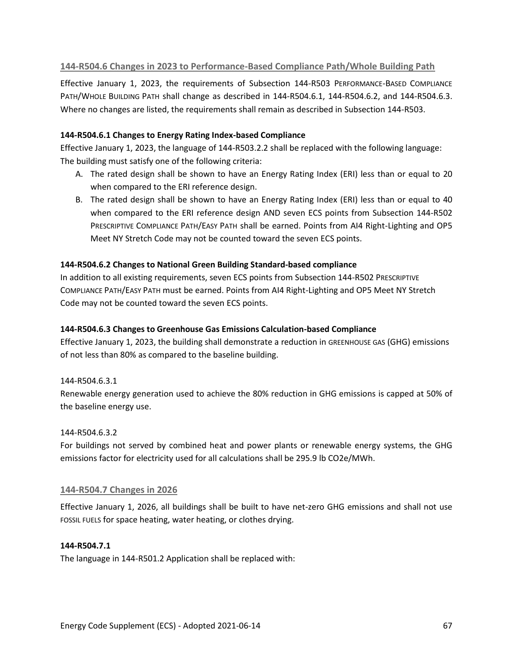## **144-R504.6 Changes in 2023 to Performance-Based Compliance Path/Whole Building Path**

Effective January 1, 2023, the requirements of Subsection 144-R503 PERFORMANCE-BASED COMPLIANCE PATH/WHOLE BUILDING PATH shall change as described in 144-R504.6.1, 144-R504.6.2, and 144-R504.6.3. Where no changes are listed, the requirements shall remain as described in Subsection 144-R503.

## **144-R504.6.1 Changes to Energy Rating Index-based Compliance**

Effective January 1, 2023, the language of 144-R503.2.2 shall be replaced with the following language: The building must satisfy one of the following criteria:

- A. The rated design shall be shown to have an Energy Rating Index (ERI) less than or equal to 20 when compared to the ERI reference design.
- B. The rated design shall be shown to have an Energy Rating Index (ERI) less than or equal to 40 when compared to the ERI reference design AND seven ECS points from Subsection 144-R502 PRESCRIPTIVE COMPLIANCE PATH/EASY PATH shall be earned. Points from AI4 Right-Lighting and OP5 Meet NY Stretch Code may not be counted toward the seven ECS points.

## **144-R504.6.2 Changes to National Green Building Standard-based compliance**

In addition to all existing requirements, seven ECS points from Subsection 144-R502 PRESCRIPTIVE COMPLIANCE PATH/EASY PATH must be earned. Points from AI4 Right-Lighting and OP5 Meet NY Stretch Code may not be counted toward the seven ECS points.

## **144-R504.6.3 Changes to Greenhouse Gas Emissions Calculation-based Compliance**

Effective January 1, 2023, the building shall demonstrate a reduction in GREENHOUSE GAS (GHG) emissions of not less than 80% as compared to the baseline building.

## 144-R504.6.3.1

Renewable energy generation used to achieve the 80% reduction in GHG emissions is capped at 50% of the baseline energy use.

## 144-R504.6.3.2

For buildings not served by combined heat and power plants or renewable energy systems, the GHG emissions factor for electricity used for all calculations shall be 295.9 lb CO2e/MWh.

## **144-R504.7 Changes in 2026**

Effective January 1, 2026, all buildings shall be built to have net-zero GHG emissions and shall not use FOSSIL FUELS for space heating, water heating, or clothes drying.

## **144-R504.7.1**

The language in 144-R501.2 Application shall be replaced with: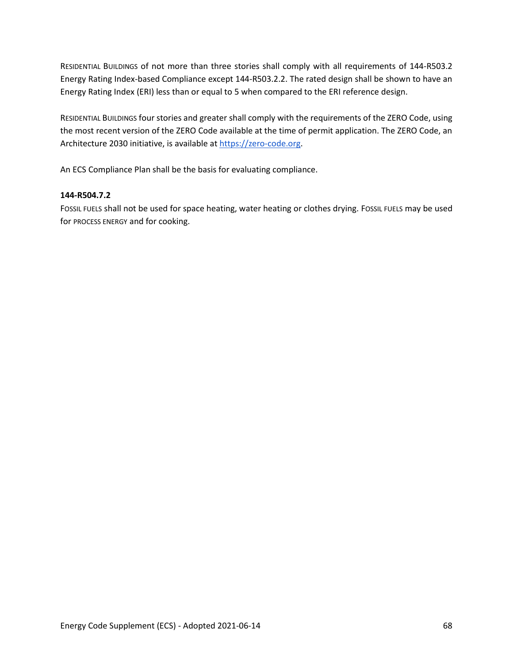RESIDENTIAL BUILDINGS of not more than three stories shall comply with all requirements of 144-R503.2 Energy Rating Index-based Compliance except 144-R503.2.2. The rated design shall be shown to have an Energy Rating Index (ERI) less than or equal to 5 when compared to the ERI reference design.

RESIDENTIAL BUILDINGS four stories and greater shall comply with the requirements of the ZERO Code, using the most recent version of the ZERO Code available at the time of permit application. The ZERO Code, an Architecture 2030 initiative, is available at [https://zero-code.org.](https://zero-code.org/)

An ECS Compliance Plan shall be the basis for evaluating compliance.

## **144-R504.7.2**

FOSSIL FUELS shall not be used for space heating, water heating or clothes drying. FOSSIL FUELS may be used for PROCESS ENERGY and for cooking.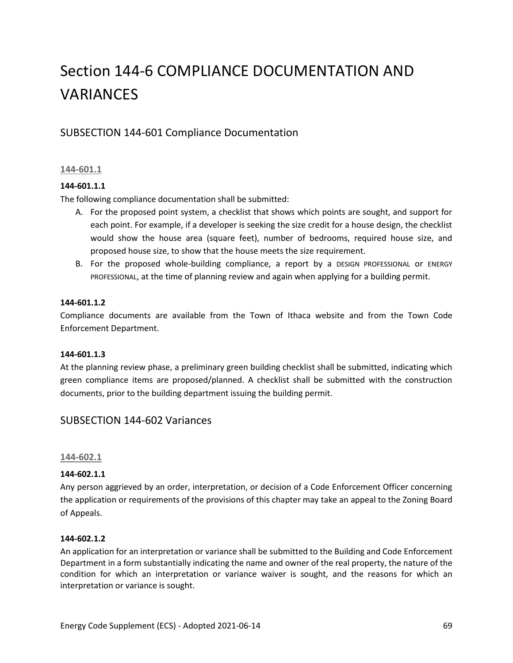# Section 144-6 COMPLIANCE DOCUMENTATION AND VARIANCES

# SUBSECTION 144-601 Compliance Documentation

## **144-601.1**

## **144-601.1.1**

The following compliance documentation shall be submitted:

- A. For the proposed point system, a checklist that shows which points are sought, and support for each point. For example, if a developer is seeking the size credit for a house design, the checklist would show the house area (square feet), number of bedrooms, required house size, and proposed house size, to show that the house meets the size requirement.
- B. For the proposed whole-building compliance, a report by a DESIGN PROFESSIONAL or ENERGY PROFESSIONAL, at the time of planning review and again when applying for a building permit.

#### **144-601.1.2**

Compliance documents are available from the Town of Ithaca website and from the Town Code Enforcement Department.

## **144-601.1.3**

At the planning review phase, a preliminary green building checklist shall be submitted, indicating which green compliance items are proposed/planned. A checklist shall be submitted with the construction documents, prior to the building department issuing the building permit.

## SUBSECTION 144-602 Variances

#### **144-602.1**

## **144-602.1.1**

Any person aggrieved by an order, interpretation, or decision of a Code Enforcement Officer concerning the application or requirements of the provisions of this chapter may take an appeal to the Zoning Board of Appeals.

#### **144-602.1.2**

An application for an interpretation or variance shall be submitted to the Building and Code Enforcement Department in a form substantially indicating the name and owner of the real property, the nature of the condition for which an interpretation or variance waiver is sought, and the reasons for which an interpretation or variance is sought.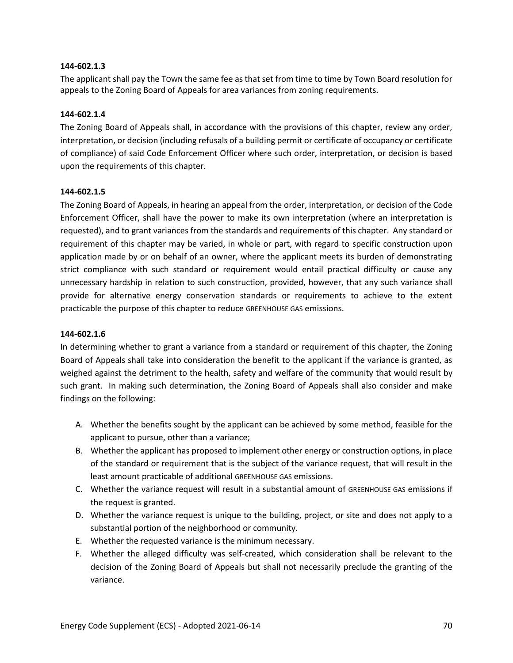#### **144-602.1.3**

The applicant shall pay the TOWN the same fee as that set from time to time by Town Board resolution for appeals to the Zoning Board of Appeals for area variances from zoning requirements.

#### **144-602.1.4**

The Zoning Board of Appeals shall, in accordance with the provisions of this chapter, review any order, interpretation, or decision (including refusals of a building permit or certificate of occupancy or certificate of compliance) of said Code Enforcement Officer where such order, interpretation, or decision is based upon the requirements of this chapter.

#### **144-602.1.5**

The Zoning Board of Appeals, in hearing an appeal from the order, interpretation, or decision of the Code Enforcement Officer, shall have the power to make its own interpretation (where an interpretation is requested), and to grant variances from the standards and requirements of this chapter. Any standard or requirement of this chapter may be varied, in whole or part, with regard to specific construction upon application made by or on behalf of an owner, where the applicant meets its burden of demonstrating strict compliance with such standard or requirement would entail practical difficulty or cause any unnecessary hardship in relation to such construction, provided, however, that any such variance shall provide for alternative energy conservation standards or requirements to achieve to the extent practicable the purpose of this chapter to reduce GREENHOUSE GAS emissions.

#### **144-602.1.6**

In determining whether to grant a variance from a standard or requirement of this chapter, the Zoning Board of Appeals shall take into consideration the benefit to the applicant if the variance is granted, as weighed against the detriment to the health, safety and welfare of the community that would result by such grant. In making such determination, the Zoning Board of Appeals shall also consider and make findings on the following:

- A. Whether the benefits sought by the applicant can be achieved by some method, feasible for the applicant to pursue, other than a variance;
- B. Whether the applicant has proposed to implement other energy or construction options, in place of the standard or requirement that is the subject of the variance request, that will result in the least amount practicable of additional GREENHOUSE GAS emissions.
- C. Whether the variance request will result in a substantial amount of GREENHOUSE GAS emissions if the request is granted.
- D. Whether the variance request is unique to the building, project, or site and does not apply to a substantial portion of the neighborhood or community.
- E. Whether the requested variance is the minimum necessary.
- F. Whether the alleged difficulty was self-created, which consideration shall be relevant to the decision of the Zoning Board of Appeals but shall not necessarily preclude the granting of the variance.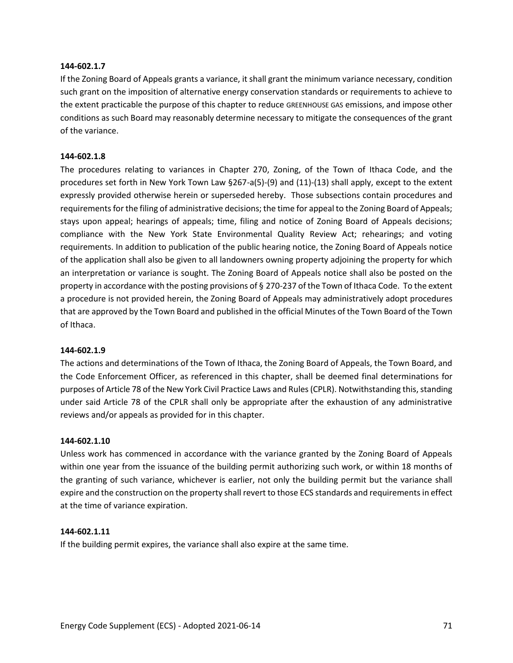#### **144-602.1.7**

If the Zoning Board of Appeals grants a variance, it shall grant the minimum variance necessary, condition such grant on the imposition of alternative energy conservation standards or requirements to achieve to the extent practicable the purpose of this chapter to reduce GREENHOUSE GAS emissions, and impose other conditions as such Board may reasonably determine necessary to mitigate the consequences of the grant of the variance.

#### **144-602.1.8**

The procedures relating to variances in Chapter 270, Zoning, of the Town of Ithaca Code, and the procedures set forth in New York Town Law §267-a(5)-(9) and (11)-(13) shall apply, except to the extent expressly provided otherwise herein or superseded hereby. Those subsections contain procedures and requirements for the filing of administrative decisions; the time for appeal to the Zoning Board of Appeals; stays upon appeal; hearings of appeals; time, filing and notice of Zoning Board of Appeals decisions; compliance with the New York State Environmental Quality Review Act; rehearings; and voting requirements. In addition to publication of the public hearing notice, the Zoning Board of Appeals notice of the application shall also be given to all landowners owning property adjoining the property for which an interpretation or variance is sought. The Zoning Board of Appeals notice shall also be posted on the property in accordance with the posting provisions of § 270-237 of the Town of Ithaca Code. To the extent a procedure is not provided herein, the Zoning Board of Appeals may administratively adopt procedures that are approved by the Town Board and published in the official Minutes of the Town Board of the Town of Ithaca.

#### **144-602.1.9**

The actions and determinations of the Town of Ithaca, the Zoning Board of Appeals, the Town Board, and the Code Enforcement Officer, as referenced in this chapter, shall be deemed final determinations for purposes of Article 78 of the New York Civil Practice Laws and Rules (CPLR). Notwithstanding this, standing under said Article 78 of the CPLR shall only be appropriate after the exhaustion of any administrative reviews and/or appeals as provided for in this chapter.

## **144-602.1.10**

Unless work has commenced in accordance with the variance granted by the Zoning Board of Appeals within one year from the issuance of the building permit authorizing such work, or within 18 months of the granting of such variance, whichever is earlier, not only the building permit but the variance shall expire and the construction on the property shall revert to those ECS standards and requirements in effect at the time of variance expiration.

#### **144-602.1.11**

If the building permit expires, the variance shall also expire at the same time.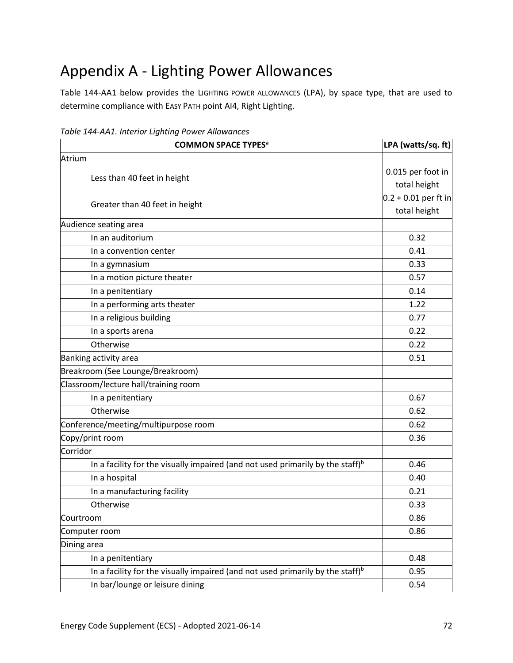## Appendix A - Lighting Power Allowances

Table 144-AA1 below provides the LIGHTING POWER ALLOWANCES (LPA), by space type, that are used to determine compliance with EASY PATH point AI4, Right Lighting.

| <b>COMMON SPACE TYPES<sup>a</sup></b>                                                       | LPA (watts/sq. ft)     |
|---------------------------------------------------------------------------------------------|------------------------|
| Atrium                                                                                      |                        |
| Less than 40 feet in height                                                                 | 0.015 per foot in      |
|                                                                                             | total height           |
| Greater than 40 feet in height                                                              | $0.2 + 0.01$ per ft in |
|                                                                                             | total height           |
| Audience seating area                                                                       |                        |
| In an auditorium                                                                            | 0.32                   |
| In a convention center                                                                      | 0.41                   |
| In a gymnasium                                                                              | 0.33                   |
| In a motion picture theater                                                                 | 0.57                   |
| In a penitentiary                                                                           | 0.14                   |
| In a performing arts theater                                                                | 1.22                   |
| In a religious building                                                                     | 0.77                   |
| In a sports arena                                                                           | 0.22                   |
| Otherwise                                                                                   | 0.22                   |
| Banking activity area                                                                       | 0.51                   |
| Breakroom (See Lounge/Breakroom)                                                            |                        |
| Classroom/lecture hall/training room                                                        |                        |
| In a penitentiary                                                                           | 0.67                   |
| Otherwise                                                                                   | 0.62                   |
| Conference/meeting/multipurpose room                                                        | 0.62                   |
| Copy/print room                                                                             | 0.36                   |
| Corridor                                                                                    |                        |
| In a facility for the visually impaired (and not used primarily by the staff) $\mathfrak b$ | 0.46                   |
| In a hospital                                                                               | 0.40                   |
| In a manufacturing facility                                                                 | 0.21                   |
| Otherwise                                                                                   | 0.33                   |
| Courtroom                                                                                   | 0.86                   |
| Computer room                                                                               | 0.86                   |
| Dining area                                                                                 |                        |
| In a penitentiary                                                                           | 0.48                   |
| In a facility for the visually impaired (and not used primarily by the staff) <sup>b</sup>  | 0.95                   |
| In bar/lounge or leisure dining                                                             | 0.54                   |

*Table 144-AA1. Interior Lighting Power Allowances*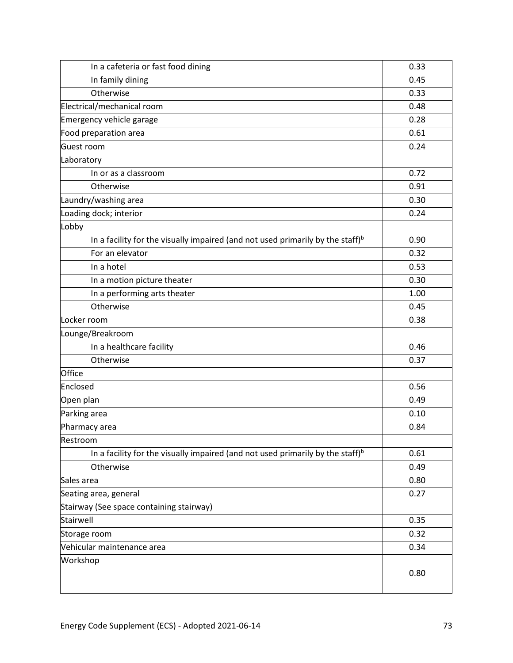| In a cafeteria or fast food dining                                                         | 0.33 |
|--------------------------------------------------------------------------------------------|------|
| In family dining                                                                           | 0.45 |
| Otherwise                                                                                  | 0.33 |
| Electrical/mechanical room                                                                 | 0.48 |
| Emergency vehicle garage                                                                   | 0.28 |
| Food preparation area                                                                      | 0.61 |
| Guest room                                                                                 | 0.24 |
| Laboratory                                                                                 |      |
| In or as a classroom                                                                       | 0.72 |
| Otherwise                                                                                  | 0.91 |
| Laundry/washing area                                                                       | 0.30 |
| Loading dock; interior                                                                     | 0.24 |
| Lobby                                                                                      |      |
| In a facility for the visually impaired (and not used primarily by the staff) $b$          | 0.90 |
| For an elevator                                                                            | 0.32 |
| In a hotel                                                                                 | 0.53 |
| In a motion picture theater                                                                | 0.30 |
| In a performing arts theater                                                               | 1.00 |
| Otherwise                                                                                  | 0.45 |
| Locker room                                                                                | 0.38 |
| Lounge/Breakroom                                                                           |      |
| In a healthcare facility                                                                   | 0.46 |
| Otherwise                                                                                  | 0.37 |
| Office                                                                                     |      |
| Enclosed                                                                                   | 0.56 |
| Open plan                                                                                  | 0.49 |
| Parking area                                                                               | 0.10 |
| Pharmacy area                                                                              | 0.84 |
| Restroom                                                                                   |      |
| In a facility for the visually impaired (and not used primarily by the staff) <sup>b</sup> | 0.61 |
| Otherwise                                                                                  | 0.49 |
| Sales area                                                                                 | 0.80 |
| Seating area, general                                                                      | 0.27 |
| Stairway (See space containing stairway)                                                   |      |
| Stairwell                                                                                  | 0.35 |
| Storage room                                                                               | 0.32 |
| Vehicular maintenance area                                                                 | 0.34 |
| Workshop                                                                                   | 0.80 |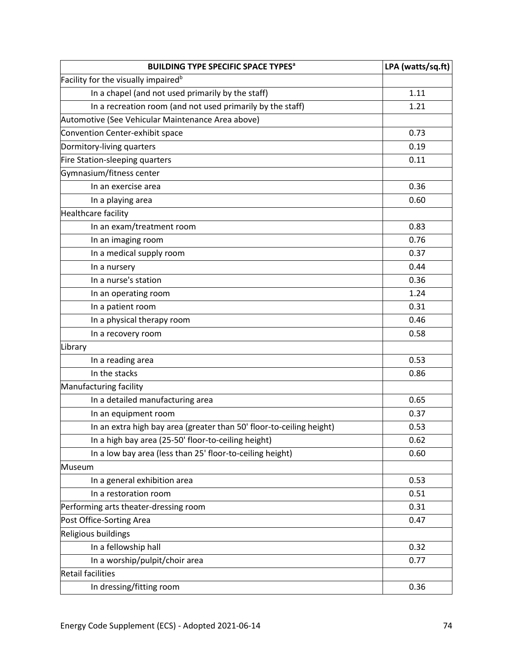| <b>BUILDING TYPE SPECIFIC SPACE TYPES<sup>a</sup></b>                | LPA (watts/sq.ft) |
|----------------------------------------------------------------------|-------------------|
| Facility for the visually impaired <sup>b</sup>                      |                   |
| In a chapel (and not used primarily by the staff)                    | 1.11              |
| In a recreation room (and not used primarily by the staff)           | 1.21              |
| Automotive (See Vehicular Maintenance Area above)                    |                   |
| Convention Center-exhibit space                                      | 0.73              |
| Dormitory-living quarters                                            | 0.19              |
| Fire Station-sleeping quarters                                       | 0.11              |
| Gymnasium/fitness center                                             |                   |
| In an exercise area                                                  | 0.36              |
| In a playing area                                                    | 0.60              |
| <b>Healthcare facility</b>                                           |                   |
| In an exam/treatment room                                            | 0.83              |
| In an imaging room                                                   | 0.76              |
| In a medical supply room                                             | 0.37              |
| In a nursery                                                         | 0.44              |
| In a nurse's station                                                 | 0.36              |
| In an operating room                                                 | 1.24              |
| In a patient room                                                    | 0.31              |
| In a physical therapy room                                           | 0.46              |
| In a recovery room                                                   | 0.58              |
| Library                                                              |                   |
| In a reading area                                                    | 0.53              |
| In the stacks                                                        | 0.86              |
| Manufacturing facility                                               |                   |
| In a detailed manufacturing area                                     | 0.65              |
| In an equipment room                                                 | 0.37              |
| In an extra high bay area (greater than 50' floor-to-ceiling height) | 0.53              |
| In a high bay area (25-50' floor-to-ceiling height)                  | 0.62              |
| In a low bay area (less than 25' floor-to-ceiling height)            | 0.60              |
| Museum                                                               |                   |
| In a general exhibition area                                         | 0.53              |
| In a restoration room                                                | 0.51              |
| Performing arts theater-dressing room                                | 0.31              |
| Post Office-Sorting Area                                             | 0.47              |
| Religious buildings                                                  |                   |
| In a fellowship hall                                                 | 0.32              |
| In a worship/pulpit/choir area                                       | 0.77              |
| <b>Retail facilities</b>                                             |                   |
| In dressing/fitting room                                             | 0.36              |